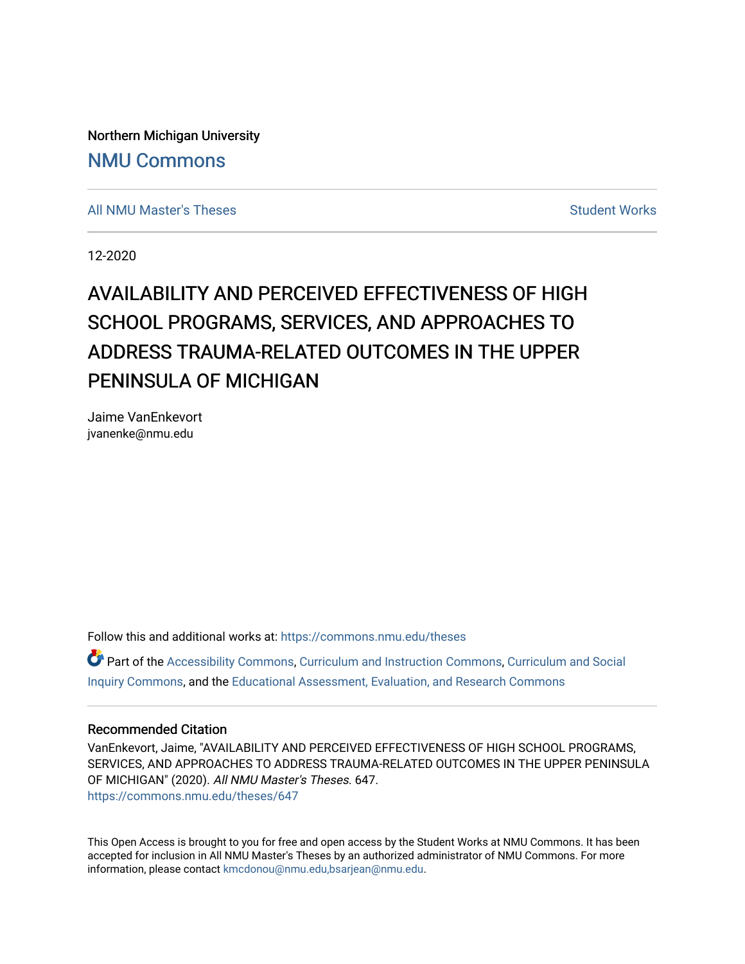Northern Michigan University [NMU Commons](https://commons.nmu.edu/) 

[All NMU Master's Theses](https://commons.nmu.edu/theses) [Student Works](https://commons.nmu.edu/student_works) and Student Works Student Works Student Works

12-2020

# AVAILABILITY AND PERCEIVED EFFECTIVENESS OF HIGH SCHOOL PROGRAMS, SERVICES, AND APPROACHES TO ADDRESS TRAUMA-RELATED OUTCOMES IN THE UPPER PENINSULA OF MICHIGAN

Jaime VanEnkevort jvanenke@nmu.edu

Follow this and additional works at: [https://commons.nmu.edu/theses](https://commons.nmu.edu/theses?utm_source=commons.nmu.edu%2Ftheses%2F647&utm_medium=PDF&utm_campaign=PDFCoverPages)

Part of the [Accessibility Commons,](http://network.bepress.com/hgg/discipline/1318?utm_source=commons.nmu.edu%2Ftheses%2F647&utm_medium=PDF&utm_campaign=PDFCoverPages) [Curriculum and Instruction Commons,](http://network.bepress.com/hgg/discipline/786?utm_source=commons.nmu.edu%2Ftheses%2F647&utm_medium=PDF&utm_campaign=PDFCoverPages) Curriculum and Social [Inquiry Commons,](http://network.bepress.com/hgg/discipline/1038?utm_source=commons.nmu.edu%2Ftheses%2F647&utm_medium=PDF&utm_campaign=PDFCoverPages) and the [Educational Assessment, Evaluation, and Research Commons](http://network.bepress.com/hgg/discipline/796?utm_source=commons.nmu.edu%2Ftheses%2F647&utm_medium=PDF&utm_campaign=PDFCoverPages) 

## Recommended Citation

VanEnkevort, Jaime, "AVAILABILITY AND PERCEIVED EFFECTIVENESS OF HIGH SCHOOL PROGRAMS, SERVICES, AND APPROACHES TO ADDRESS TRAUMA-RELATED OUTCOMES IN THE UPPER PENINSULA OF MICHIGAN" (2020). All NMU Master's Theses. 647. [https://commons.nmu.edu/theses/647](https://commons.nmu.edu/theses/647?utm_source=commons.nmu.edu%2Ftheses%2F647&utm_medium=PDF&utm_campaign=PDFCoverPages) 

This Open Access is brought to you for free and open access by the Student Works at NMU Commons. It has been accepted for inclusion in All NMU Master's Theses by an authorized administrator of NMU Commons. For more information, please contact [kmcdonou@nmu.edu,bsarjean@nmu.edu](mailto:kmcdonou@nmu.edu,bsarjean@nmu.edu).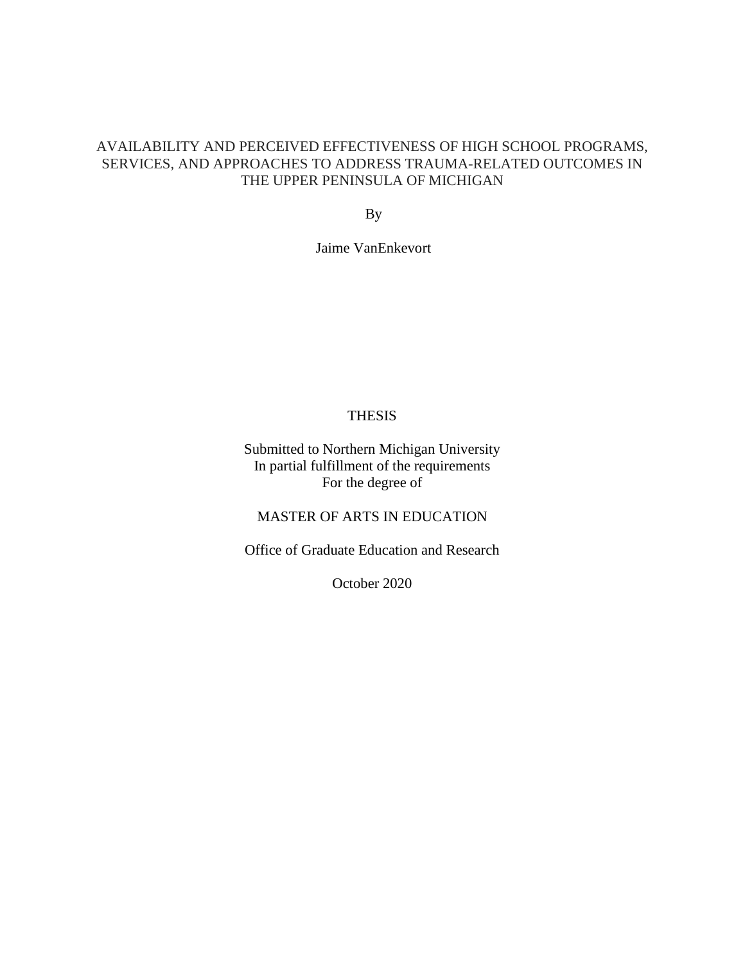# AVAILABILITY AND PERCEIVED EFFECTIVENESS OF HIGH SCHOOL PROGRAMS, SERVICES, AND APPROACHES TO ADDRESS TRAUMA-RELATED OUTCOMES IN THE UPPER PENINSULA OF MICHIGAN

By

Jaime VanEnkevort

# THESIS

Submitted to Northern Michigan University In partial fulfillment of the requirements For the degree of

MASTER OF ARTS IN EDUCATION

Office of Graduate Education and Research

October 2020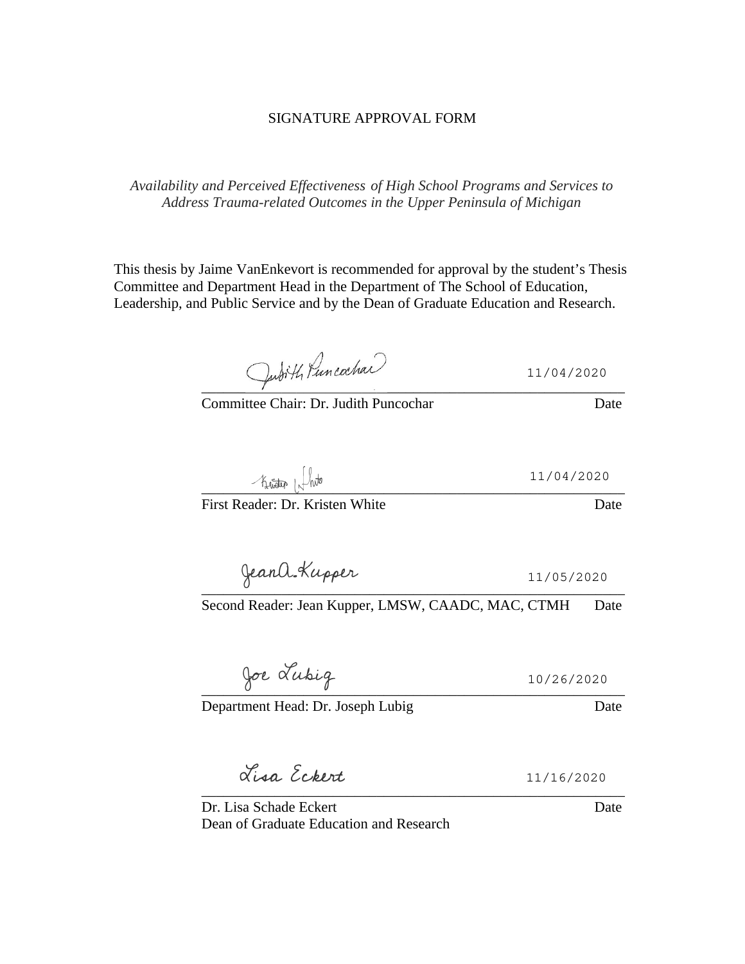# SIGNATURE APPROVAL FORM

*Availability and Perceived Effectiveness of High School Programs and Services to Address Trauma-related Outcomes in the Upper Peninsula of Michigan*

This thesis by Jaime VanEnkevort is recommended for approval by the student's Thesis Committee and Department Head in the Department of The School of Education, Leadership, and Public Service and by the Dean of Graduate Education and Research.

Jubith Puncachan 11/04/2020

Committee Chair: Dr. Judith Puncochar **Date** Date

 $-$  funder  $|\sqrt{l}$  who

First Reader: Dr. Kristen White Date

 $\overline{a}$ 

Second Reader: Jean Kupper, LMSW, CAADC, MAC, CTMH Date

 $\overline{0}$   $\overline{0}$   $\overline{0}$   $\overline{0}$   $\overline{0}$   $\overline{1}$   $\overline{1}$   $\overline{1}$   $\overline{1}$   $\overline{1}$   $\overline{1}$   $\overline{1}$   $\overline{1}$   $\overline{1}$   $\overline{1}$   $\overline{1}$   $\overline{1}$   $\overline{1}$   $\overline{1}$   $\overline{1}$   $\overline{1}$   $\overline{1}$   $\overline{1}$   $\overline{1}$   $\overline{$ 10/26/2020

Department Head: Dr. Joseph Lubig Date

Liga Ecopent 11/16/2020

\_\_\_\_\_\_\_\_\_\_\_\_\_\_\_\_\_\_\_\_\_\_\_\_\_\_\_\_\_\_\_\_\_\_\_\_\_\_\_\_\_\_\_\_\_\_\_\_\_\_\_\_\_\_\_\_\_\_

Dr. Lisa Schade Eckert **Date** Date Dean of Graduate Education and Research

11/04/2020

11/05/2020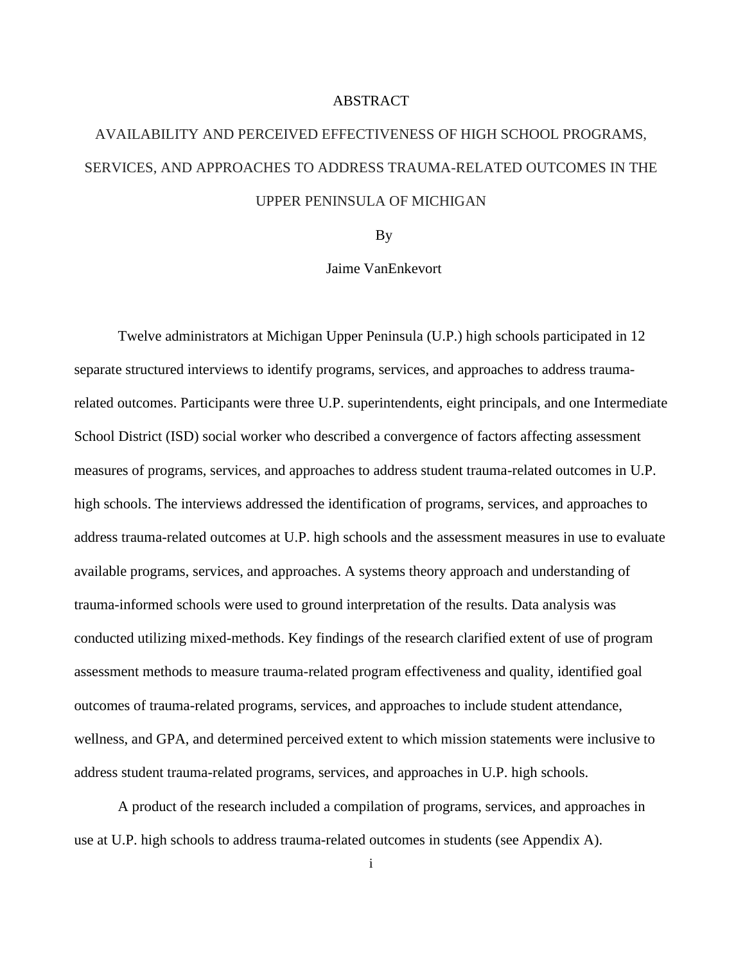# ABSTRACT

# AVAILABILITY AND PERCEIVED EFFECTIVENESS OF HIGH SCHOOL PROGRAMS, SERVICES, AND APPROACHES TO ADDRESS TRAUMA-RELATED OUTCOMES IN THE UPPER PENINSULA OF MICHIGAN

By

# Jaime VanEnkevort

Twelve administrators at Michigan Upper Peninsula (U.P.) high schools participated in 12 separate structured interviews to identify programs, services, and approaches to address traumarelated outcomes. Participants were three U.P. superintendents, eight principals, and one Intermediate School District (ISD) social worker who described a convergence of factors affecting assessment measures of programs, services, and approaches to address student trauma-related outcomes in U.P. high schools. The interviews addressed the identification of programs, services, and approaches to address trauma-related outcomes at U.P. high schools and the assessment measures in use to evaluate available programs, services, and approaches. A systems theory approach and understanding of trauma-informed schools were used to ground interpretation of the results. Data analysis was conducted utilizing mixed-methods. Key findings of the research clarified extent of use of program assessment methods to measure trauma-related program effectiveness and quality, identified goal outcomes of trauma-related programs, services, and approaches to include student attendance, wellness, and GPA, and determined perceived extent to which mission statements were inclusive to address student trauma-related programs, services, and approaches in U.P. high schools.

A product of the research included a compilation of programs, services, and approaches in use at U.P. high schools to address trauma-related outcomes in students (see Appendix A).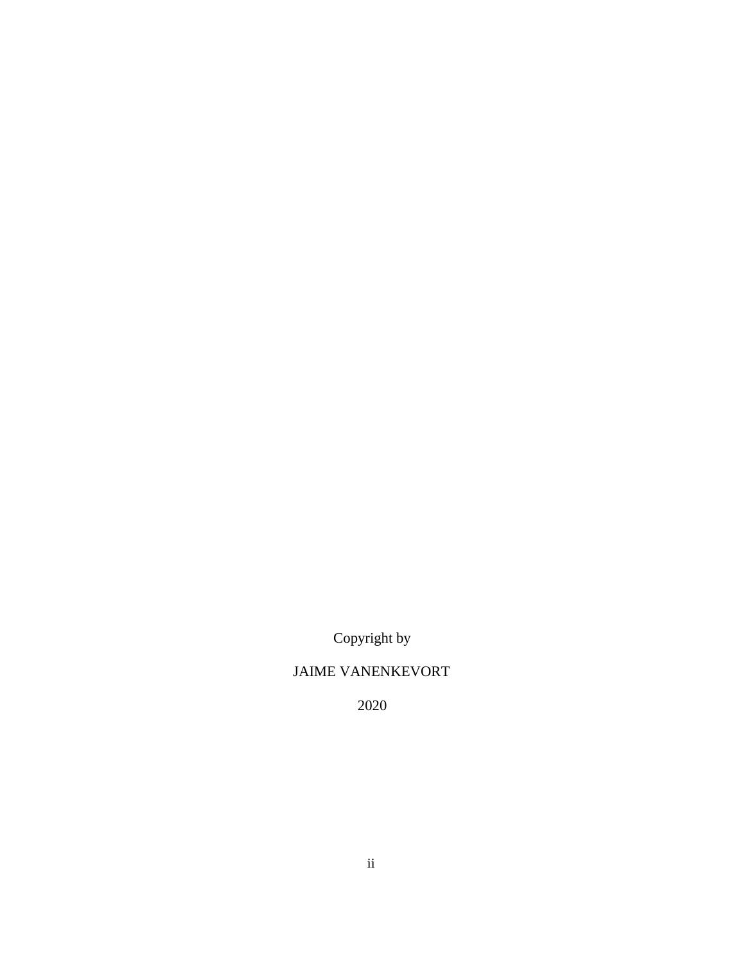Copyright by

# JAIME VANENKEVORT

2020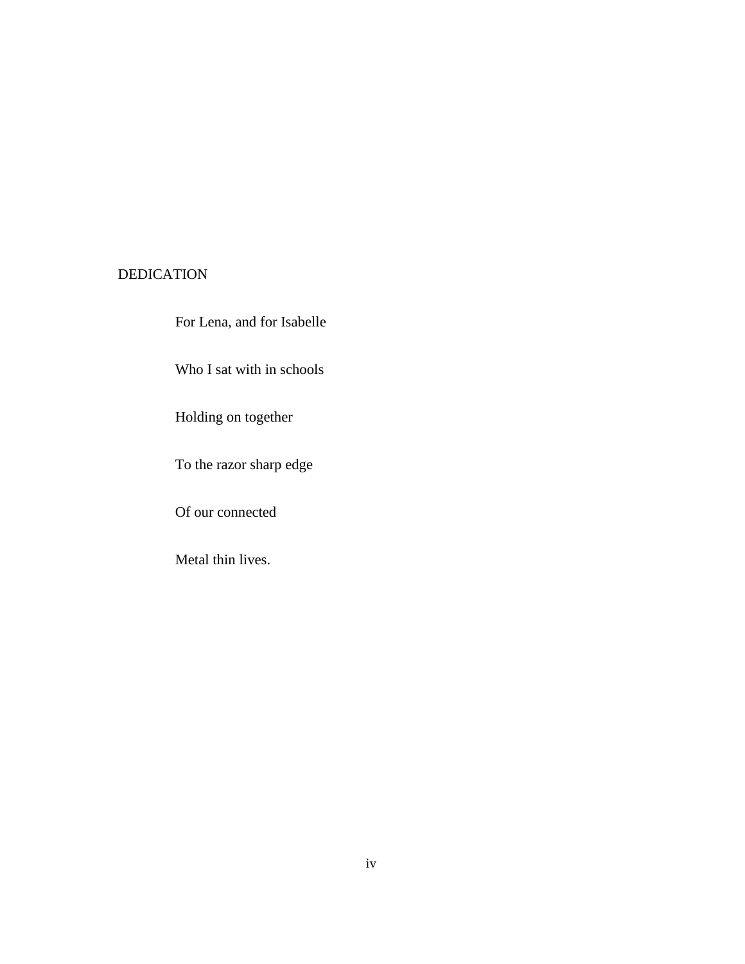# DEDICATION

For Lena, and for Isabelle

Who I sat with in schools

Holding on together

To the razor sharp edge

Of our connected

Metal thin lives.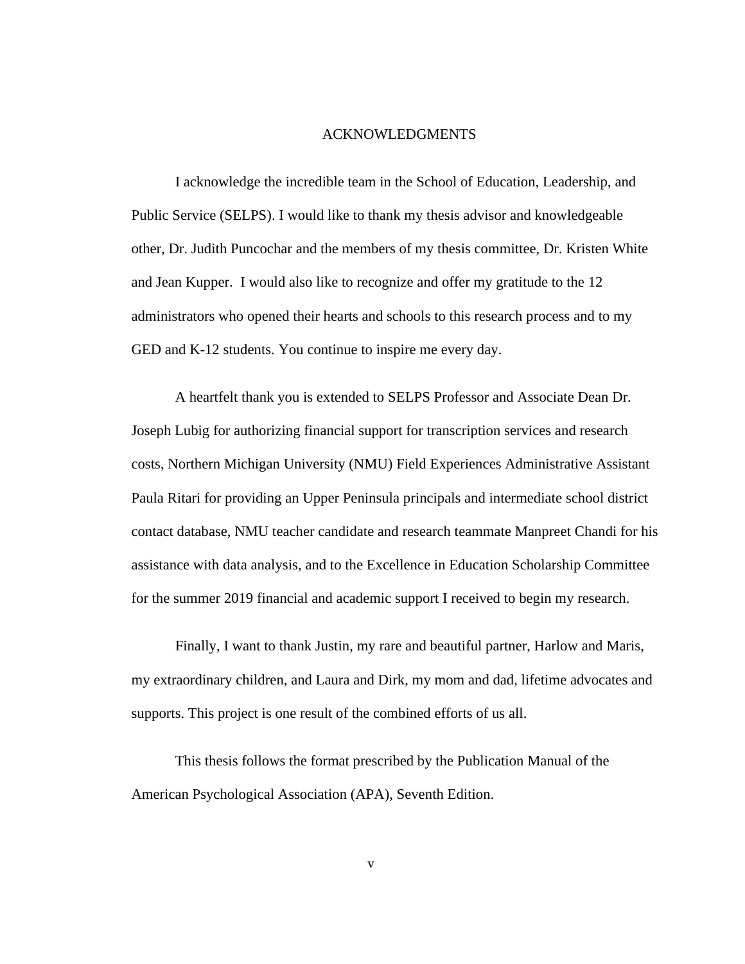# ACKNOWLEDGMENTS

I acknowledge the incredible team in the School of Education, Leadership, and Public Service (SELPS). I would like to thank my thesis advisor and knowledgeable other, Dr. Judith Puncochar and the members of my thesis committee, Dr. Kristen White and Jean Kupper. I would also like to recognize and offer my gratitude to the 12 administrators who opened their hearts and schools to this research process and to my GED and K-12 students. You continue to inspire me every day.

A heartfelt thank you is extended to SELPS Professor and Associate Dean Dr. Joseph Lubig for authorizing financial support for transcription services and research costs, Northern Michigan University (NMU) Field Experiences Administrative Assistant Paula Ritari for providing an Upper Peninsula principals and intermediate school district contact database, NMU teacher candidate and research teammate Manpreet Chandi for his assistance with data analysis, and to the Excellence in Education Scholarship Committee for the summer 2019 financial and academic support I received to begin my research.

Finally, I want to thank Justin, my rare and beautiful partner, Harlow and Maris, my extraordinary children, and Laura and Dirk, my mom and dad, lifetime advocates and supports. This project is one result of the combined efforts of us all.

This thesis follows the format prescribed by the Publication Manual of the American Psychological Association (APA), Seventh Edition.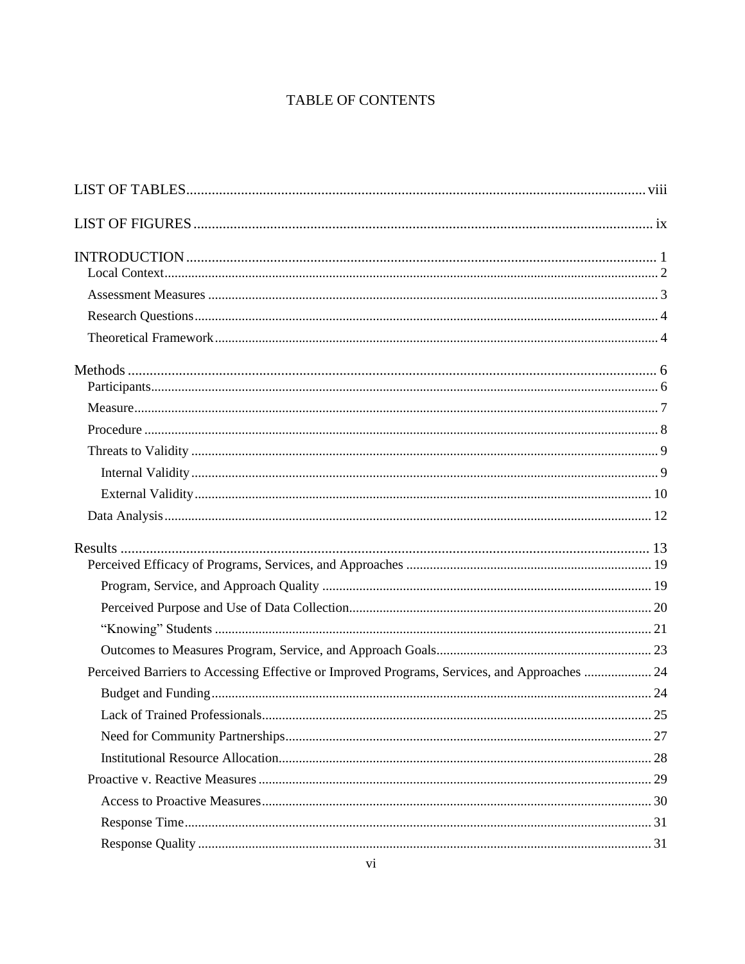# TABLE OF CONTENTS

| Perceived Barriers to Accessing Effective or Improved Programs, Services, and Approaches  24 |  |
|----------------------------------------------------------------------------------------------|--|
|                                                                                              |  |
|                                                                                              |  |
|                                                                                              |  |
|                                                                                              |  |
|                                                                                              |  |
|                                                                                              |  |
|                                                                                              |  |
|                                                                                              |  |
|                                                                                              |  |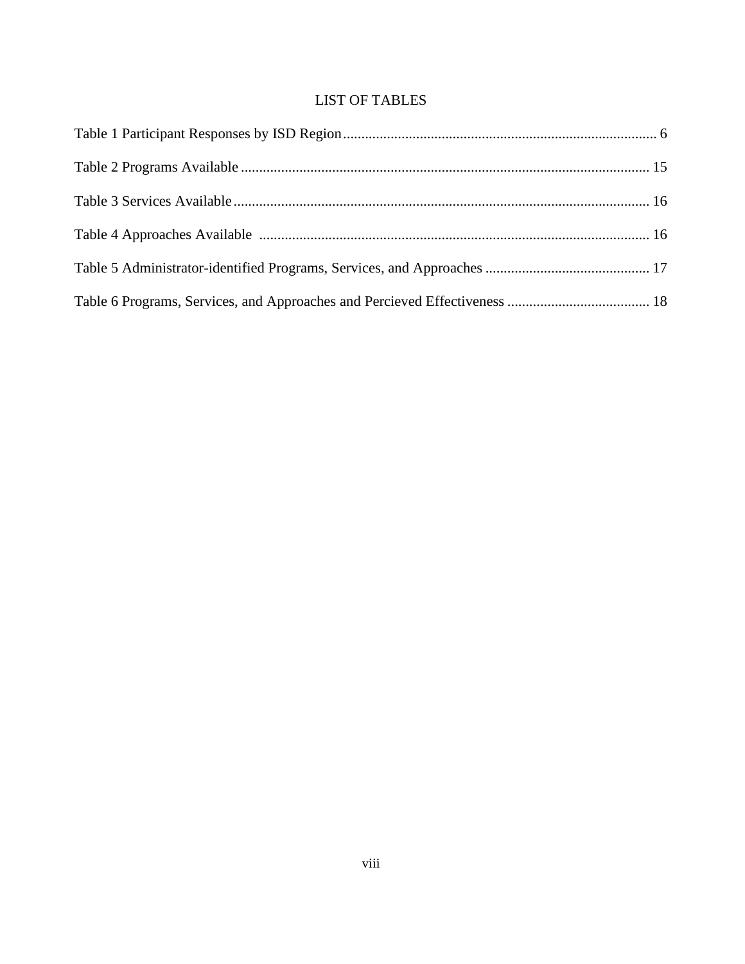# LIST OF TABLES

<span id="page-9-0"></span>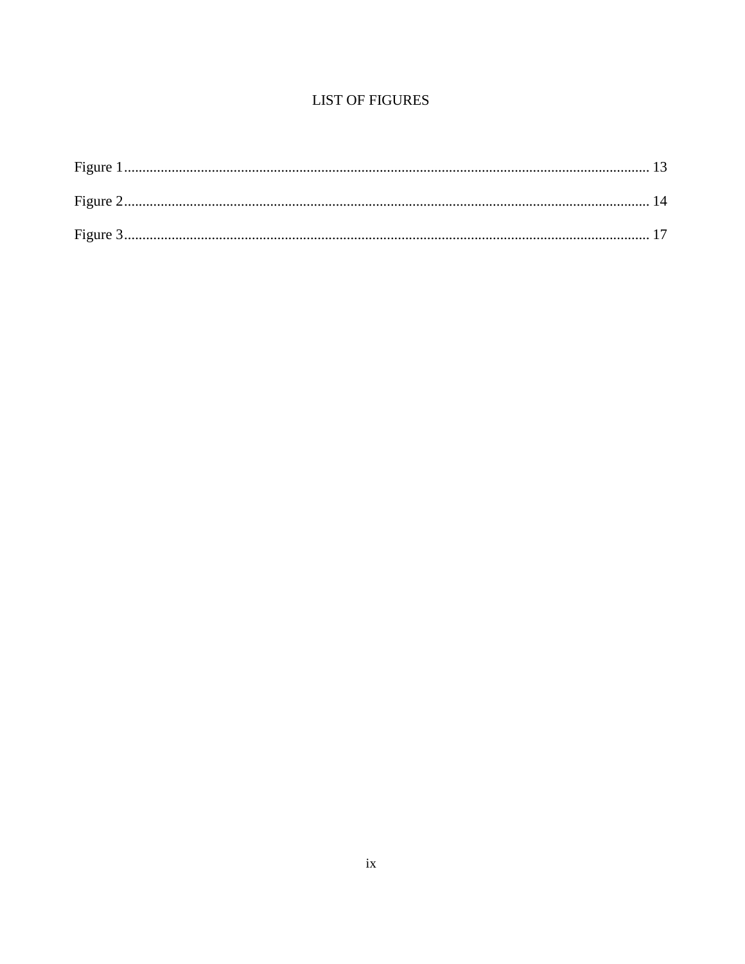# **LIST OF FIGURES**

<span id="page-10-0"></span>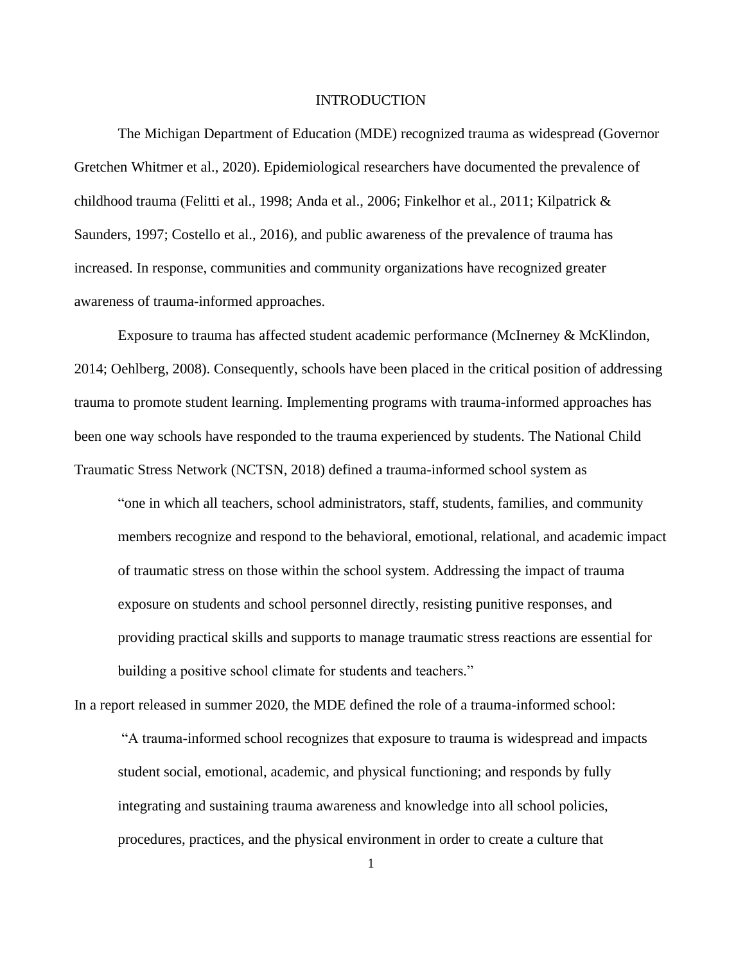#### INTRODUCTION

<span id="page-11-0"></span>The Michigan Department of Education (MDE) recognized trauma as widespread (Governor Gretchen Whitmer et al., 2020). Epidemiological researchers have documented the prevalence of childhood trauma (Felitti et al., 1998; Anda et al., 2006; Finkelhor et al., 2011; Kilpatrick & Saunders, 1997; Costello et al., 2016), and public awareness of the prevalence of trauma has increased. In response, communities and community organizations have recognized greater awareness of trauma-informed approaches.

Exposure to trauma has affected student academic performance (McInerney & McKlindon, 2014; Oehlberg, 2008). Consequently, schools have been placed in the critical position of addressing trauma to promote student learning. Implementing programs with trauma-informed approaches has been one way schools have responded to the trauma experienced by students. The National Child Traumatic Stress Network (NCTSN, 2018) defined a trauma-informed school system as

"one in which all teachers, school administrators, staff, students, families, and community members recognize and respond to the behavioral, emotional, relational, and academic impact of traumatic stress on those within the school system. Addressing the impact of trauma exposure on students and school personnel directly, resisting punitive responses, and providing practical skills and supports to manage traumatic stress reactions are essential for building a positive school climate for students and teachers."

In a report released in summer 2020, the MDE defined the role of a trauma-informed school:

"A trauma-informed school recognizes that exposure to trauma is widespread and impacts student social, emotional, academic, and physical functioning; and responds by fully integrating and sustaining trauma awareness and knowledge into all school policies, procedures, practices, and the physical environment in order to create a culture that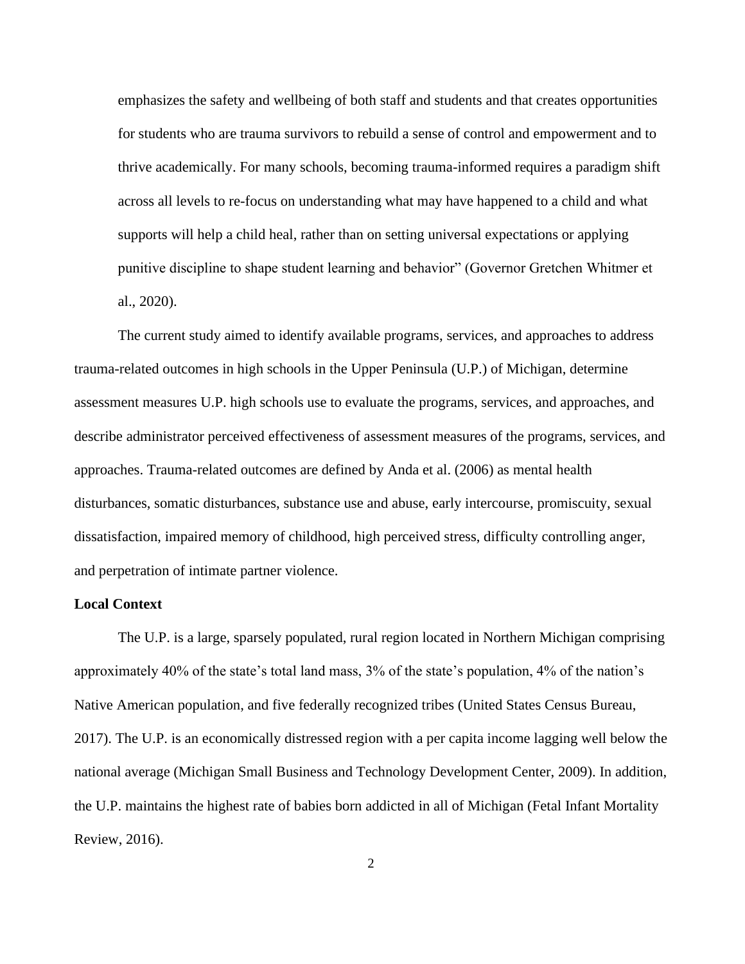emphasizes the safety and wellbeing of both staff and students and that creates opportunities for students who are trauma survivors to rebuild a sense of control and empowerment and to thrive academically. For many schools, becoming trauma-informed requires a paradigm shift across all levels to re-focus on understanding what may have happened to a child and what supports will help a child heal, rather than on setting universal expectations or applying punitive discipline to shape student learning and behavior" (Governor Gretchen Whitmer et al., 2020).

The current study aimed to identify available programs, services, and approaches to address trauma-related outcomes in high schools in the Upper Peninsula (U.P.) of Michigan, determine assessment measures U.P. high schools use to evaluate the programs, services, and approaches, and describe administrator perceived effectiveness of assessment measures of the programs, services, and approaches. Trauma-related outcomes are defined by Anda et al. (2006) as mental health disturbances, somatic disturbances, substance use and abuse, early intercourse, promiscuity, sexual dissatisfaction, impaired memory of childhood, high perceived stress, difficulty controlling anger, and perpetration of intimate partner violence.

### <span id="page-12-0"></span>**Local Context**

The U.P. is a large, sparsely populated, rural region located in Northern Michigan comprising approximately 40% of the state's total land mass, 3% of the state's population, 4% of the nation's Native American population, and five federally recognized tribes (United States Census Bureau, 2017). The U.P. is an economically distressed region with a per capita income lagging well below the national average (Michigan Small Business and Technology Development Center, 2009). In addition, the U.P. maintains the highest rate of babies born addicted in all of Michigan (Fetal Infant Mortality Review, 2016).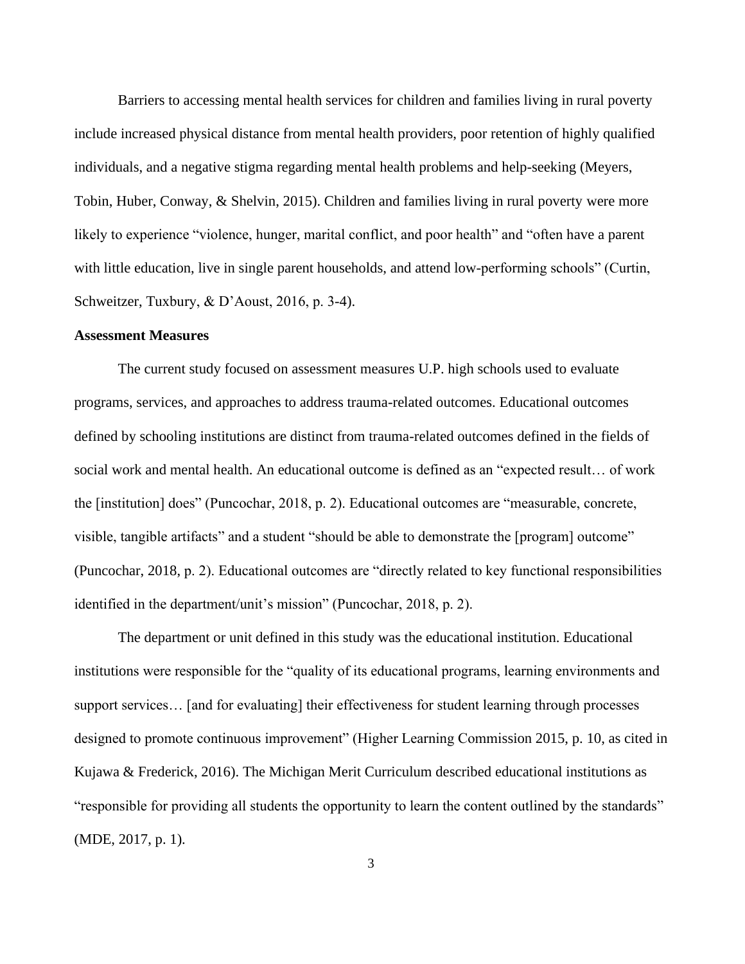Barriers to accessing mental health services for children and families living in rural poverty include increased physical distance from mental health providers, poor retention of highly qualified individuals, and a negative stigma regarding mental health problems and help-seeking (Meyers, Tobin, Huber, Conway, & Shelvin, 2015). Children and families living in rural poverty were more likely to experience "violence, hunger, marital conflict, and poor health" and "often have a parent with little education, live in single parent households, and attend low-performing schools" (Curtin, Schweitzer, Tuxbury, & D'Aoust, 2016, p. 3-4).

# <span id="page-13-0"></span>**Assessment Measures**

The current study focused on assessment measures U.P. high schools used to evaluate programs, services, and approaches to address trauma-related outcomes. Educational outcomes defined by schooling institutions are distinct from trauma-related outcomes defined in the fields of social work and mental health. An educational outcome is defined as an "expected result… of work the [institution] does" (Puncochar, 2018, p. 2). Educational outcomes are "measurable, concrete, visible, tangible artifacts" and a student "should be able to demonstrate the [program] outcome" (Puncochar, 2018, p. 2). Educational outcomes are "directly related to key functional responsibilities identified in the department/unit's mission" (Puncochar, 2018, p. 2).

The department or unit defined in this study was the educational institution. Educational institutions were responsible for the "quality of its educational programs, learning environments and support services… [and for evaluating] their effectiveness for student learning through processes designed to promote continuous improvement" (Higher Learning Commission 2015, p. 10, as cited in Kujawa & Frederick, 2016). The Michigan Merit Curriculum described educational institutions as "responsible for providing all students the opportunity to learn the content outlined by the standards" (MDE, 2017, p. 1).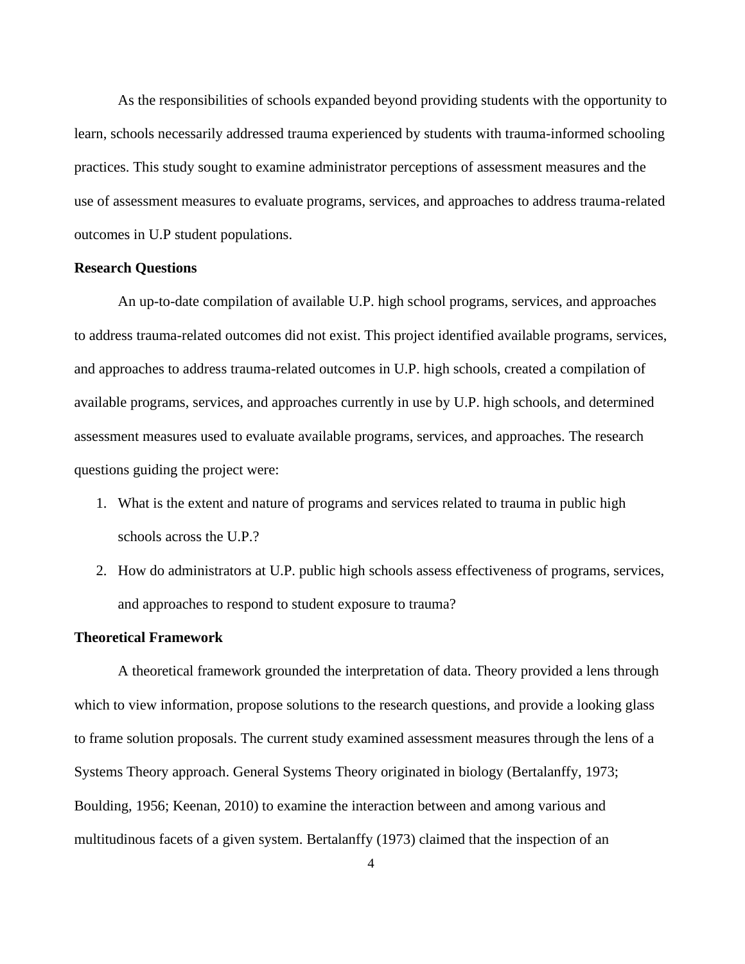As the responsibilities of schools expanded beyond providing students with the opportunity to learn, schools necessarily addressed trauma experienced by students with trauma-informed schooling practices. This study sought to examine administrator perceptions of assessment measures and the use of assessment measures to evaluate programs, services, and approaches to address trauma-related outcomes in U.P student populations.

#### <span id="page-14-0"></span>**Research Questions**

An up-to-date compilation of available U.P. high school programs, services, and approaches to address trauma-related outcomes did not exist. This project identified available programs, services, and approaches to address trauma-related outcomes in U.P. high schools, created a compilation of available programs, services, and approaches currently in use by U.P. high schools, and determined assessment measures used to evaluate available programs, services, and approaches. The research questions guiding the project were:

- 1. What is the extent and nature of programs and services related to trauma in public high schools across the U.P.?
- 2. How do administrators at U.P. public high schools assess effectiveness of programs, services, and approaches to respond to student exposure to trauma?

# <span id="page-14-1"></span>**Theoretical Framework**

A theoretical framework grounded the interpretation of data. Theory provided a lens through which to view information, propose solutions to the research questions, and provide a looking glass to frame solution proposals. The current study examined assessment measures through the lens of a Systems Theory approach. General Systems Theory originated in biology (Bertalanffy, 1973; Boulding, 1956; Keenan, 2010) to examine the interaction between and among various and multitudinous facets of a given system. Bertalanffy (1973) claimed that the inspection of an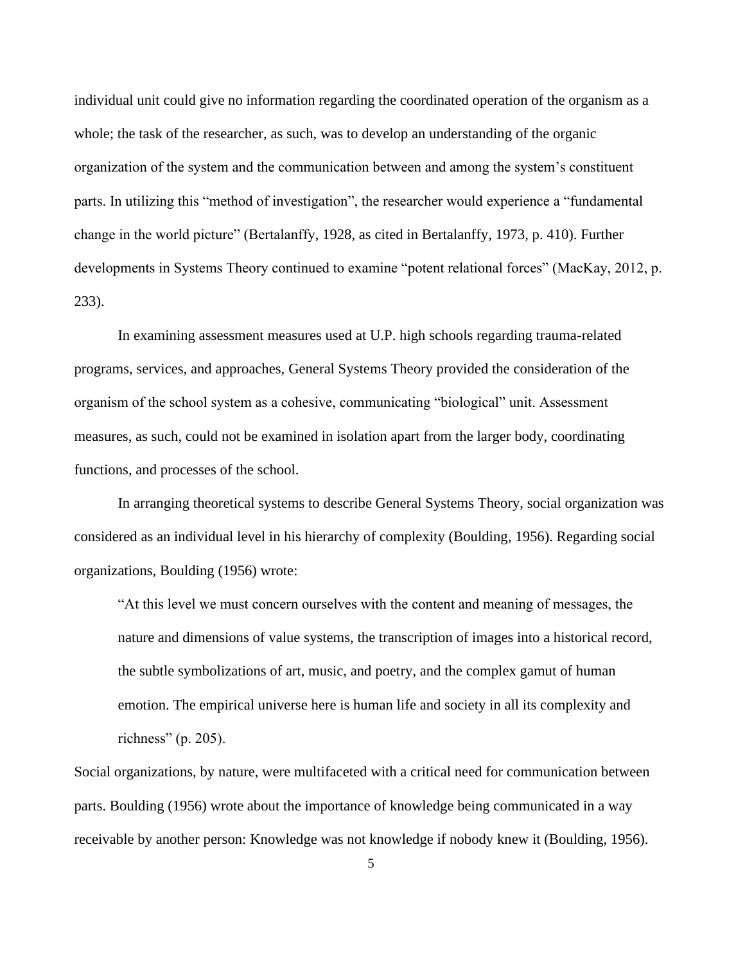individual unit could give no information regarding the coordinated operation of the organism as a whole; the task of the researcher, as such, was to develop an understanding of the organic organization of the system and the communication between and among the system's constituent parts. In utilizing this "method of investigation", the researcher would experience a "fundamental change in the world picture" (Bertalanffy, 1928, as cited in Bertalanffy, 1973, p. 410). Further developments in Systems Theory continued to examine "potent relational forces" (MacKay, 2012, p. 233).

In examining assessment measures used at U.P. high schools regarding trauma-related programs, services, and approaches, General Systems Theory provided the consideration of the organism of the school system as a cohesive, communicating "biological" unit. Assessment measures, as such, could not be examined in isolation apart from the larger body, coordinating functions, and processes of the school.

In arranging theoretical systems to describe General Systems Theory, social organization was considered as an individual level in his hierarchy of complexity (Boulding, 1956). Regarding social organizations, Boulding (1956) wrote:

"At this level we must concern ourselves with the content and meaning of messages, the nature and dimensions of value systems, the transcription of images into a historical record, the subtle symbolizations of art, music, and poetry, and the complex gamut of human emotion. The empirical universe here is human life and society in all its complexity and richness" (p. 205).

Social organizations, by nature, were multifaceted with a critical need for communication between parts. Boulding (1956) wrote about the importance of knowledge being communicated in a way receivable by another person: Knowledge was not knowledge if nobody knew it (Boulding, 1956).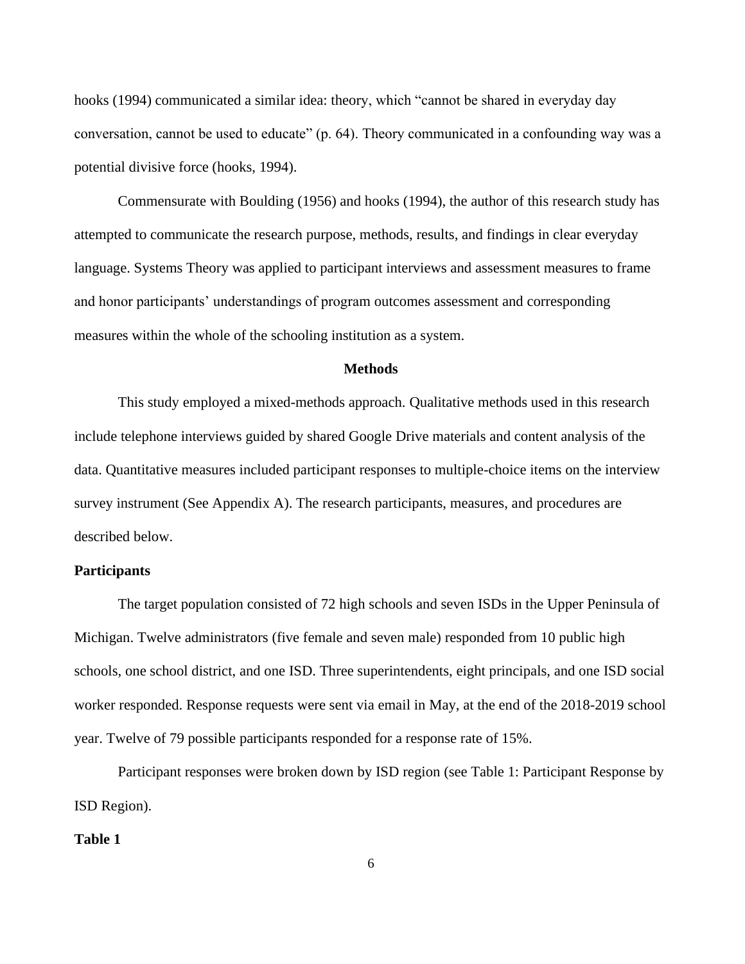hooks (1994) communicated a similar idea: theory, which "cannot be shared in everyday day conversation, cannot be used to educate" (p. 64). Theory communicated in a confounding way was a potential divisive force (hooks, 1994).

Commensurate with Boulding (1956) and hooks (1994), the author of this research study has attempted to communicate the research purpose, methods, results, and findings in clear everyday language. Systems Theory was applied to participant interviews and assessment measures to frame and honor participants' understandings of program outcomes assessment and corresponding measures within the whole of the schooling institution as a system.

## **Methods**

<span id="page-16-0"></span>This study employed a mixed-methods approach. Qualitative methods used in this research include telephone interviews guided by shared Google Drive materials and content analysis of the data. Quantitative measures included participant responses to multiple-choice items on the interview survey instrument (See Appendix A). The research participants, measures, and procedures are described below.

# <span id="page-16-1"></span>**Participants**

The target population consisted of 72 high schools and seven ISDs in the Upper Peninsula of Michigan. Twelve administrators (five female and seven male) responded from 10 public high schools, one school district, and one ISD. Three superintendents, eight principals, and one ISD social worker responded. Response requests were sent via email in May, at the end of the 2018-2019 school year. Twelve of 79 possible participants responded for a response rate of 15%.

Participant responses were broken down by ISD region (see Table 1: Participant Response by ISD Region).

#### <span id="page-16-2"></span>**Table 1**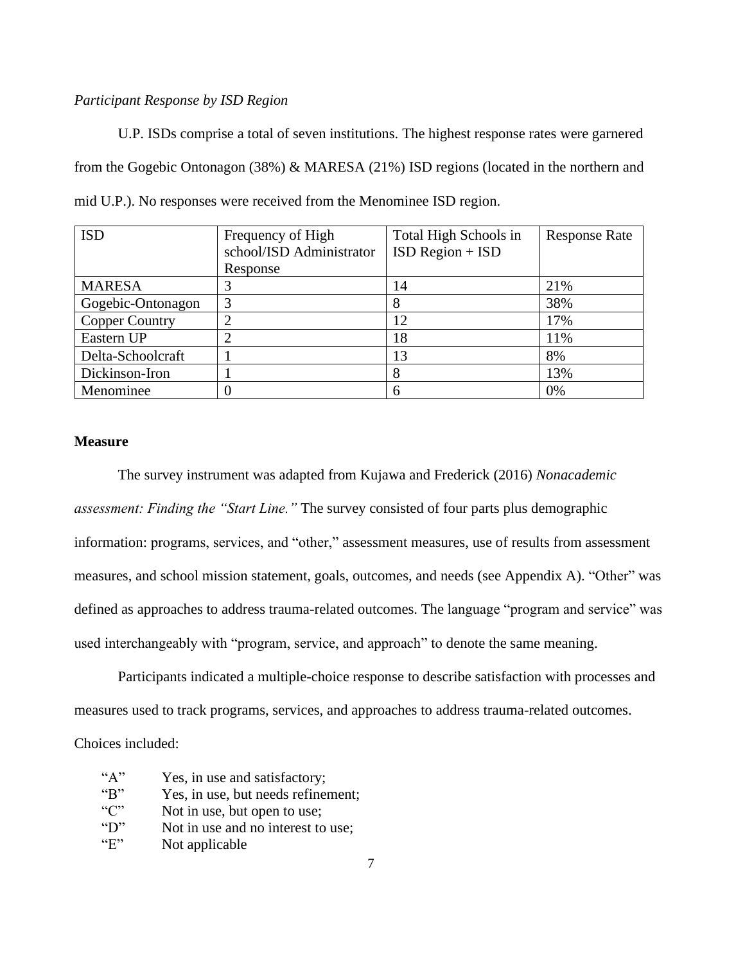# *Participant Response by ISD Region*

U.P. ISDs comprise a total of seven institutions. The highest response rates were garnered from the Gogebic Ontonagon (38%) & MARESA (21%) ISD regions (located in the northern and mid U.P.). No responses were received from the Menominee ISD region.

| <b>ISD</b>            | Frequency of High        | Total High Schools in | <b>Response Rate</b> |
|-----------------------|--------------------------|-----------------------|----------------------|
|                       | school/ISD Administrator | $ISD Region + ISD$    |                      |
|                       | Response                 |                       |                      |
| <b>MARESA</b>         |                          | 14                    | 21%                  |
| Gogebic-Ontonagon     |                          | 8                     | 38%                  |
| <b>Copper Country</b> |                          | 12                    | 17%                  |
| Eastern UP            |                          | 18                    | 11%                  |
| Delta-Schoolcraft     |                          | 13                    | 8%                   |
| Dickinson-Iron        |                          | 8                     | 13%                  |
| Menominee             |                          | 6                     | 0%                   |

# <span id="page-17-0"></span>**Measure**

The survey instrument was adapted from Kujawa and Frederick (2016) *Nonacademic assessment: Finding the "Start Line."* The survey consisted of four parts plus demographic information: programs, services, and "other," assessment measures, use of results from assessment measures, and school mission statement, goals, outcomes, and needs (see Appendix A). "Other" was defined as approaches to address trauma-related outcomes. The language "program and service" was used interchangeably with "program, service, and approach" to denote the same meaning.

Participants indicated a multiple-choice response to describe satisfaction with processes and measures used to track programs, services, and approaches to address trauma-related outcomes.

Choices included:

| ``A"                      | Yes, in use and satisfactory;      |
|---------------------------|------------------------------------|
| B                         | Yes, in use, but needs refinement; |
| ``C"                      | Not in use, but open to use;       |
| $\mathbf{``}D\mathbf{''}$ | Not in use and no interest to use; |
| $\mathbf{G}$              | Not applicable                     |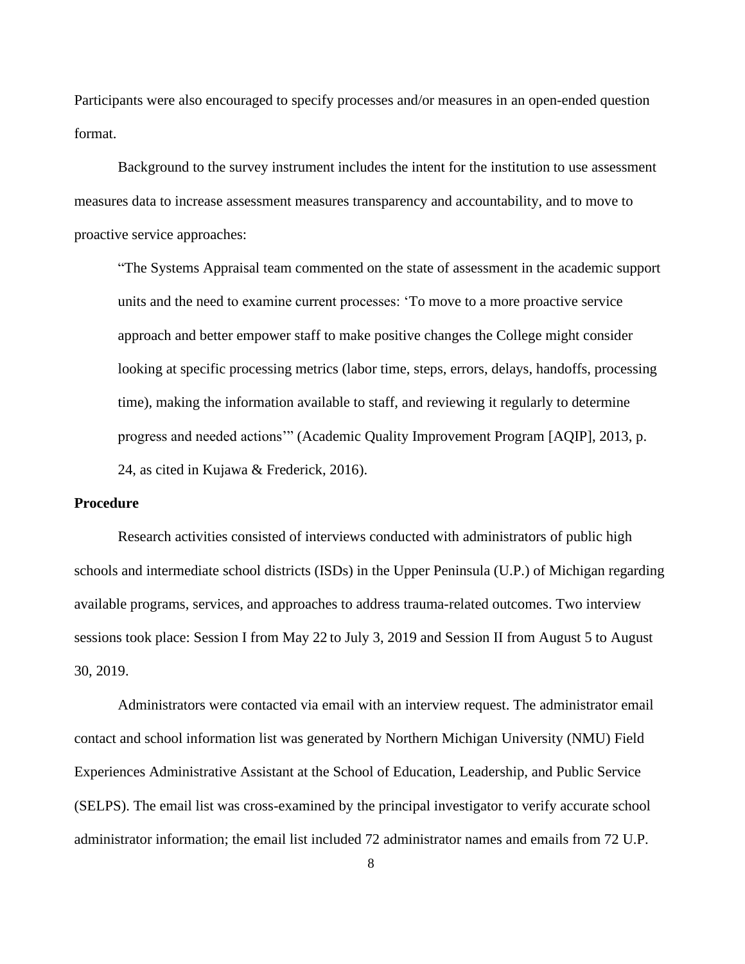Participants were also encouraged to specify processes and/or measures in an open-ended question format.

Background to the survey instrument includes the intent for the institution to use assessment measures data to increase assessment measures transparency and accountability, and to move to proactive service approaches:

"The Systems Appraisal team commented on the state of assessment in the academic support units and the need to examine current processes: 'To move to a more proactive service approach and better empower staff to make positive changes the College might consider looking at specific processing metrics (labor time, steps, errors, delays, handoffs, processing time), making the information available to staff, and reviewing it regularly to determine progress and needed actions'" (Academic Quality Improvement Program [AQIP], 2013, p. 24, as cited in Kujawa & Frederick, 2016).

# <span id="page-18-0"></span>**Procedure**

Research activities consisted of interviews conducted with administrators of public high schools and intermediate school districts (ISDs) in the Upper Peninsula (U.P.) of Michigan regarding available programs, services, and approaches to address trauma-related outcomes. Two interview sessions took place: Session I from May 22 to July 3, 2019 and Session II from August 5 to August 30, 2019.

Administrators were contacted via email with an interview request. The administrator email contact and school information list was generated by Northern Michigan University (NMU) Field Experiences Administrative Assistant at the School of Education, Leadership, and Public Service (SELPS). The email list was cross-examined by the principal investigator to verify accurate school administrator information; the email list included 72 administrator names and emails from 72 U.P.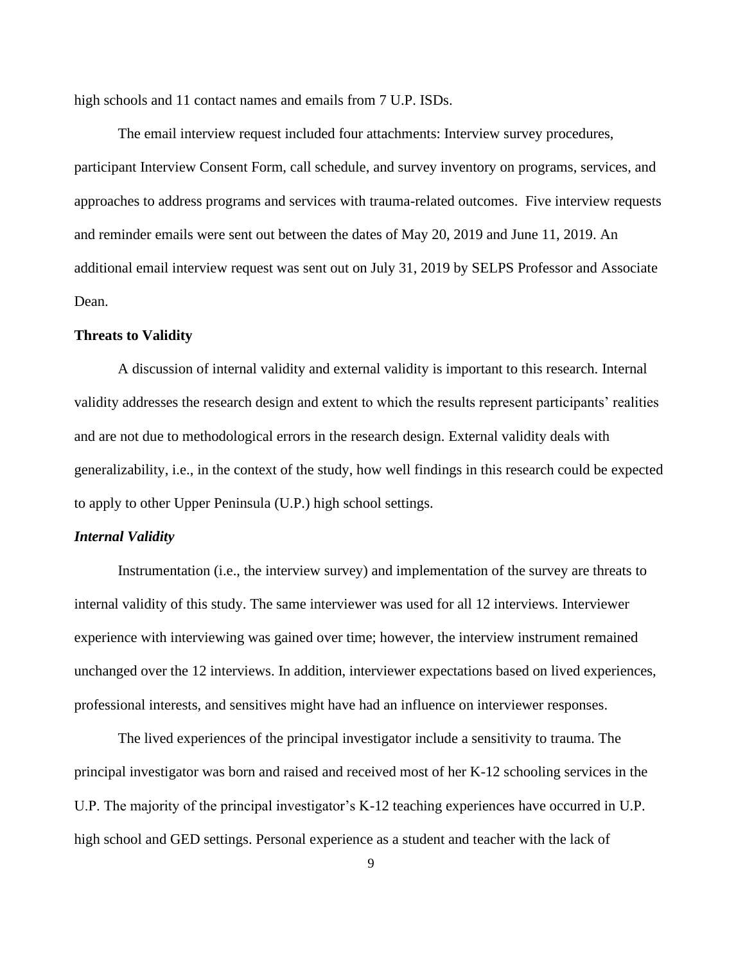high schools and 11 contact names and emails from 7 U.P. ISDs.

The email interview request included four attachments: Interview survey procedures, participant Interview Consent Form, call schedule, and survey inventory on programs, services, and approaches to address programs and services with trauma-related outcomes. Five interview requests and reminder emails were sent out between the dates of May 20, 2019 and June 11, 2019. An additional email interview request was sent out on July 31, 2019 by SELPS Professor and Associate Dean.

# <span id="page-19-0"></span>**Threats to Validity**

A discussion of internal validity and external validity is important to this research. Internal validity addresses the research design and extent to which the results represent participants' realities and are not due to methodological errors in the research design. External validity deals with generalizability, i.e., in the context of the study, how well findings in this research could be expected to apply to other Upper Peninsula (U.P.) high school settings.

#### <span id="page-19-1"></span>*Internal Validity*

Instrumentation (i.e., the interview survey) and implementation of the survey are threats to internal validity of this study. The same interviewer was used for all 12 interviews. Interviewer experience with interviewing was gained over time; however, the interview instrument remained unchanged over the 12 interviews. In addition, interviewer expectations based on lived experiences, professional interests, and sensitives might have had an influence on interviewer responses.

The lived experiences of the principal investigator include a sensitivity to trauma. The principal investigator was born and raised and received most of her K-12 schooling services in the U.P. The majority of the principal investigator's K-12 teaching experiences have occurred in U.P. high school and GED settings. Personal experience as a student and teacher with the lack of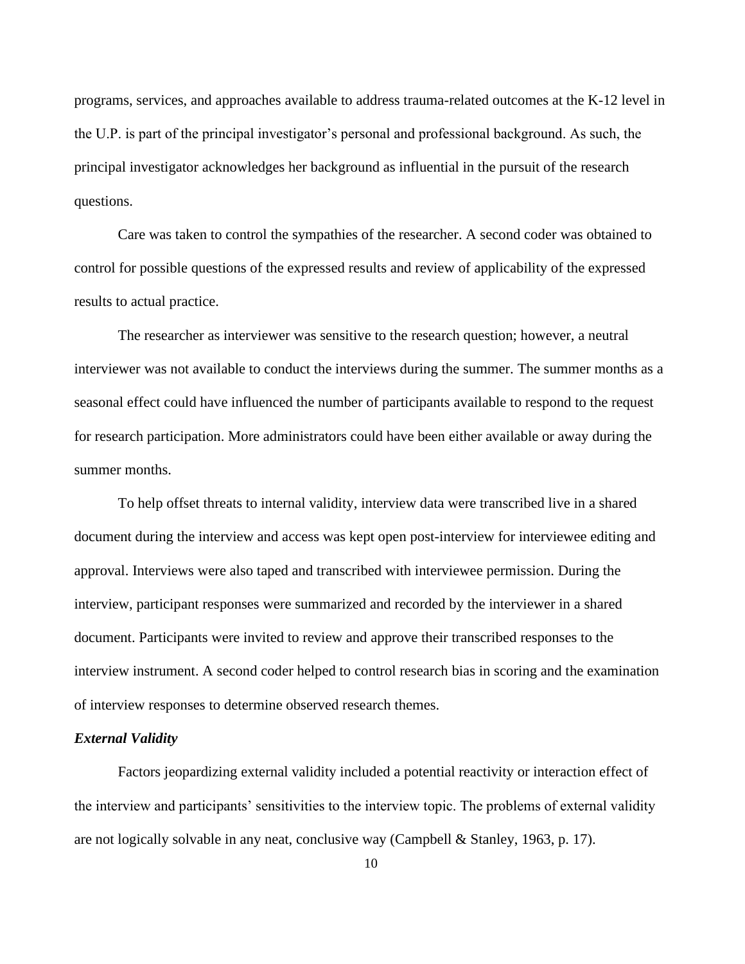programs, services, and approaches available to address trauma-related outcomes at the K-12 level in the U.P. is part of the principal investigator's personal and professional background. As such, the principal investigator acknowledges her background as influential in the pursuit of the research questions.

Care was taken to control the sympathies of the researcher. A second coder was obtained to control for possible questions of the expressed results and review of applicability of the expressed results to actual practice.

The researcher as interviewer was sensitive to the research question; however, a neutral interviewer was not available to conduct the interviews during the summer. The summer months as a seasonal effect could have influenced the number of participants available to respond to the request for research participation. More administrators could have been either available or away during the summer months.

To help offset threats to internal validity, interview data were transcribed live in a shared document during the interview and access was kept open post-interview for interviewee editing and approval. Interviews were also taped and transcribed with interviewee permission. During the interview, participant responses were summarized and recorded by the interviewer in a shared document. Participants were invited to review and approve their transcribed responses to the interview instrument. A second coder helped to control research bias in scoring and the examination of interview responses to determine observed research themes.

### <span id="page-20-0"></span>*External Validity*

Factors jeopardizing external validity included a potential reactivity or interaction effect of the interview and participants' sensitivities to the interview topic. The problems of external validity are not logically solvable in any neat, conclusive way (Campbell & Stanley, 1963, p. 17).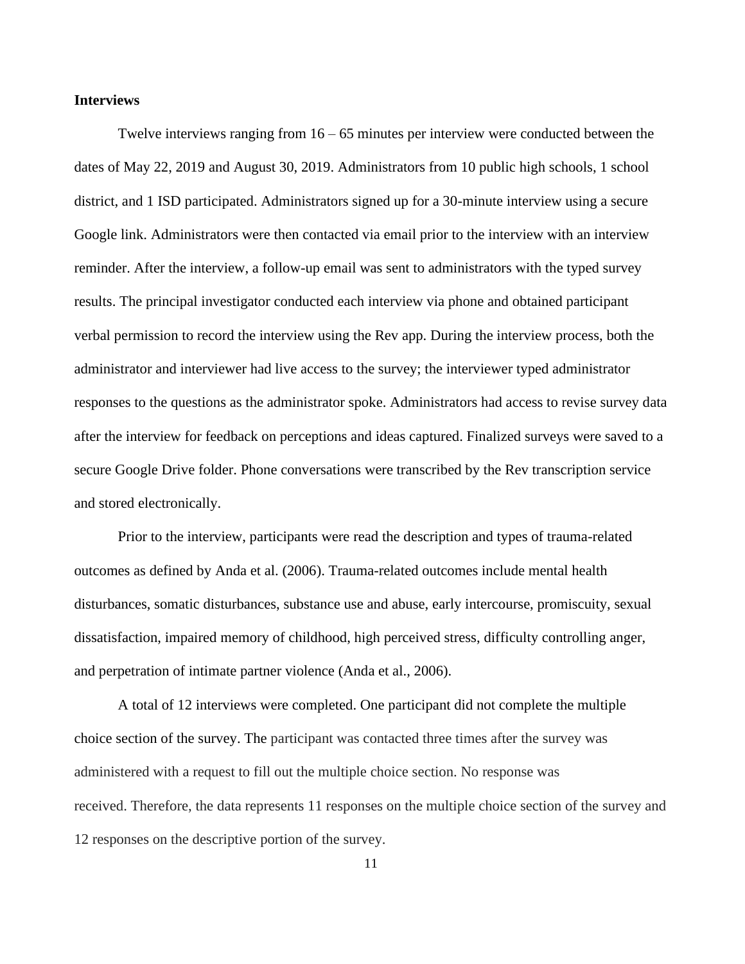#### **Interviews**

Twelve interviews ranging from  $16 - 65$  minutes per interview were conducted between the dates of May 22, 2019 and August 30, 2019. Administrators from 10 public high schools, 1 school district, and 1 ISD participated. Administrators signed up for a 30-minute interview using a secure Google link. Administrators were then contacted via email prior to the interview with an interview reminder. After the interview, a follow-up email was sent to administrators with the typed survey results. The principal investigator conducted each interview via phone and obtained participant verbal permission to record the interview using the Rev app. During the interview process, both the administrator and interviewer had live access to the survey; the interviewer typed administrator responses to the questions as the administrator spoke. Administrators had access to revise survey data after the interview for feedback on perceptions and ideas captured. Finalized surveys were saved to a secure Google Drive folder. Phone conversations were transcribed by the Rev transcription service and stored electronically.

Prior to the interview, participants were read the description and types of trauma-related outcomes as defined by Anda et al. (2006). Trauma-related outcomes include mental health disturbances, somatic disturbances, substance use and abuse, early intercourse, promiscuity, sexual dissatisfaction, impaired memory of childhood, high perceived stress, difficulty controlling anger, and perpetration of intimate partner violence (Anda et al., 2006).

A total of 12 interviews were completed. One participant did not complete the multiple choice section of the survey. The participant was contacted three times after the survey was administered with a request to fill out the multiple choice section. No response was received. Therefore, the data represents 11 responses on the multiple choice section of the survey and 12 responses on the descriptive portion of the survey.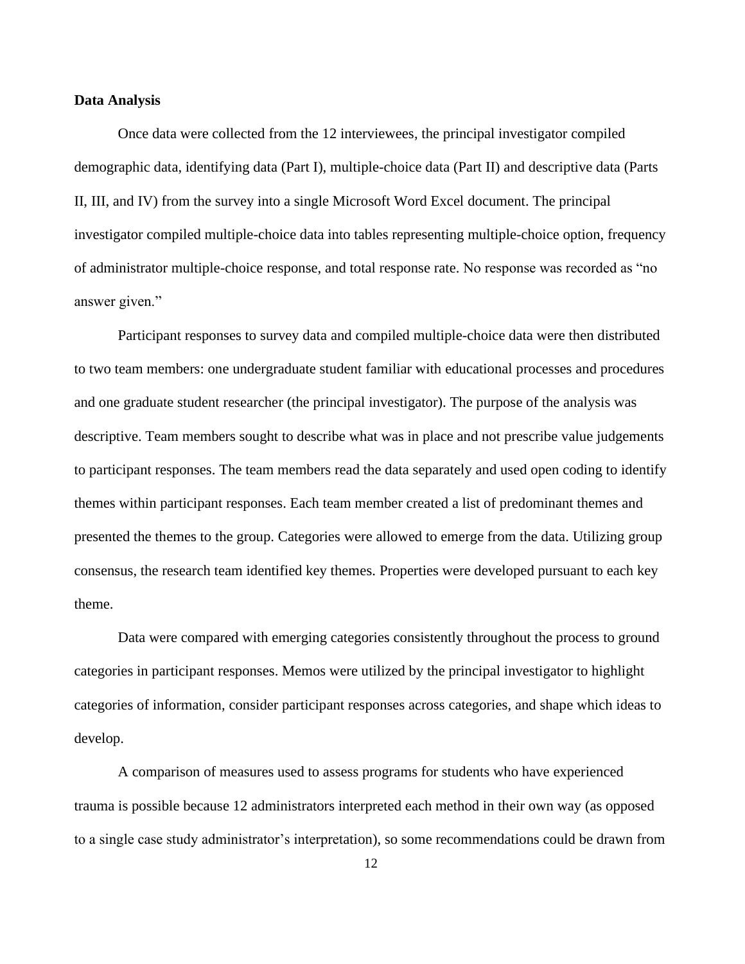#### <span id="page-22-0"></span>**Data Analysis**

Once data were collected from the 12 interviewees, the principal investigator compiled demographic data, identifying data (Part I), multiple-choice data (Part II) and descriptive data (Parts II, III, and IV) from the survey into a single Microsoft Word Excel document. The principal investigator compiled multiple-choice data into tables representing multiple-choice option, frequency of administrator multiple-choice response, and total response rate. No response was recorded as "no answer given."

Participant responses to survey data and compiled multiple-choice data were then distributed to two team members: one undergraduate student familiar with educational processes and procedures and one graduate student researcher (the principal investigator). The purpose of the analysis was descriptive. Team members sought to describe what was in place and not prescribe value judgements to participant responses. The team members read the data separately and used open coding to identify themes within participant responses. Each team member created a list of predominant themes and presented the themes to the group. Categories were allowed to emerge from the data. Utilizing group consensus, the research team identified key themes. Properties were developed pursuant to each key theme.

Data were compared with emerging categories consistently throughout the process to ground categories in participant responses. Memos were utilized by the principal investigator to highlight categories of information, consider participant responses across categories, and shape which ideas to develop.

A comparison of measures used to assess programs for students who have experienced trauma is possible because 12 administrators interpreted each method in their own way (as opposed to a single case study administrator's interpretation), so some recommendations could be drawn from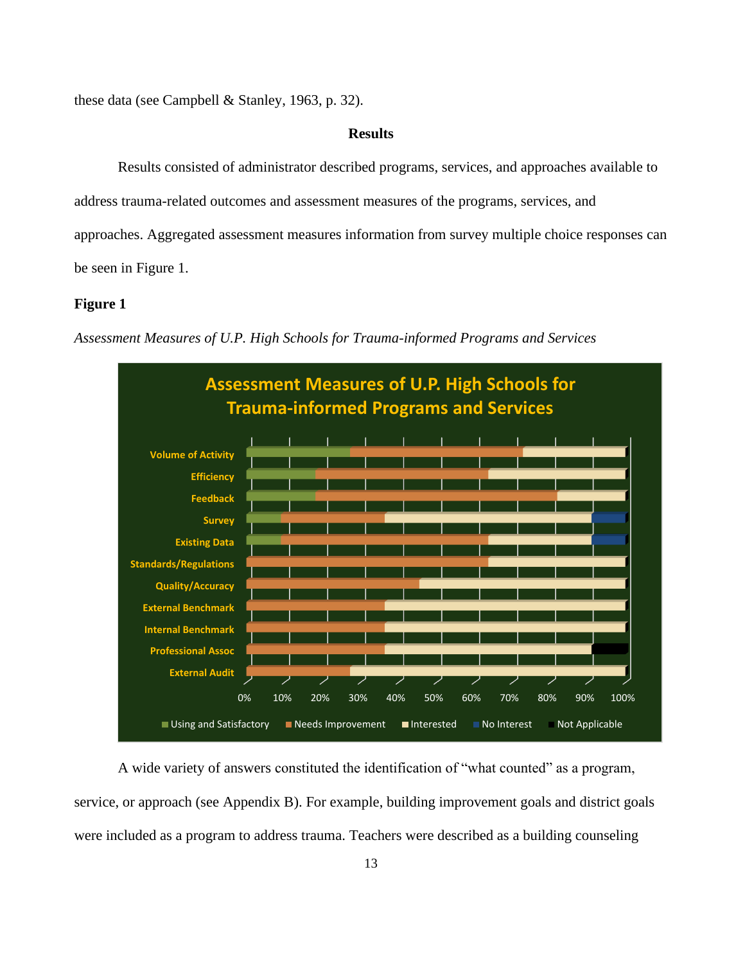<span id="page-23-0"></span>these data (see Campbell & Stanley, 1963, p. 32).

## **Results**

Results consisted of administrator described programs, services, and approaches available to address trauma-related outcomes and assessment measures of the programs, services, and approaches. Aggregated assessment measures information from survey multiple choice responses can be seen in Figure 1.

# <span id="page-23-1"></span>**Figure 1**



*Assessment Measures of U.P. High Schools for Trauma-informed Programs and Services*

A wide variety of answers constituted the identification of "what counted" as a program, service, or approach (see Appendix B). For example, building improvement goals and district goals were included as a program to address trauma. Teachers were described as a building counseling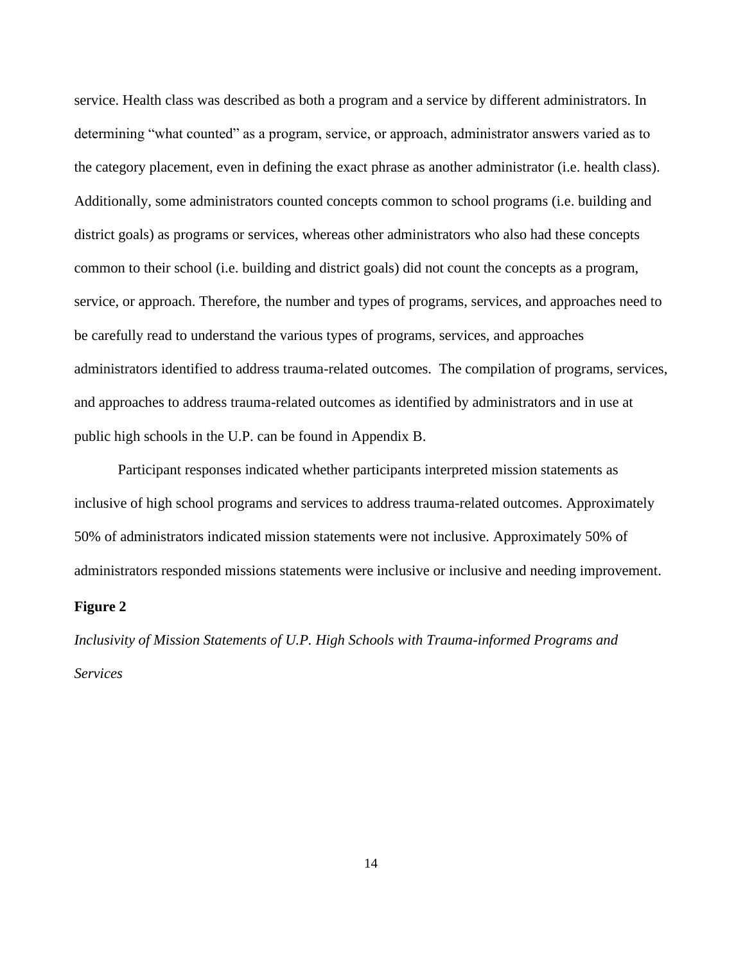service. Health class was described as both a program and a service by different administrators. In determining "what counted" as a program, service, or approach, administrator answers varied as to the category placement, even in defining the exact phrase as another administrator (i.e. health class). Additionally, some administrators counted concepts common to school programs (i.e. building and district goals) as programs or services, whereas other administrators who also had these concepts common to their school (i.e. building and district goals) did not count the concepts as a program, service, or approach. Therefore, the number and types of programs, services, and approaches need to be carefully read to understand the various types of programs, services, and approaches administrators identified to address trauma-related outcomes. The compilation of programs, services, and approaches to address trauma-related outcomes as identified by administrators and in use at public high schools in the U.P. can be found in Appendix B.

<span id="page-24-0"></span>Participant responses indicated whether participants interpreted mission statements as inclusive of high school programs and services to address trauma-related outcomes. Approximately 50% of administrators indicated mission statements were not inclusive. Approximately 50% of administrators responded missions statements were inclusive or inclusive and needing improvement.

# **Figure 2**

*Inclusivity of Mission Statements of U.P. High Schools with Trauma-informed Programs and Services*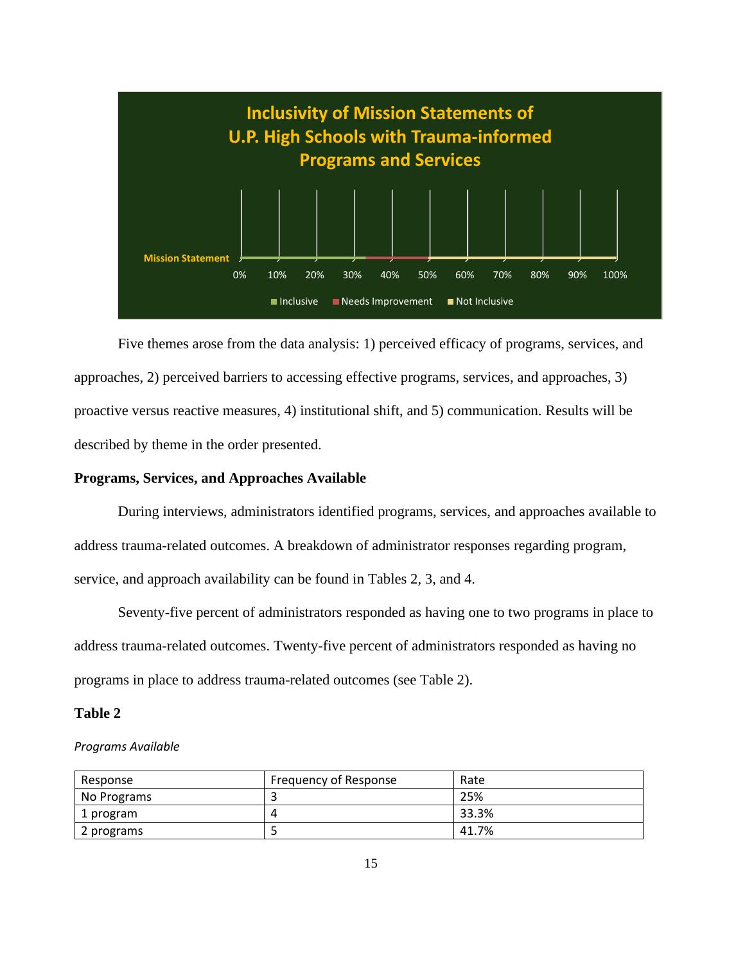

Five themes arose from the data analysis: 1) perceived efficacy of programs, services, and approaches, 2) perceived barriers to accessing effective programs, services, and approaches, 3) proactive versus reactive measures, 4) institutional shift, and 5) communication. Results will be described by theme in the order presented.

# **Programs, Services, and Approaches Available**

During interviews, administrators identified programs, services, and approaches available to address trauma-related outcomes. A breakdown of administrator responses regarding program, service, and approach availability can be found in Tables 2, 3, and 4.

Seventy-five percent of administrators responded as having one to two programs in place to address trauma-related outcomes. Twenty-five percent of administrators responded as having no programs in place to address trauma-related outcomes (see Table 2).

#### <span id="page-25-0"></span>**Table 2**

#### *Programs Available*

| Response    | Frequency of Response | Rate  |
|-------------|-----------------------|-------|
| No Programs |                       | 25%   |
| 1 program   |                       | 33.3% |
| 2 programs  |                       | 41.7% |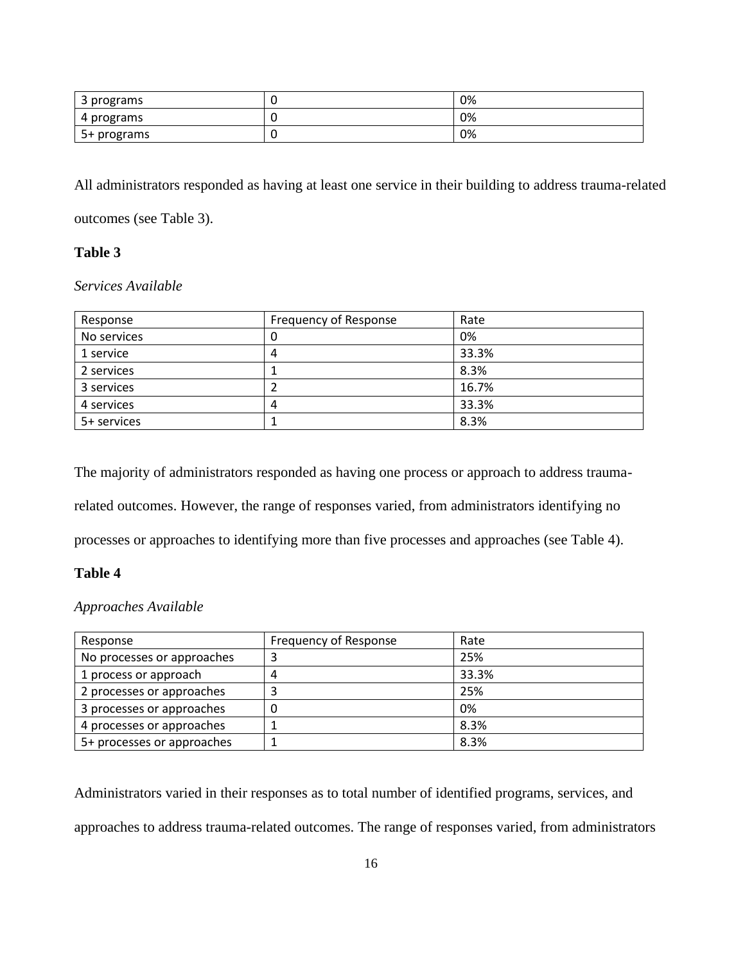| ⌒<br>' programs<br>э | 0% |
|----------------------|----|
| 4 programs           | 0% |
| 5+ programs          | 0% |

All administrators responded as having at least one service in their building to address trauma-related outcomes (see Table 3).

# <span id="page-26-0"></span>**Table 3**

# *Services Available*

| Response    | Frequency of Response | Rate  |
|-------------|-----------------------|-------|
| No services | 0                     | 0%    |
| 1 service   | 4                     | 33.3% |
| 2 services  |                       | 8.3%  |
| 3 services  |                       | 16.7% |
| 4 services  | 4                     | 33.3% |
| 5+ services |                       | 8.3%  |

The majority of administrators responded as having one process or approach to address trauma-

related outcomes. However, the range of responses varied, from administrators identifying no

processes or approaches to identifying more than five processes and approaches (see Table 4).

# <span id="page-26-1"></span>**Table 4**

# *Approaches Available*

| Response                   | Frequency of Response | Rate  |
|----------------------------|-----------------------|-------|
| No processes or approaches | ີ                     | 25%   |
| 1 process or approach      | 4                     | 33.3% |
| 2 processes or approaches  |                       | 25%   |
| 3 processes or approaches  |                       | 0%    |
| 4 processes or approaches  |                       | 8.3%  |
| 5+ processes or approaches |                       | 8.3%  |

Administrators varied in their responses as to total number of identified programs, services, and approaches to address trauma-related outcomes. The range of responses varied, from administrators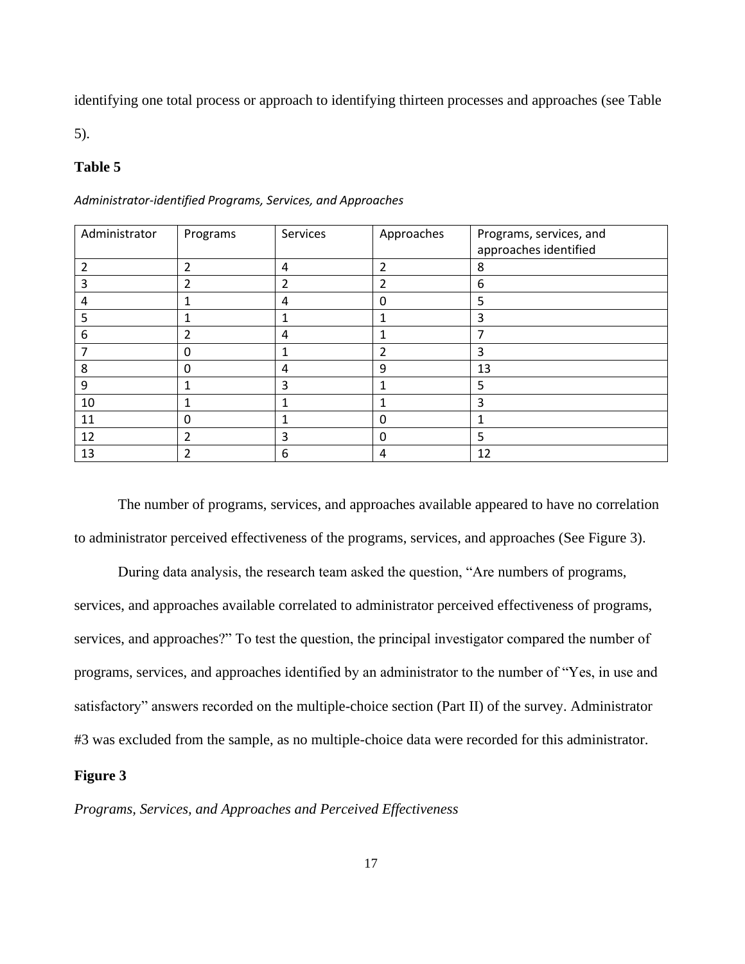identifying one total process or approach to identifying thirteen processes and approaches (see Table

5).

# <span id="page-27-0"></span>**Table 5**

| Administrator | Programs       | Services       | Approaches              | Programs, services, and<br>approaches identified |
|---------------|----------------|----------------|-------------------------|--------------------------------------------------|
| 2             | $\overline{2}$ | 4              | $\overline{\mathbf{c}}$ | 8                                                |
| 3             | $\overline{2}$ | $\overline{2}$ | 2                       | 6                                                |
| 4             | 1              | 4              | ი                       | 5                                                |
| 5             | 1              | 1              |                         | 3                                                |
| 6             | 2              | 4              |                         |                                                  |
|               | 0              | 1              | 2                       | 3                                                |
| 8             | $\mathbf 0$    | 4              | 9                       | 13                                               |
| 9             | 1              | 3              |                         | 5                                                |
| 10            |                | 1              |                         | 3                                                |
| 11            | 0              |                | 0                       | 1                                                |
| 12            | 2              | 3              | 0                       | 5                                                |
| 13            | $\overline{2}$ | 6              | 4                       | 12                                               |

*Administrator-identified Programs, Services, and Approaches*

<span id="page-27-1"></span>The number of programs, services, and approaches available appeared to have no correlation to administrator perceived effectiveness of the programs, services, and approaches (See Figure 3).

During data analysis, the research team asked the question, "Are numbers of programs, services, and approaches available correlated to administrator perceived effectiveness of programs, services, and approaches?" To test the question, the principal investigator compared the number of programs, services, and approaches identified by an administrator to the number of "Yes, in use and satisfactory" answers recorded on the multiple-choice section (Part II) of the survey. Administrator #3 was excluded from the sample, as no multiple-choice data were recorded for this administrator.

## **Figure 3**

*Programs, Services, and Approaches and Perceived Effectiveness*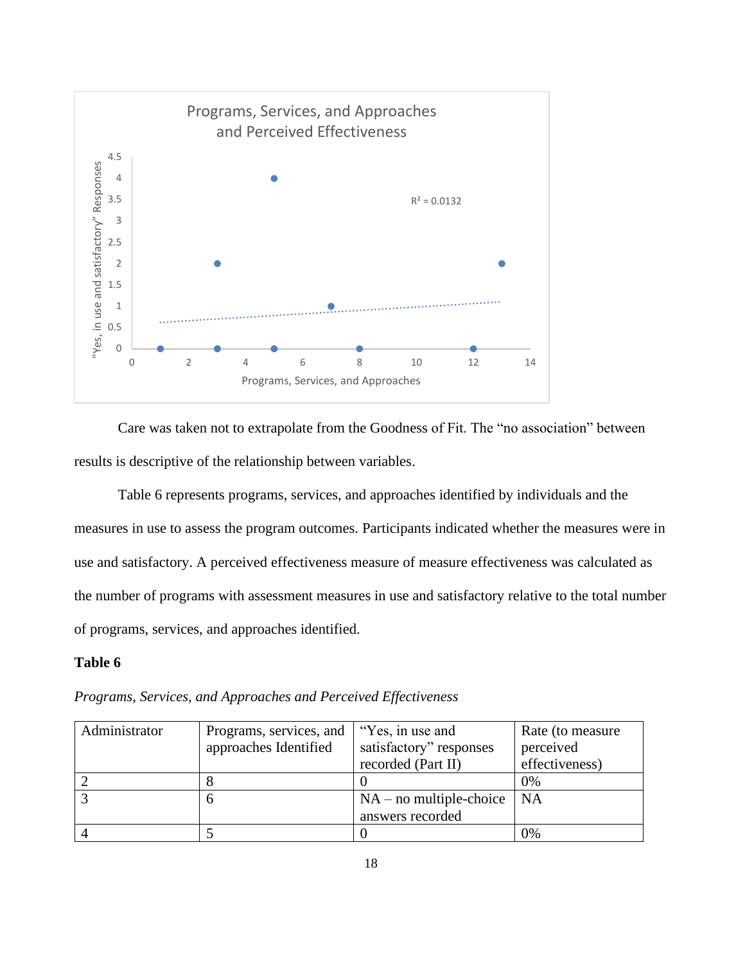

Care was taken not to extrapolate from the Goodness of Fit. The "no association" between results is descriptive of the relationship between variables.

Table 6 represents programs, services, and approaches identified by individuals and the measures in use to assess the program outcomes. Participants indicated whether the measures were in use and satisfactory. A perceived effectiveness measure of measure effectiveness was calculated as the number of programs with assessment measures in use and satisfactory relative to the total number of programs, services, and approaches identified.

# <span id="page-28-0"></span>**Table 6**

*Programs, Services, and Approaches and Perceived Effectiveness*

| Administrator | Programs, services, and | "Yes, in use and          | Rate (to measure |
|---------------|-------------------------|---------------------------|------------------|
|               | approaches Identified   | satisfactory" responses   | perceived        |
|               |                         | recorded (Part II)        | effectiveness)   |
|               |                         |                           | 0%               |
|               |                         | $NA$ – no multiple-choice | <b>NA</b>        |
|               |                         | answers recorded          |                  |
|               |                         |                           | 0%               |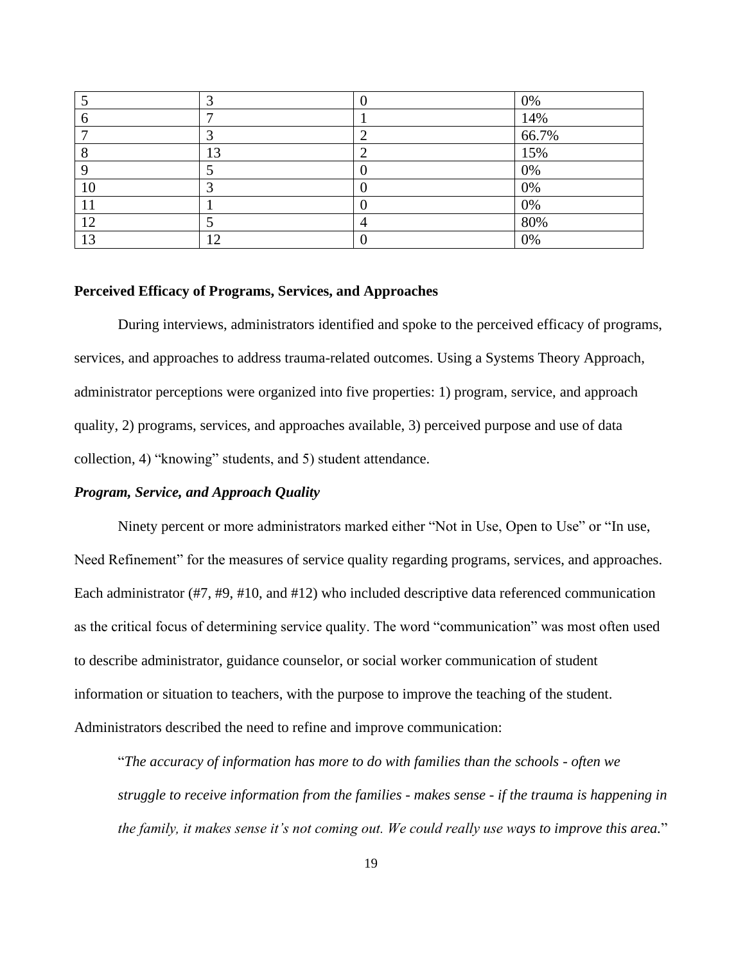|    |     | 0%    |
|----|-----|-------|
|    |     | 14%   |
|    |     | 66.7% |
|    | 13  | 15%   |
|    |     | $0\%$ |
| 10 |     | $0\%$ |
|    |     | 0%    |
| 12 |     | 80%   |
| 13 | ר ו | 0%    |

#### <span id="page-29-0"></span>**Perceived Efficacy of Programs, Services, and Approaches**

During interviews, administrators identified and spoke to the perceived efficacy of programs, services, and approaches to address trauma-related outcomes. Using a Systems Theory Approach, administrator perceptions were organized into five properties: 1) program, service, and approach quality, 2) programs, services, and approaches available, 3) perceived purpose and use of data collection, 4) "knowing" students, and 5) student attendance.

#### <span id="page-29-1"></span>*Program, Service, and Approach Quality*

Ninety percent or more administrators marked either "Not in Use, Open to Use" or "In use, Need Refinement" for the measures of service quality regarding programs, services, and approaches. Each administrator (#7, #9, #10, and #12) who included descriptive data referenced communication as the critical focus of determining service quality. The word "communication" was most often used to describe administrator, guidance counselor, or social worker communication of student information or situation to teachers, with the purpose to improve the teaching of the student. Administrators described the need to refine and improve communication:

"*The accuracy of information has more to do with families than the schools - often we struggle to receive information from the families - makes sense - if the trauma is happening in the family, it makes sense it's not coming out. We could really use ways to improve this area.*"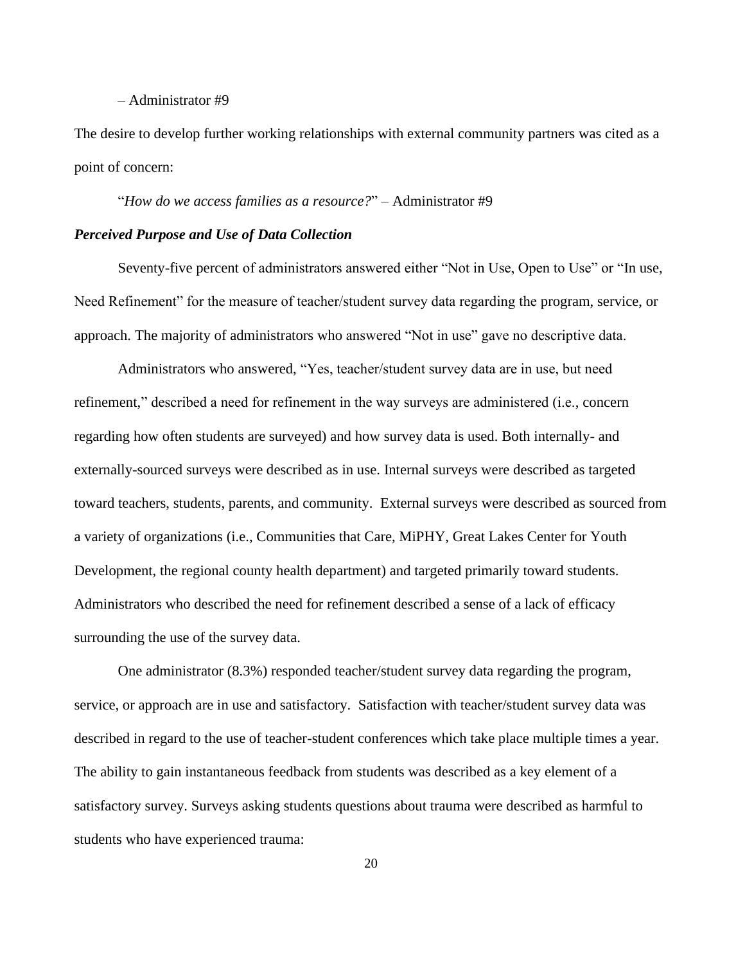#### – Administrator #9

The desire to develop further working relationships with external community partners was cited as a point of concern:

"*How do we access families as a resource?*" – Administrator #9

#### <span id="page-30-0"></span>*Perceived Purpose and Use of Data Collection*

Seventy-five percent of administrators answered either "Not in Use, Open to Use" or "In use, Need Refinement" for the measure of teacher/student survey data regarding the program, service, or approach. The majority of administrators who answered "Not in use" gave no descriptive data.

Administrators who answered, "Yes, teacher/student survey data are in use, but need refinement," described a need for refinement in the way surveys are administered (i.e., concern regarding how often students are surveyed) and how survey data is used. Both internally- and externally-sourced surveys were described as in use. Internal surveys were described as targeted toward teachers, students, parents, and community. External surveys were described as sourced from a variety of organizations (i.e., Communities that Care, MiPHY, Great Lakes Center for Youth Development, the regional county health department) and targeted primarily toward students. Administrators who described the need for refinement described a sense of a lack of efficacy surrounding the use of the survey data.

One administrator (8.3%) responded teacher/student survey data regarding the program, service, or approach are in use and satisfactory. Satisfaction with teacher/student survey data was described in regard to the use of teacher-student conferences which take place multiple times a year. The ability to gain instantaneous feedback from students was described as a key element of a satisfactory survey. Surveys asking students questions about trauma were described as harmful to students who have experienced trauma: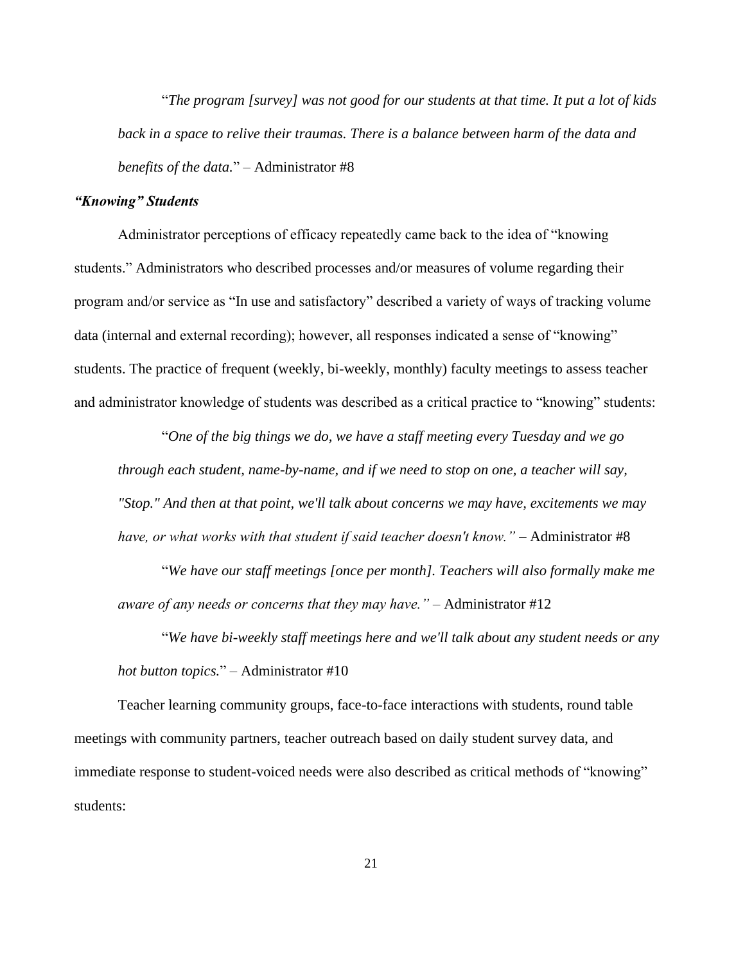"*The program [survey] was not good for our students at that time. It put a lot of kids back in a space to relive their traumas. There is a balance between harm of the data and benefits of the data.*" – Administrator #8

## <span id="page-31-0"></span>*"Knowing" Students*

Administrator perceptions of efficacy repeatedly came back to the idea of "knowing students." Administrators who described processes and/or measures of volume regarding their program and/or service as "In use and satisfactory" described a variety of ways of tracking volume data (internal and external recording); however, all responses indicated a sense of "knowing" students. The practice of frequent (weekly, bi-weekly, monthly) faculty meetings to assess teacher and administrator knowledge of students was described as a critical practice to "knowing" students:

"*One of the big things we do, we have a staff meeting every Tuesday and we go through each student, name-by-name, and if we need to stop on one, a teacher will say, "Stop." And then at that point, we'll talk about concerns we may have, excitements we may have, or what works with that student if said teacher doesn't know."* – Administrator #8

"*We have our staff meetings [once per month]. Teachers will also formally make me aware of any needs or concerns that they may have."* – Administrator #12

"*We have bi-weekly staff meetings here and we'll talk about any student needs or any hot button topics.*" – Administrator #10

Teacher learning community groups, face-to-face interactions with students, round table meetings with community partners, teacher outreach based on daily student survey data, and immediate response to student-voiced needs were also described as critical methods of "knowing" students: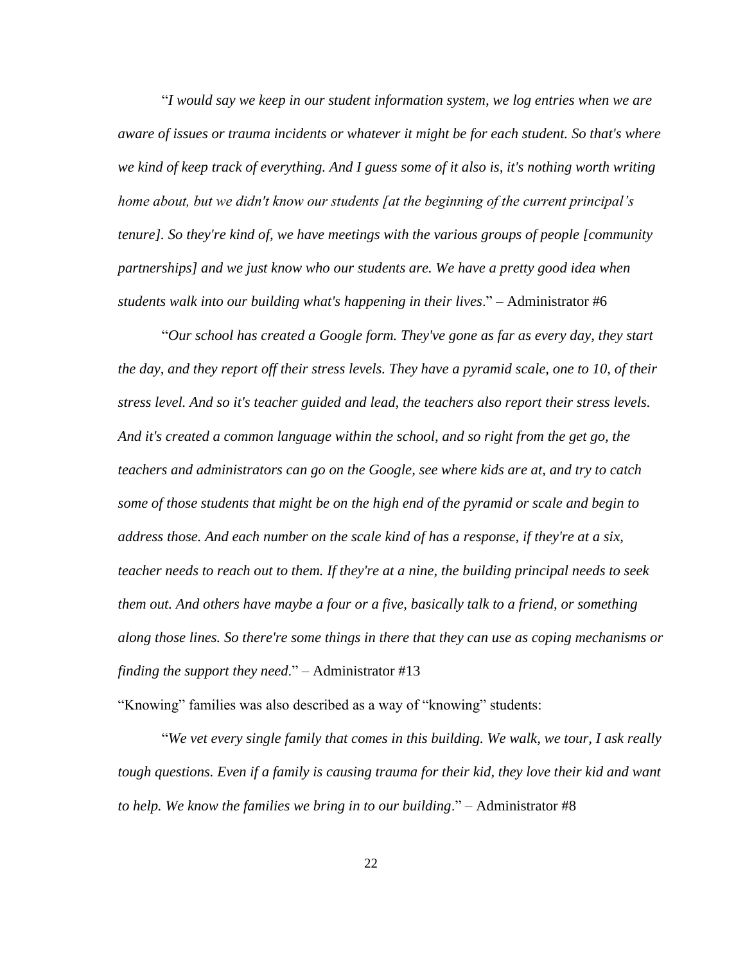"*I would say we keep in our student information system, we log entries when we are aware of issues or trauma incidents or whatever it might be for each student. So that's where we kind of keep track of everything. And I guess some of it also is, it's nothing worth writing home about, but we didn't know our students [at the beginning of the current principal's tenure]. So they're kind of, we have meetings with the various groups of people [community partnerships] and we just know who our students are. We have a pretty good idea when students walk into our building what's happening in their lives*." – Administrator #6

"*Our school has created a Google form. They've gone as far as every day, they start the day, and they report off their stress levels. They have a pyramid scale, one to 10, of their stress level. And so it's teacher guided and lead, the teachers also report their stress levels. And it's created a common language within the school, and so right from the get go, the teachers and administrators can go on the Google, see where kids are at, and try to catch some of those students that might be on the high end of the pyramid or scale and begin to address those. And each number on the scale kind of has a response, if they're at a six, teacher needs to reach out to them. If they're at a nine, the building principal needs to seek them out. And others have maybe a four or a five, basically talk to a friend, or something along those lines. So there're some things in there that they can use as coping mechanisms or finding the support they need*." – Administrator #13

"Knowing" families was also described as a way of "knowing" students:

"*We vet every single family that comes in this building. We walk, we tour, I ask really tough questions. Even if a family is causing trauma for their kid, they love their kid and want to help. We know the families we bring in to our building*." – Administrator #8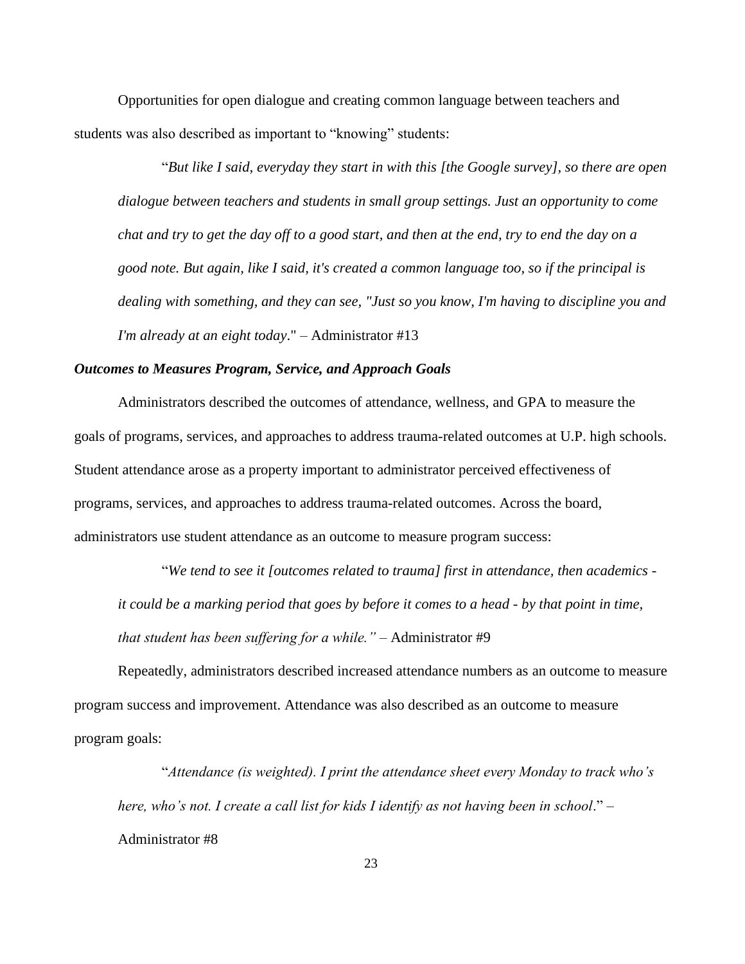Opportunities for open dialogue and creating common language between teachers and students was also described as important to "knowing" students:

"*But like I said, everyday they start in with this [the Google survey], so there are open dialogue between teachers and students in small group settings. Just an opportunity to come chat and try to get the day off to a good start, and then at the end, try to end the day on a good note. But again, like I said, it's created a common language too, so if the principal is dealing with something, and they can see, "Just so you know, I'm having to discipline you and I'm already at an eight today*." – Administrator #13

#### <span id="page-33-0"></span>*Outcomes to Measures Program, Service, and Approach Goals*

Administrators described the outcomes of attendance, wellness, and GPA to measure the goals of programs, services, and approaches to address trauma-related outcomes at U.P. high schools. Student attendance arose as a property important to administrator perceived effectiveness of programs, services, and approaches to address trauma-related outcomes. Across the board, administrators use student attendance as an outcome to measure program success:

"*We tend to see it [outcomes related to trauma] first in attendance, then academics it could be a marking period that goes by before it comes to a head - by that point in time, that student has been suffering for a while."* – Administrator #9

Repeatedly, administrators described increased attendance numbers as an outcome to measure program success and improvement. Attendance was also described as an outcome to measure program goals:

"*Attendance (is weighted). I print the attendance sheet every Monday to track who's here, who's not. I create a call list for kids I identify as not having been in school*." – Administrator #8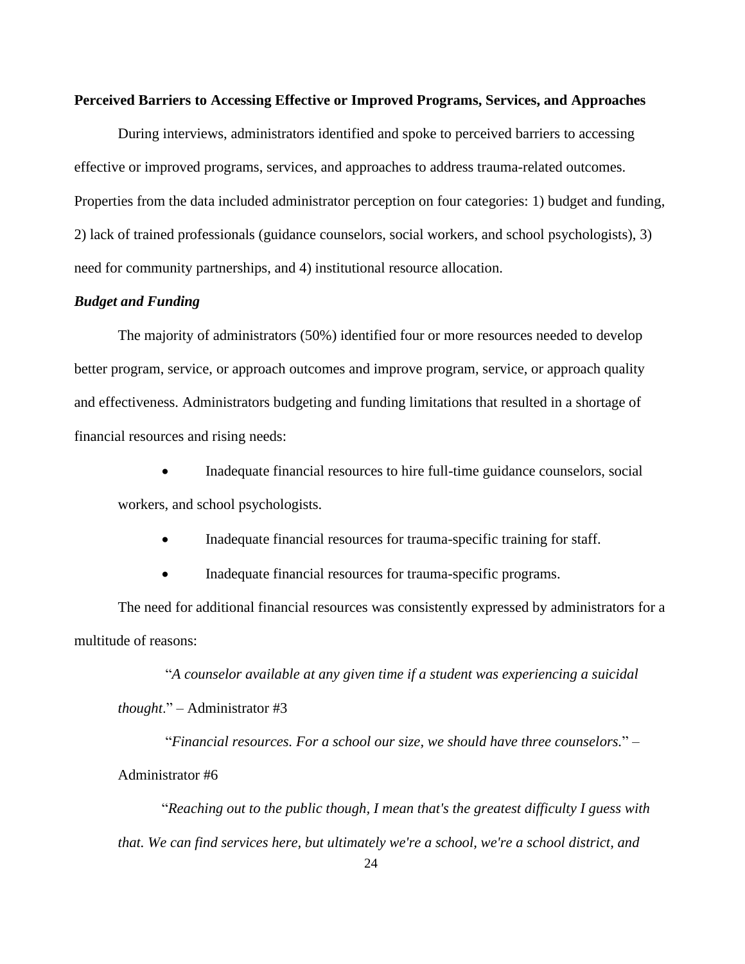#### <span id="page-34-0"></span>**Perceived Barriers to Accessing Effective or Improved Programs, Services, and Approaches**

During interviews, administrators identified and spoke to perceived barriers to accessing effective or improved programs, services, and approaches to address trauma-related outcomes. Properties from the data included administrator perception on four categories: 1) budget and funding, 2) lack of trained professionals (guidance counselors, social workers, and school psychologists), 3) need for community partnerships, and 4) institutional resource allocation.

## <span id="page-34-1"></span>*Budget and Funding*

The majority of administrators (50%) identified four or more resources needed to develop better program, service, or approach outcomes and improve program, service, or approach quality and effectiveness. Administrators budgeting and funding limitations that resulted in a shortage of financial resources and rising needs:

• Inadequate financial resources to hire full-time guidance counselors, social workers, and school psychologists.

• Inadequate financial resources for trauma-specific training for staff.

• Inadequate financial resources for trauma-specific programs.

The need for additional financial resources was consistently expressed by administrators for a multitude of reasons:

"*A counselor available at any given time if a student was experiencing a suicidal thought*." – Administrator #3

"*Financial resources. For a school our size, we should have three counselors.*" – Administrator #6

"*Reaching out to the public though, I mean that's the greatest difficulty I guess with that. We can find services here, but ultimately we're a school, we're a school district, and*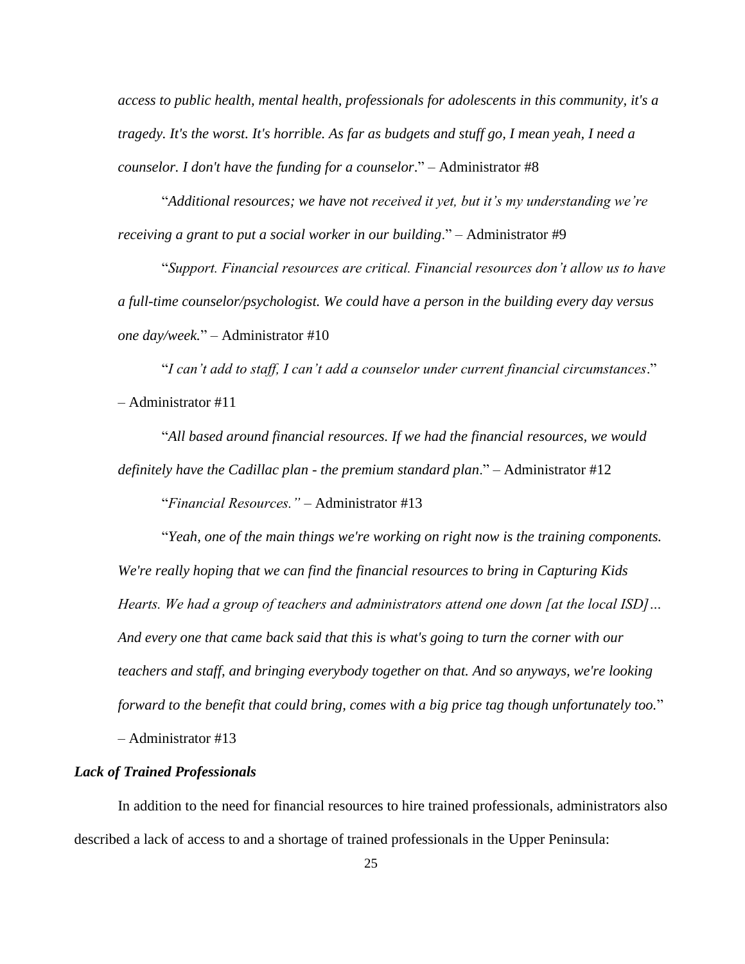*access to public health, mental health, professionals for adolescents in this community, it's a tragedy. It's the worst. It's horrible. As far as budgets and stuff go, I mean yeah, I need a counselor. I don't have the funding for a counselor*." – Administrator #8

"*Additional resources; we have not received it yet, but it's my understanding we're receiving a grant to put a social worker in our building*." – Administrator #9

"*Support. Financial resources are critical. Financial resources don't allow us to have a full-time counselor/psychologist. We could have a person in the building every day versus one day/week.*" – Administrator #10

"*I can't add to staff, I can't add a counselor under current financial circumstances*." – Administrator #11

"*All based around financial resources. If we had the financial resources, we would definitely have the Cadillac plan - the premium standard plan*." – Administrator #12

"*Financial Resources."* – Administrator #13

"*Yeah, one of the main things we're working on right now is the training components. We're really hoping that we can find the financial resources to bring in Capturing Kids Hearts. We had a group of teachers and administrators attend one down [at the local ISD]… And every one that came back said that this is what's going to turn the corner with our teachers and staff, and bringing everybody together on that. And so anyways, we're looking forward to the benefit that could bring, comes with a big price tag though unfortunately too.*" *–* Administrator #13

# <span id="page-35-0"></span>*Lack of Trained Professionals*

In addition to the need for financial resources to hire trained professionals, administrators also described a lack of access to and a shortage of trained professionals in the Upper Peninsula: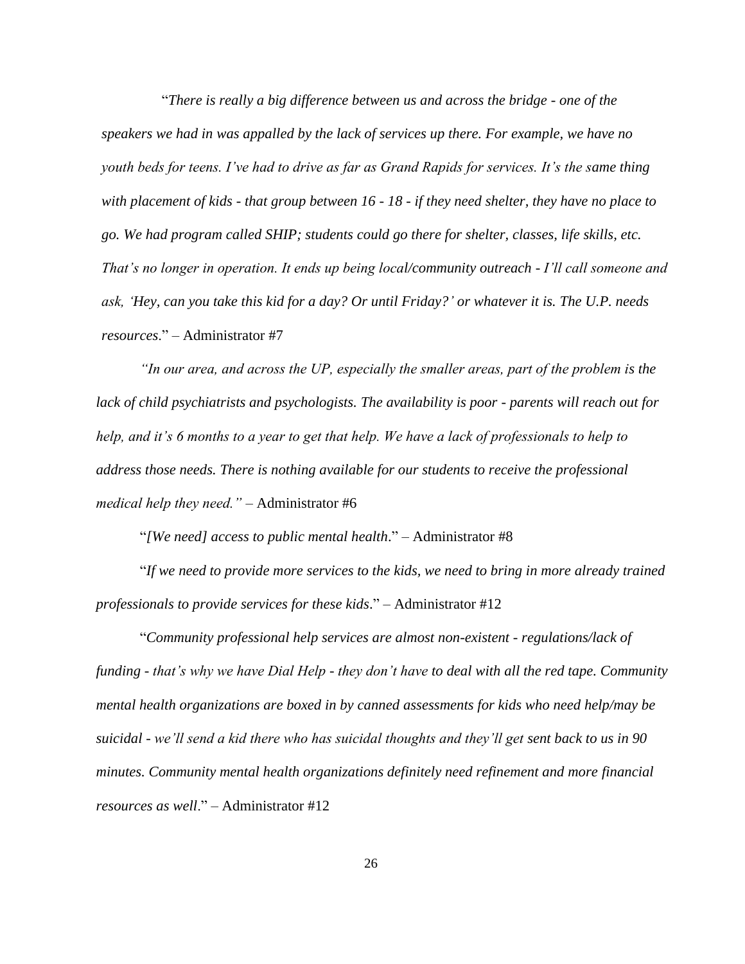"*There is really a big difference between us and across the bridge - one of the speakers we had in was appalled by the lack of services up there. For example, we have no youth beds for teens. I've had to drive as far as Grand Rapids for services. It's the same thing with placement of kids - that group between 16 - 18 - if they need shelter, they have no place to go. We had program called SHIP; students could go there for shelter, classes, life skills, etc. That's no longer in operation. It ends up being local/community outreach - I'll call someone and ask, 'Hey, can you take this kid for a day? Or until Friday?' or whatever it is. The U.P. needs resources*." – Administrator #7

*"In our area, and across the UP, especially the smaller areas, part of the problem is the lack of child psychiatrists and psychologists. The availability is poor - parents will reach out for help, and it's 6 months to a year to get that help. We have a lack of professionals to help to address those needs. There is nothing available for our students to receive the professional medical help they need."* – Administrator #6

"*[We need] access to public mental health*." – Administrator #8

"*If we need to provide more services to the kids, we need to bring in more already trained professionals to provide services for these kids*." – Administrator #12

"*Community professional help services are almost non-existent - regulations/lack of funding - that's why we have Dial Help - they don't have to deal with all the red tape. Community mental health organizations are boxed in by canned assessments for kids who need help/may be suicidal - we'll send a kid there who has suicidal thoughts and they'll get sent back to us in 90 minutes. Community mental health organizations definitely need refinement and more financial resources as well*." – Administrator #12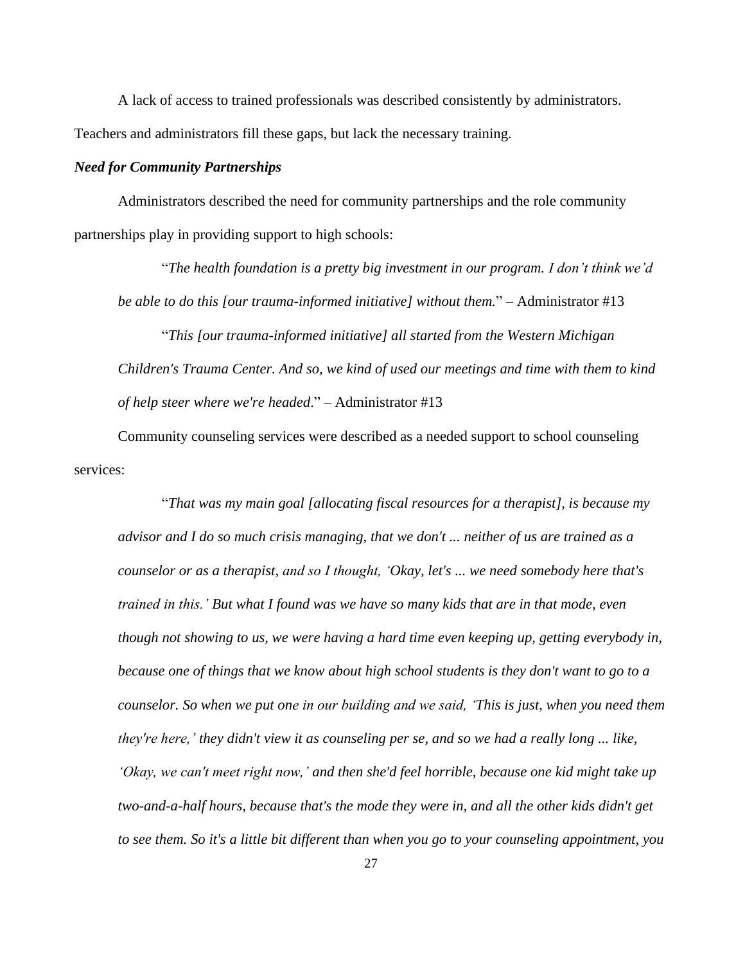A lack of access to trained professionals was described consistently by administrators. Teachers and administrators fill these gaps, but lack the necessary training.

### *Need for Community Partnerships*

Administrators described the need for community partnerships and the role community partnerships play in providing support to high schools:

"*The health foundation is a pretty big investment in our program. I don't think we'd be able to do this [our trauma-informed initiative] without them.*" – Administrator #13

"*This [our trauma-informed initiative] all started from the Western Michigan Children's Trauma Center. And so, we kind of used our meetings and time with them to kind of help steer where we're headed*." – Administrator #13

Community counseling services were described as a needed support to school counseling services:

"*That was my main goal [allocating fiscal resources for a therapist], is because my advisor and I do so much crisis managing, that we don't ... neither of us are trained as a counselor or as a therapist, and so I thought, 'Okay, let's ... we need somebody here that's trained in this.' But what I found was we have so many kids that are in that mode, even though not showing to us, we were having a hard time even keeping up, getting everybody in, because one of things that we know about high school students is they don't want to go to a counselor. So when we put one in our building and we said, 'This is just, when you need them they're here,' they didn't view it as counseling per se, and so we had a really long ... like, 'Okay, we can't meet right now,' and then she'd feel horrible, because one kid might take up two-and-a-half hours, because that's the mode they were in, and all the other kids didn't get to see them. So it's a little bit different than when you go to your counseling appointment, you*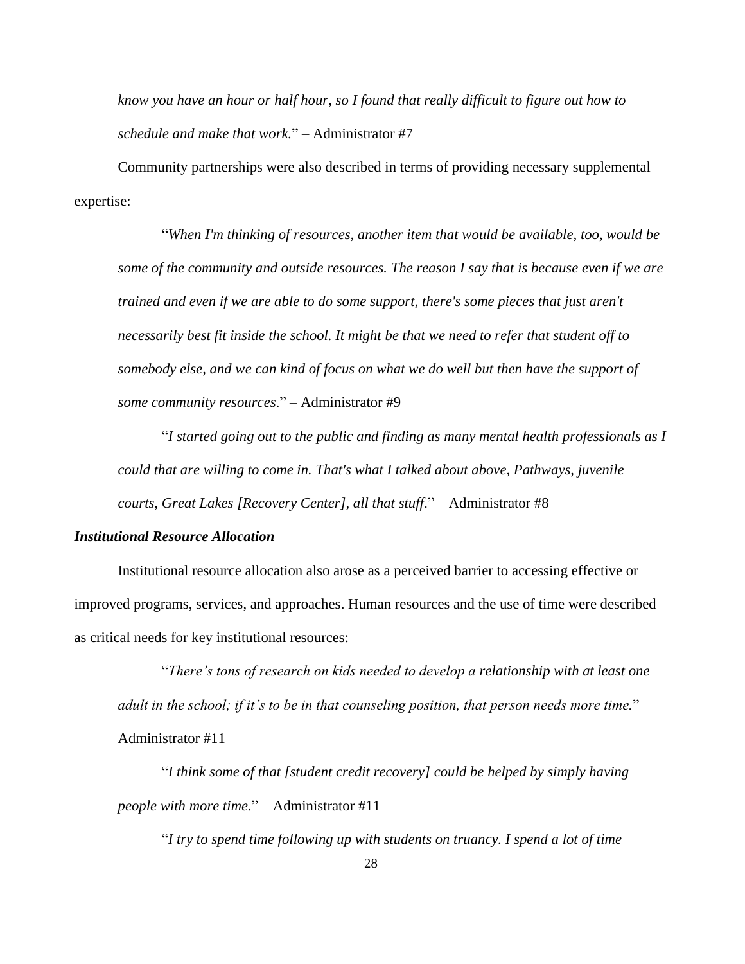*know you have an hour or half hour, so I found that really difficult to figure out how to schedule and make that work.*" – Administrator #7

Community partnerships were also described in terms of providing necessary supplemental expertise:

"*When I'm thinking of resources, another item that would be available, too, would be some of the community and outside resources. The reason I say that is because even if we are trained and even if we are able to do some support, there's some pieces that just aren't necessarily best fit inside the school. It might be that we need to refer that student off to somebody else, and we can kind of focus on what we do well but then have the support of some community resources*." – Administrator #9

"*I started going out to the public and finding as many mental health professionals as I could that are willing to come in. That's what I talked about above, Pathways, juvenile courts, Great Lakes [Recovery Center], all that stuff*." – Administrator #8

### *Institutional Resource Allocation*

Institutional resource allocation also arose as a perceived barrier to accessing effective or improved programs, services, and approaches. Human resources and the use of time were described as critical needs for key institutional resources:

"*There's tons of research on kids needed to develop a relationship with at least one adult in the school; if it's to be in that counseling position, that person needs more time.*" – Administrator #11

"*I think some of that [student credit recovery] could be helped by simply having people with more time*." – Administrator #11

"*I try to spend time following up with students on truancy. I spend a lot of time*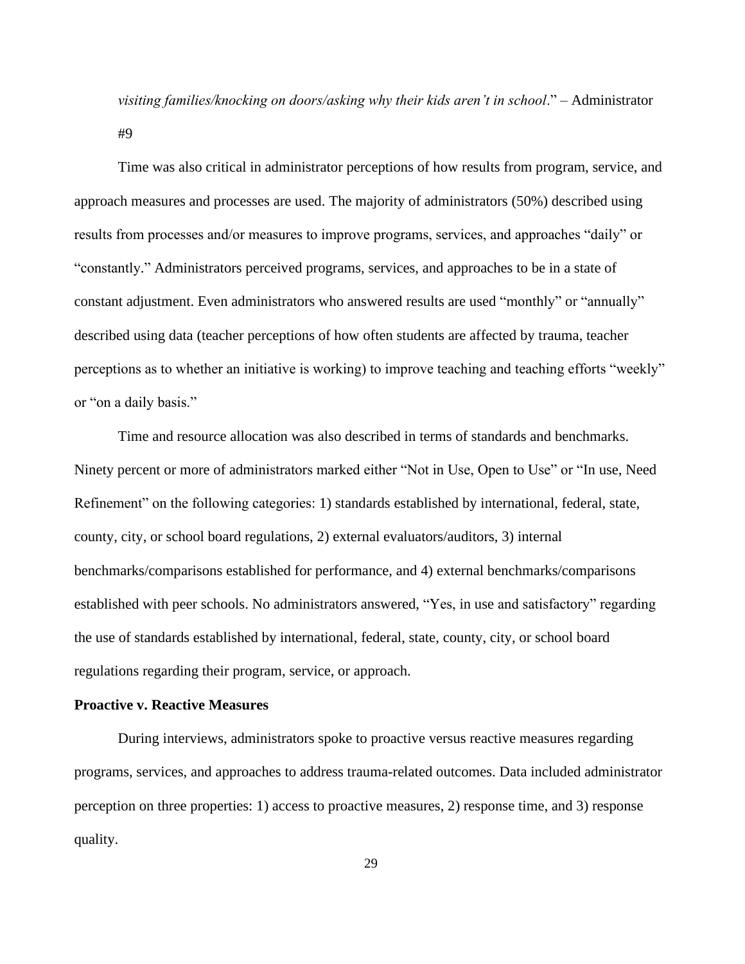*visiting families/knocking on doors/asking why their kids aren't in school*." – Administrator #9

Time was also critical in administrator perceptions of how results from program, service, and approach measures and processes are used. The majority of administrators (50%) described using results from processes and/or measures to improve programs, services, and approaches "daily" or "constantly." Administrators perceived programs, services, and approaches to be in a state of constant adjustment. Even administrators who answered results are used "monthly" or "annually" described using data (teacher perceptions of how often students are affected by trauma, teacher perceptions as to whether an initiative is working) to improve teaching and teaching efforts "weekly" or "on a daily basis."

Time and resource allocation was also described in terms of standards and benchmarks. Ninety percent or more of administrators marked either "Not in Use, Open to Use" or "In use, Need Refinement" on the following categories: 1) standards established by international, federal, state, county, city, or school board regulations, 2) external evaluators/auditors, 3) internal benchmarks/comparisons established for performance, and 4) external benchmarks/comparisons established with peer schools. No administrators answered, "Yes, in use and satisfactory" regarding the use of standards established by international, federal, state, county, city, or school board regulations regarding their program, service, or approach.

# **Proactive v. Reactive Measures**

During interviews, administrators spoke to proactive versus reactive measures regarding programs, services, and approaches to address trauma-related outcomes. Data included administrator perception on three properties: 1) access to proactive measures, 2) response time, and 3) response quality.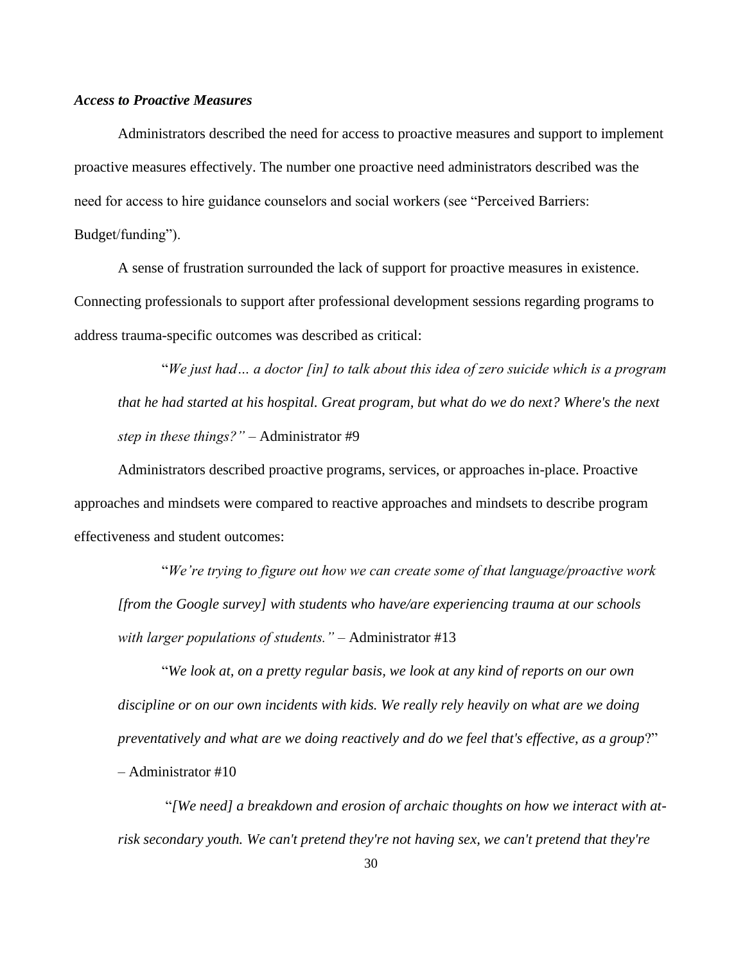### *Access to Proactive Measures*

Administrators described the need for access to proactive measures and support to implement proactive measures effectively. The number one proactive need administrators described was the need for access to hire guidance counselors and social workers (see "Perceived Barriers:

Budget/funding").

A sense of frustration surrounded the lack of support for proactive measures in existence. Connecting professionals to support after professional development sessions regarding programs to address trauma-specific outcomes was described as critical:

"*We just had… a doctor [in] to talk about this idea of zero suicide which is a program that he had started at his hospital. Great program, but what do we do next? Where's the next step in these things?"* – Administrator #9

Administrators described proactive programs, services, or approaches in-place. Proactive approaches and mindsets were compared to reactive approaches and mindsets to describe program effectiveness and student outcomes:

"*We're trying to figure out how we can create some of that language/proactive work [from the Google survey] with students who have/are experiencing trauma at our schools with larger populations of students."* – Administrator #13

"*We look at, on a pretty regular basis, we look at any kind of reports on our own discipline or on our own incidents with kids. We really rely heavily on what are we doing preventatively and what are we doing reactively and do we feel that's effective, as a group*?" – Administrator #10

"*[We need] a breakdown and erosion of archaic thoughts on how we interact with atrisk secondary youth. We can't pretend they're not having sex, we can't pretend that they're*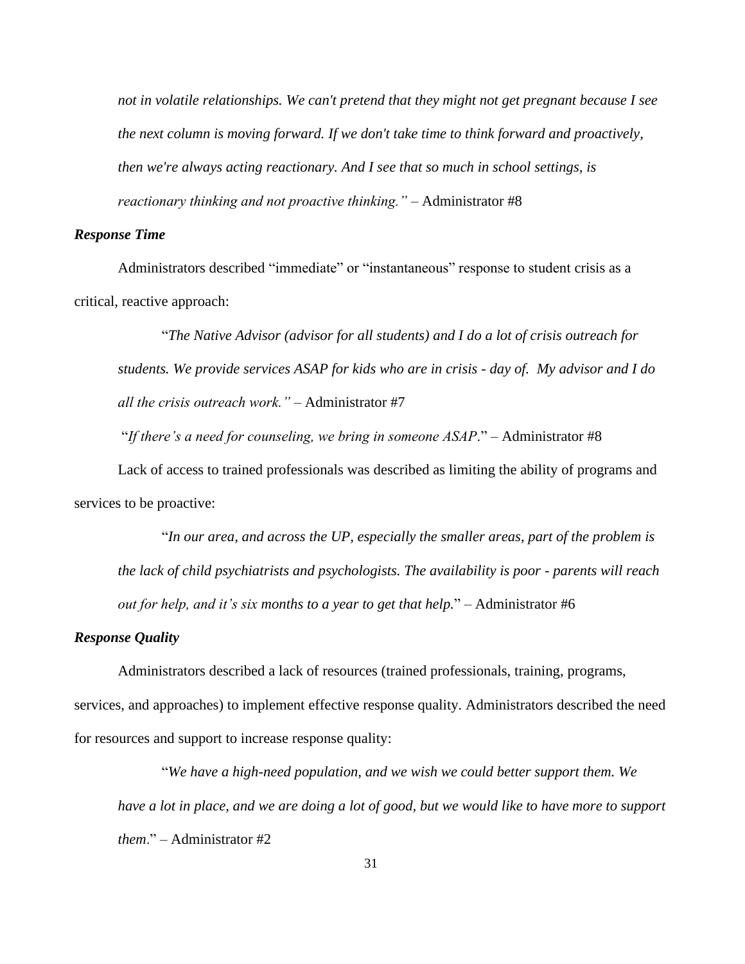*not in volatile relationships. We can't pretend that they might not get pregnant because I see the next column is moving forward. If we don't take time to think forward and proactively, then we're always acting reactionary. And I see that so much in school settings, is reactionary thinking and not proactive thinking."* – Administrator #8

### *Response Time*

Administrators described "immediate" or "instantaneous" response to student crisis as a critical, reactive approach:

"*The Native Advisor (advisor for all students) and I do a lot of crisis outreach for students. We provide services ASAP for kids who are in crisis - day of. My advisor and I do all the crisis outreach work."* – Administrator #7

"*If there's a need for counseling, we bring in someone ASAP*." – Administrator #8

Lack of access to trained professionals was described as limiting the ability of programs and services to be proactive:

"*In our area, and across the UP, especially the smaller areas, part of the problem is the lack of child psychiatrists and psychologists. The availability is poor - parents will reach out for help, and it's six months to a year to get that help.*" – Administrator #6

### *Response Quality*

Administrators described a lack of resources (trained professionals, training, programs, services, and approaches) to implement effective response quality. Administrators described the need for resources and support to increase response quality:

"*We have a high-need population, and we wish we could better support them. We have a lot in place, and we are doing a lot of good, but we would like to have more to support them*." – Administrator #2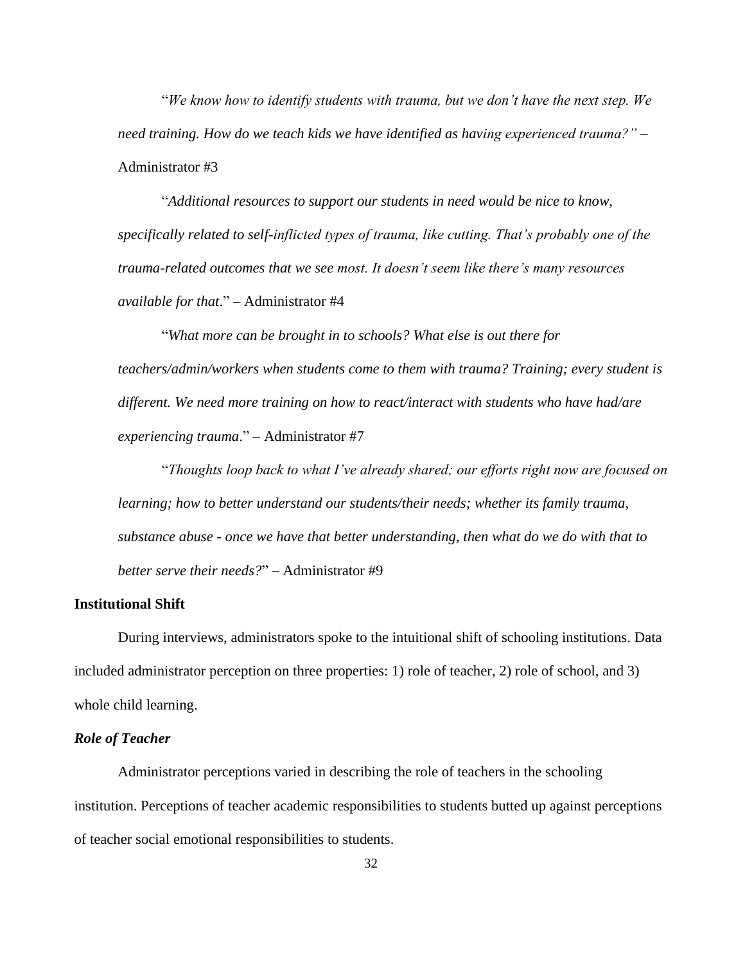"*We know how to identify students with trauma, but we don't have the next step. We need training. How do we teach kids we have identified as having experienced trauma?"* – Administrator #3

"*Additional resources to support our students in need would be nice to know, specifically related to self-inflicted types of trauma, like cutting. That's probably one of the trauma-related outcomes that we see most. It doesn't seem like there's many resources available for that*." – Administrator #4

"*What more can be brought in to schools? What else is out there for teachers/admin/workers when students come to them with trauma? Training; every student is different. We need more training on how to react/interact with students who have had/are experiencing trauma*." – Administrator #7

"*Thoughts loop back to what I've already shared; our efforts right now are focused on learning; how to better understand our students/their needs; whether its family trauma, substance abuse - once we have that better understanding, then what do we do with that to better serve their needs?*" – Administrator #9

# **Institutional Shift**

During interviews, administrators spoke to the intuitional shift of schooling institutions. Data included administrator perception on three properties: 1) role of teacher, 2) role of school, and 3) whole child learning.

# *Role of Teacher*

Administrator perceptions varied in describing the role of teachers in the schooling institution. Perceptions of teacher academic responsibilities to students butted up against perceptions of teacher social emotional responsibilities to students.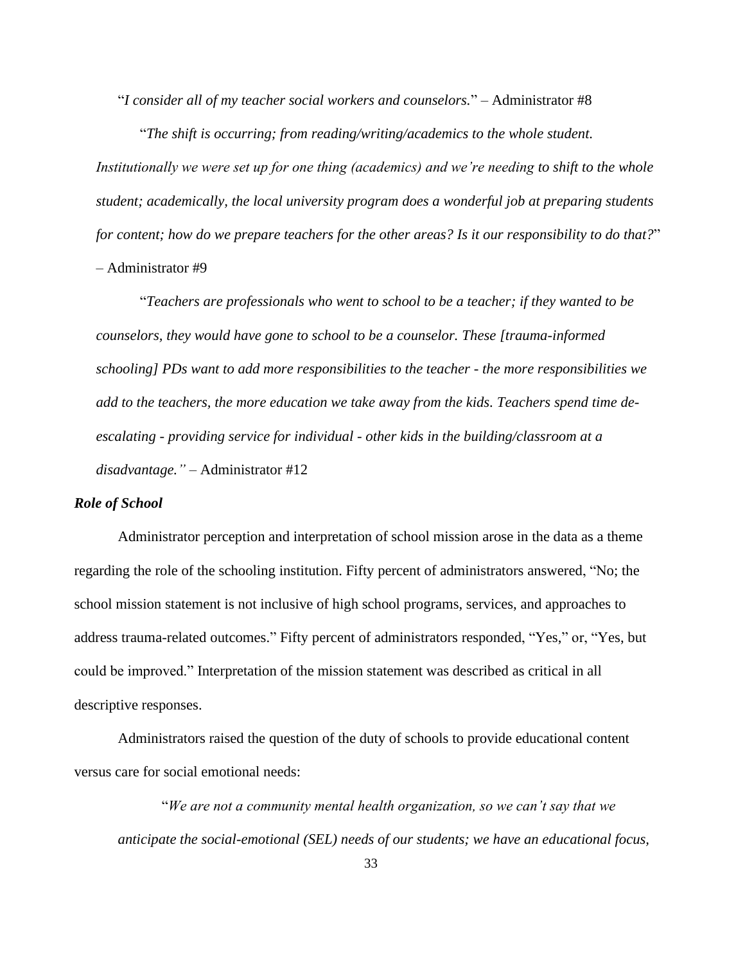"*I consider all of my teacher social workers and counselors.*" – Administrator #8

"*The shift is occurring; from reading/writing/academics to the whole student.* 

*Institutionally we were set up for one thing (academics) and we're needing to shift to the whole student; academically, the local university program does a wonderful job at preparing students for content; how do we prepare teachers for the other areas? Is it our responsibility to do that?*" – Administrator #9

"*Teachers are professionals who went to school to be a teacher; if they wanted to be counselors, they would have gone to school to be a counselor. These [trauma-informed schooling] PDs want to add more responsibilities to the teacher - the more responsibilities we add to the teachers, the more education we take away from the kids. Teachers spend time deescalating - providing service for individual - other kids in the building/classroom at a disadvantage."* – Administrator #12

# *Role of School*

Administrator perception and interpretation of school mission arose in the data as a theme regarding the role of the schooling institution. Fifty percent of administrators answered, "No; the school mission statement is not inclusive of high school programs, services, and approaches to address trauma-related outcomes." Fifty percent of administrators responded, "Yes," or, "Yes, but could be improved." Interpretation of the mission statement was described as critical in all descriptive responses.

Administrators raised the question of the duty of schools to provide educational content versus care for social emotional needs:

"*We are not a community mental health organization, so we can't say that we anticipate the social-emotional (SEL) needs of our students; we have an educational focus,*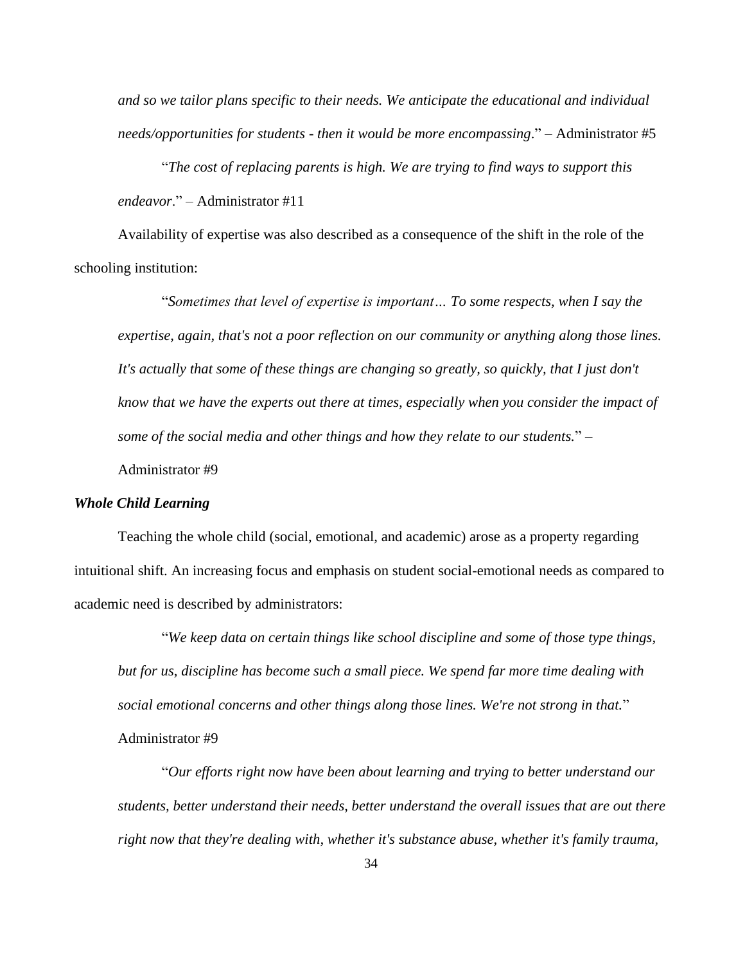*and so we tailor plans specific to their needs. We anticipate the educational and individual needs/opportunities for students - then it would be more encompassing*." – Administrator #5

"*The cost of replacing parents is high. We are trying to find ways to support this endeavor*." – Administrator #11

Availability of expertise was also described as a consequence of the shift in the role of the schooling institution:

"*Sometimes that level of expertise is important… To some respects, when I say the expertise, again, that's not a poor reflection on our community or anything along those lines. It's actually that some of these things are changing so greatly, so quickly, that I just don't know that we have the experts out there at times, especially when you consider the impact of some of the social media and other things and how they relate to our students.*" – Administrator #9

# *Whole Child Learning*

Teaching the whole child (social, emotional, and academic) arose as a property regarding intuitional shift. An increasing focus and emphasis on student social-emotional needs as compared to academic need is described by administrators:

"*We keep data on certain things like school discipline and some of those type things, but for us, discipline has become such a small piece. We spend far more time dealing with social emotional concerns and other things along those lines. We're not strong in that.*" Administrator #9

"*Our efforts right now have been about learning and trying to better understand our students, better understand their needs, better understand the overall issues that are out there right now that they're dealing with, whether it's substance abuse, whether it's family trauma,*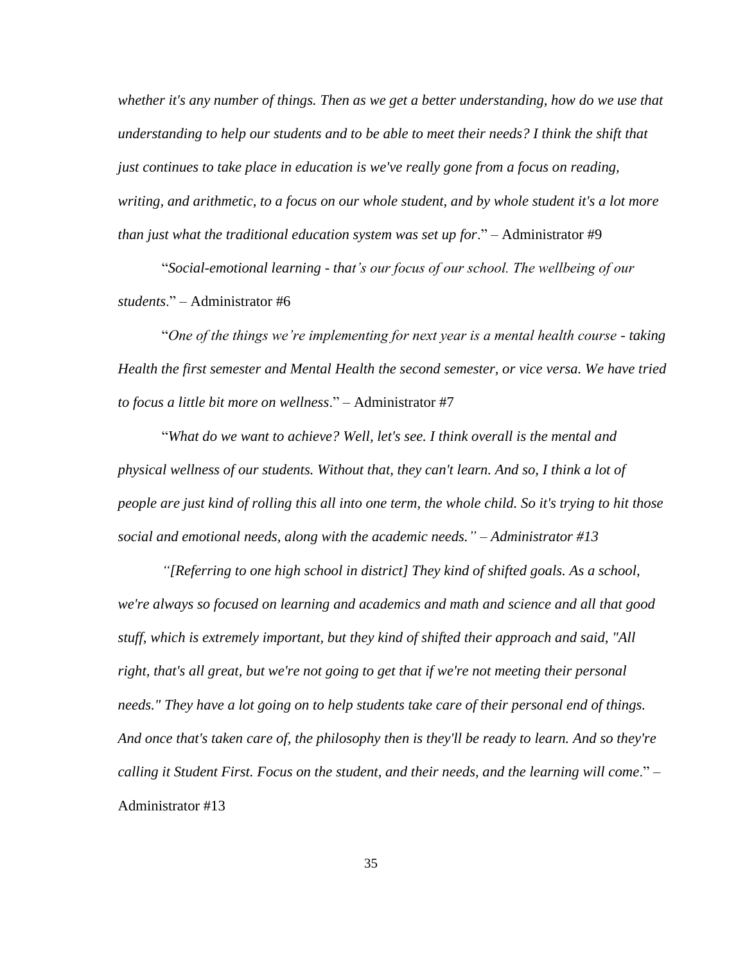*whether it's any number of things. Then as we get a better understanding, how do we use that understanding to help our students and to be able to meet their needs? I think the shift that just continues to take place in education is we've really gone from a focus on reading, writing, and arithmetic, to a focus on our whole student, and by whole student it's a lot more than just what the traditional education system was set up for*." – Administrator #9

"*Social-emotional learning - that's our focus of our school. The wellbeing of our students*." – Administrator #6

"*One of the things we're implementing for next year is a mental health course - taking Health the first semester and Mental Health the second semester, or vice versa. We have tried to focus a little bit more on wellness*." – Administrator #7

"*What do we want to achieve? Well, let's see. I think overall is the mental and physical wellness of our students. Without that, they can't learn. And so, I think a lot of people are just kind of rolling this all into one term, the whole child. So it's trying to hit those social and emotional needs, along with the academic needs." – Administrator #13*

*"[Referring to one high school in district] They kind of shifted goals. As a school, we're always so focused on learning and academics and math and science and all that good stuff, which is extremely important, but they kind of shifted their approach and said, "All right, that's all great, but we're not going to get that if we're not meeting their personal needs." They have a lot going on to help students take care of their personal end of things. And once that's taken care of, the philosophy then is they'll be ready to learn. And so they're calling it Student First. Focus on the student, and their needs, and the learning will come*." – Administrator #13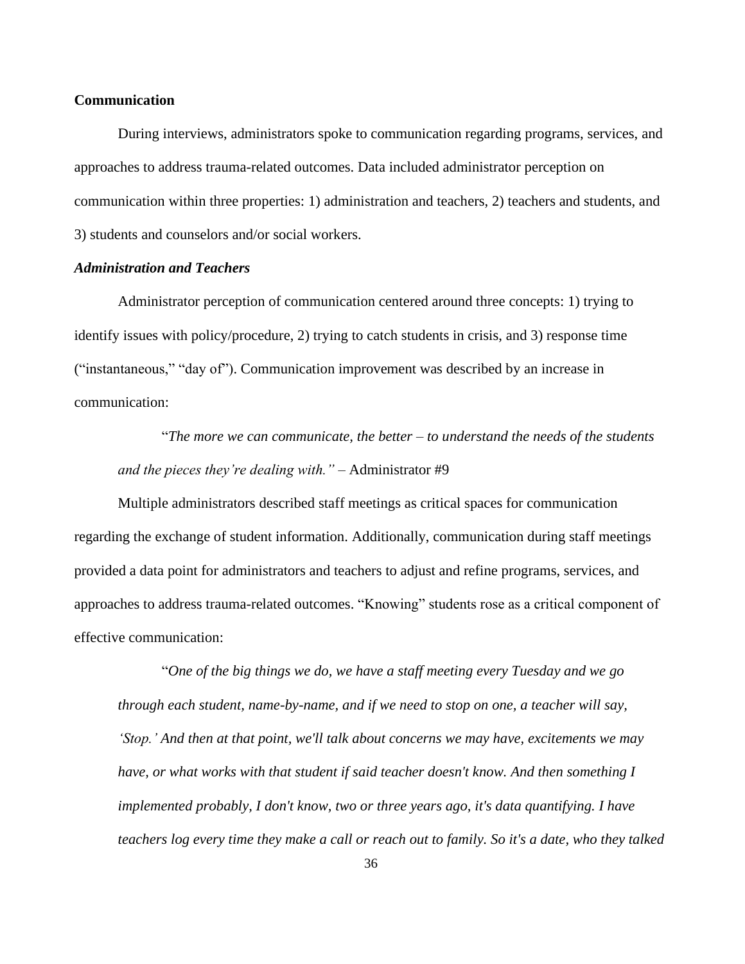### **Communication**

During interviews, administrators spoke to communication regarding programs, services, and approaches to address trauma-related outcomes. Data included administrator perception on communication within three properties: 1) administration and teachers, 2) teachers and students, and 3) students and counselors and/or social workers.

### *Administration and Teachers*

Administrator perception of communication centered around three concepts: 1) trying to identify issues with policy/procedure, 2) trying to catch students in crisis, and 3) response time ("instantaneous," "day of"). Communication improvement was described by an increase in communication:

"*The more we can communicate, the better – to understand the needs of the students and the pieces they're dealing with."* – Administrator #9

Multiple administrators described staff meetings as critical spaces for communication regarding the exchange of student information. Additionally, communication during staff meetings provided a data point for administrators and teachers to adjust and refine programs, services, and approaches to address trauma-related outcomes. "Knowing" students rose as a critical component of effective communication:

"*One of the big things we do, we have a staff meeting every Tuesday and we go through each student, name-by-name, and if we need to stop on one, a teacher will say, 'Stop.' And then at that point, we'll talk about concerns we may have, excitements we may have, or what works with that student if said teacher doesn't know. And then something I implemented probably, I don't know, two or three years ago, it's data quantifying. I have teachers log every time they make a call or reach out to family. So it's a date, who they talked*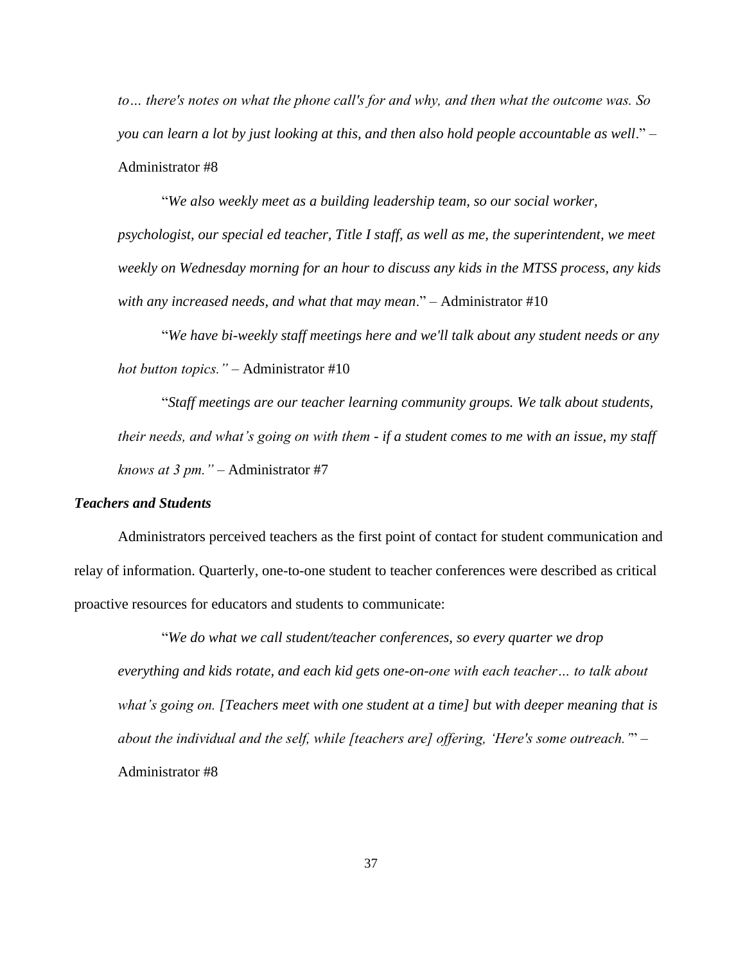*to… there's notes on what the phone call's for and why, and then what the outcome was. So you can learn a lot by just looking at this, and then also hold people accountable as well*." – Administrator #8

"*We also weekly meet as a building leadership team, so our social worker, psychologist, our special ed teacher, Title I staff, as well as me, the superintendent, we meet weekly on Wednesday morning for an hour to discuss any kids in the MTSS process, any kids with any increased needs, and what that may mean*." – Administrator #10

"*We have bi-weekly staff meetings here and we'll talk about any student needs or any hot button topics."* – Administrator #10

"*Staff meetings are our teacher learning community groups. We talk about students, their needs, and what's going on with them - if a student comes to me with an issue, my staff knows at 3 pm."* – Administrator #7

### *Teachers and Students*

Administrators perceived teachers as the first point of contact for student communication and relay of information. Quarterly, one-to-one student to teacher conferences were described as critical proactive resources for educators and students to communicate:

"*We do what we call student/teacher conferences, so every quarter we drop everything and kids rotate, and each kid gets one-on-one with each teacher… to talk about what's going on. [Teachers meet with one student at a time] but with deeper meaning that is about the individual and the self, while [teachers are] offering, 'Here's some outreach.'*" – Administrator #8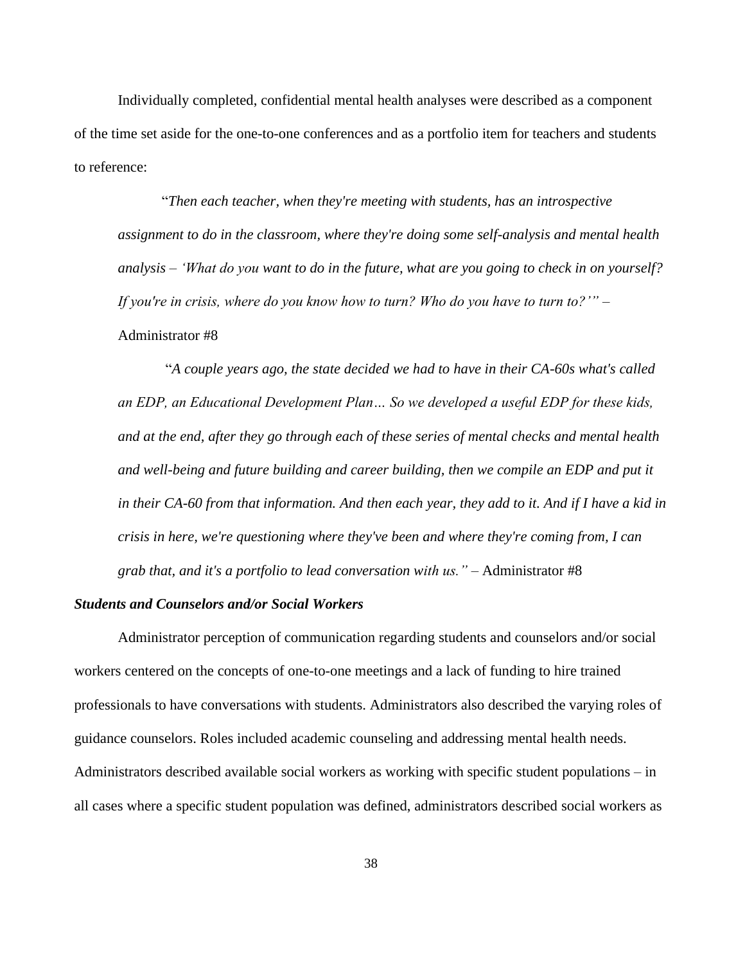Individually completed, confidential mental health analyses were described as a component of the time set aside for the one-to-one conferences and as a portfolio item for teachers and students to reference:

"*Then each teacher, when they're meeting with students, has an introspective assignment to do in the classroom, where they're doing some self-analysis and mental health analysis – 'What do you want to do in the future, what are you going to check in on yourself? If you're in crisis, where do you know how to turn? Who do you have to turn to?'"* – Administrator #8

"*A couple years ago, the state decided we had to have in their CA-60s what's called an EDP, an Educational Development Plan… So we developed a useful EDP for these kids, and at the end, after they go through each of these series of mental checks and mental health and well-being and future building and career building, then we compile an EDP and put it in their CA-60 from that information. And then each year, they add to it. And if I have a kid in crisis in here, we're questioning where they've been and where they're coming from, I can grab that, and it's a portfolio to lead conversation with us."* – Administrator #8

#### *Students and Counselors and/or Social Workers*

Administrator perception of communication regarding students and counselors and/or social workers centered on the concepts of one-to-one meetings and a lack of funding to hire trained professionals to have conversations with students. Administrators also described the varying roles of guidance counselors. Roles included academic counseling and addressing mental health needs. Administrators described available social workers as working with specific student populations – in all cases where a specific student population was defined, administrators described social workers as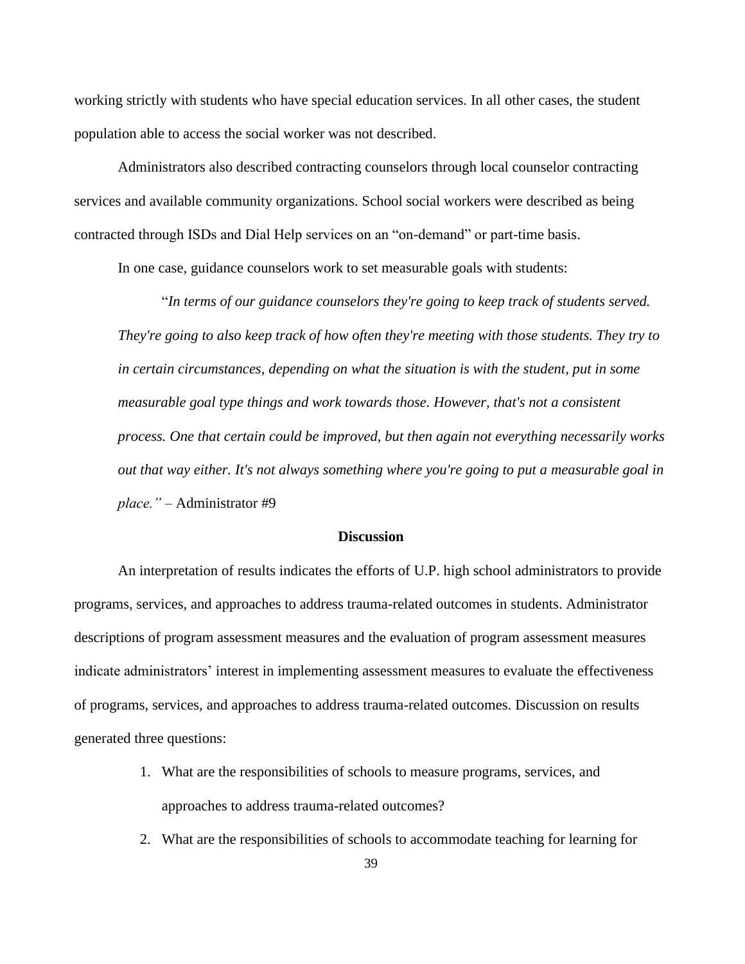working strictly with students who have special education services. In all other cases, the student population able to access the social worker was not described.

Administrators also described contracting counselors through local counselor contracting services and available community organizations. School social workers were described as being contracted through ISDs and Dial Help services on an "on-demand" or part-time basis.

In one case, guidance counselors work to set measurable goals with students:

"*In terms of our guidance counselors they're going to keep track of students served. They're going to also keep track of how often they're meeting with those students. They try to in certain circumstances, depending on what the situation is with the student, put in some measurable goal type things and work towards those. However, that's not a consistent process. One that certain could be improved, but then again not everything necessarily works out that way either. It's not always something where you're going to put a measurable goal in place."* – Administrator #9

#### **Discussion**

An interpretation of results indicates the efforts of U.P. high school administrators to provide programs, services, and approaches to address trauma-related outcomes in students. Administrator descriptions of program assessment measures and the evaluation of program assessment measures indicate administrators' interest in implementing assessment measures to evaluate the effectiveness of programs, services, and approaches to address trauma-related outcomes. Discussion on results generated three questions:

- 1. What are the responsibilities of schools to measure programs, services, and approaches to address trauma-related outcomes?
- 2. What are the responsibilities of schools to accommodate teaching for learning for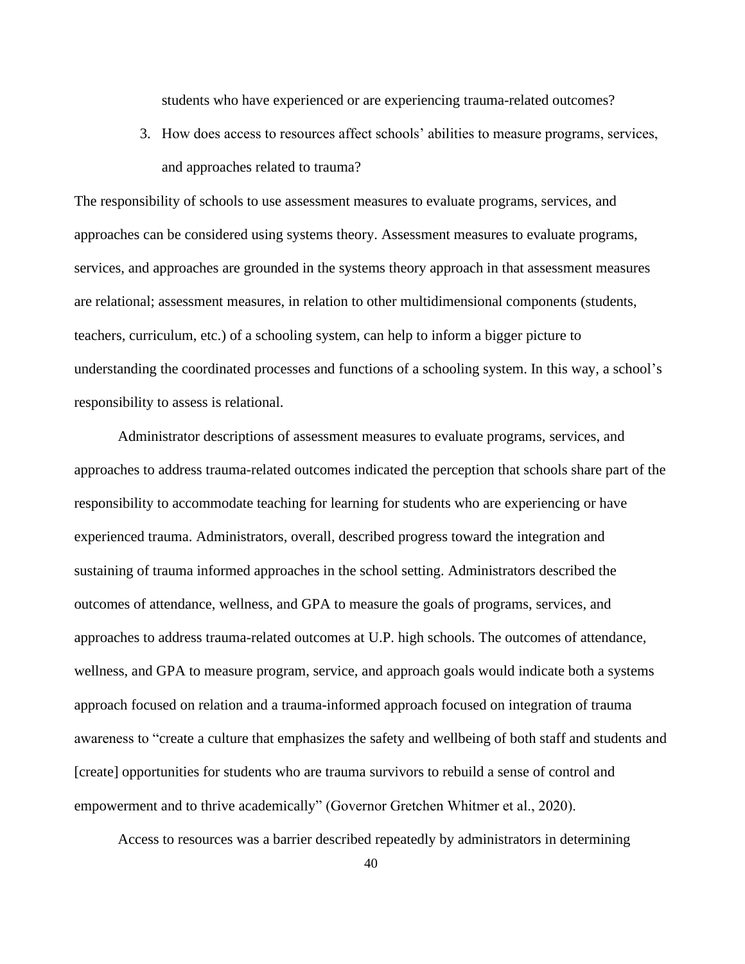students who have experienced or are experiencing trauma-related outcomes?

3. How does access to resources affect schools' abilities to measure programs, services, and approaches related to trauma?

The responsibility of schools to use assessment measures to evaluate programs, services, and approaches can be considered using systems theory. Assessment measures to evaluate programs, services, and approaches are grounded in the systems theory approach in that assessment measures are relational; assessment measures, in relation to other multidimensional components (students, teachers, curriculum, etc.) of a schooling system, can help to inform a bigger picture to understanding the coordinated processes and functions of a schooling system. In this way, a school's responsibility to assess is relational.

Administrator descriptions of assessment measures to evaluate programs, services, and approaches to address trauma-related outcomes indicated the perception that schools share part of the responsibility to accommodate teaching for learning for students who are experiencing or have experienced trauma. Administrators, overall, described progress toward the integration and sustaining of trauma informed approaches in the school setting. Administrators described the outcomes of attendance, wellness, and GPA to measure the goals of programs, services, and approaches to address trauma-related outcomes at U.P. high schools. The outcomes of attendance, wellness, and GPA to measure program, service, and approach goals would indicate both a systems approach focused on relation and a trauma-informed approach focused on integration of trauma awareness to "create a culture that emphasizes the safety and wellbeing of both staff and students and [create] opportunities for students who are trauma survivors to rebuild a sense of control and empowerment and to thrive academically" (Governor Gretchen Whitmer et al., 2020).

Access to resources was a barrier described repeatedly by administrators in determining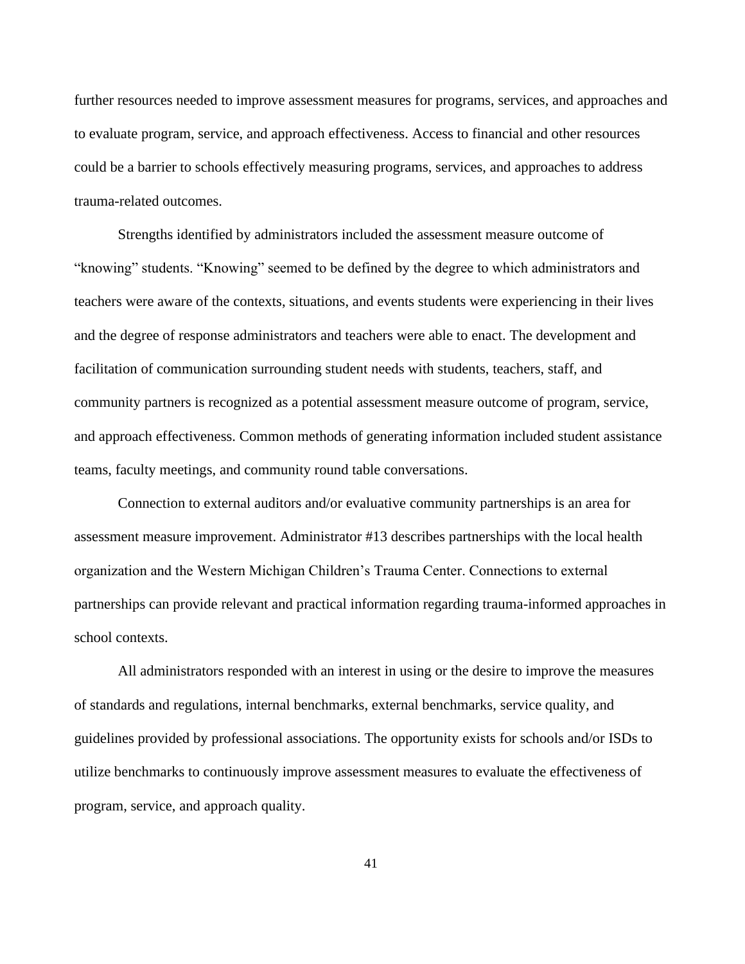further resources needed to improve assessment measures for programs, services, and approaches and to evaluate program, service, and approach effectiveness. Access to financial and other resources could be a barrier to schools effectively measuring programs, services, and approaches to address trauma-related outcomes.

Strengths identified by administrators included the assessment measure outcome of "knowing" students. "Knowing" seemed to be defined by the degree to which administrators and teachers were aware of the contexts, situations, and events students were experiencing in their lives and the degree of response administrators and teachers were able to enact. The development and facilitation of communication surrounding student needs with students, teachers, staff, and community partners is recognized as a potential assessment measure outcome of program, service, and approach effectiveness. Common methods of generating information included student assistance teams, faculty meetings, and community round table conversations.

Connection to external auditors and/or evaluative community partnerships is an area for assessment measure improvement. Administrator #13 describes partnerships with the local health organization and the Western Michigan Children's Trauma Center. Connections to external partnerships can provide relevant and practical information regarding trauma-informed approaches in school contexts.

All administrators responded with an interest in using or the desire to improve the measures of standards and regulations, internal benchmarks, external benchmarks, service quality, and guidelines provided by professional associations. The opportunity exists for schools and/or ISDs to utilize benchmarks to continuously improve assessment measures to evaluate the effectiveness of program, service, and approach quality.

41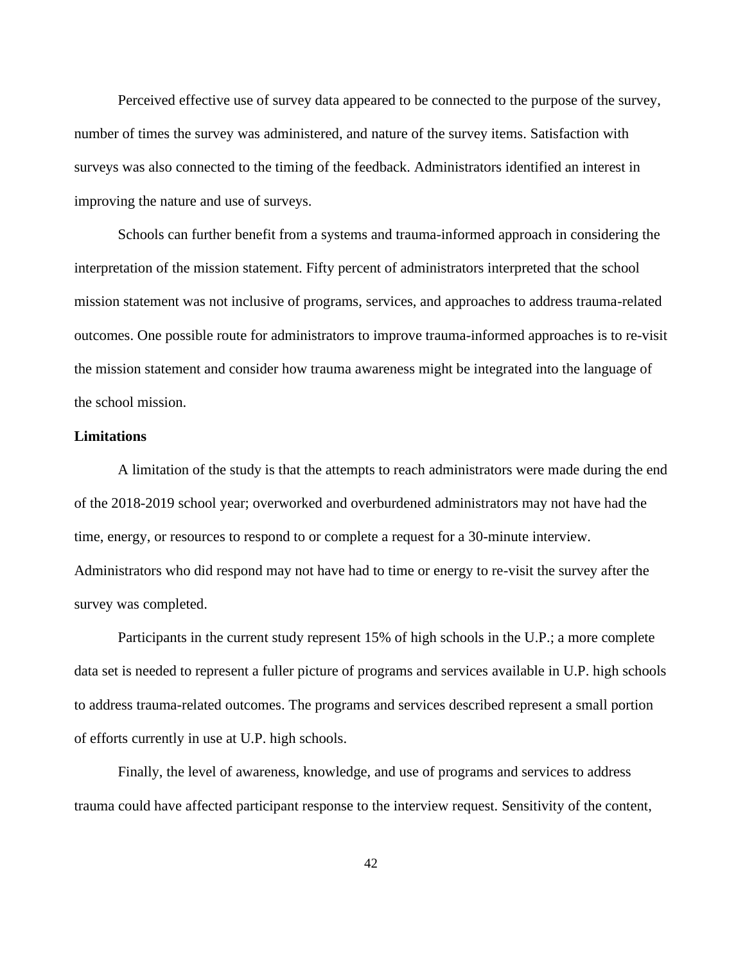Perceived effective use of survey data appeared to be connected to the purpose of the survey, number of times the survey was administered, and nature of the survey items. Satisfaction with surveys was also connected to the timing of the feedback. Administrators identified an interest in improving the nature and use of surveys.

Schools can further benefit from a systems and trauma-informed approach in considering the interpretation of the mission statement. Fifty percent of administrators interpreted that the school mission statement was not inclusive of programs, services, and approaches to address trauma-related outcomes. One possible route for administrators to improve trauma-informed approaches is to re-visit the mission statement and consider how trauma awareness might be integrated into the language of the school mission.

# **Limitations**

A limitation of the study is that the attempts to reach administrators were made during the end of the 2018-2019 school year; overworked and overburdened administrators may not have had the time, energy, or resources to respond to or complete a request for a 30-minute interview. Administrators who did respond may not have had to time or energy to re-visit the survey after the survey was completed.

Participants in the current study represent 15% of high schools in the U.P.; a more complete data set is needed to represent a fuller picture of programs and services available in U.P. high schools to address trauma-related outcomes. The programs and services described represent a small portion of efforts currently in use at U.P. high schools.

Finally, the level of awareness, knowledge, and use of programs and services to address trauma could have affected participant response to the interview request. Sensitivity of the content,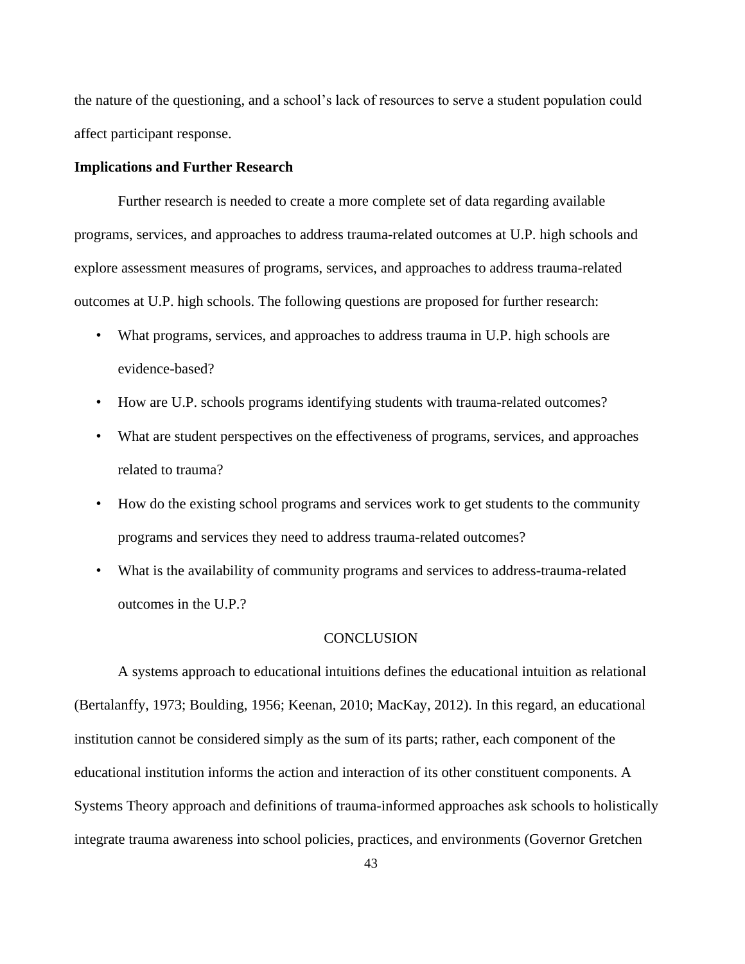the nature of the questioning, and a school's lack of resources to serve a student population could affect participant response.

### **Implications and Further Research**

Further research is needed to create a more complete set of data regarding available programs, services, and approaches to address trauma-related outcomes at U.P. high schools and explore assessment measures of programs, services, and approaches to address trauma-related outcomes at U.P. high schools. The following questions are proposed for further research:

- What programs, services, and approaches to address trauma in U.P. high schools are evidence-based?
- How are U.P. schools programs identifying students with trauma-related outcomes?
- What are student perspectives on the effectiveness of programs, services, and approaches related to trauma?
- How do the existing school programs and services work to get students to the community programs and services they need to address trauma-related outcomes?
- What is the availability of community programs and services to address-trauma-related outcomes in the U.P.?

# **CONCLUSION**

A systems approach to educational intuitions defines the educational intuition as relational (Bertalanffy, 1973; Boulding, 1956; Keenan, 2010; MacKay, 2012). In this regard, an educational institution cannot be considered simply as the sum of its parts; rather, each component of the educational institution informs the action and interaction of its other constituent components. A Systems Theory approach and definitions of trauma-informed approaches ask schools to holistically integrate trauma awareness into school policies, practices, and environments (Governor Gretchen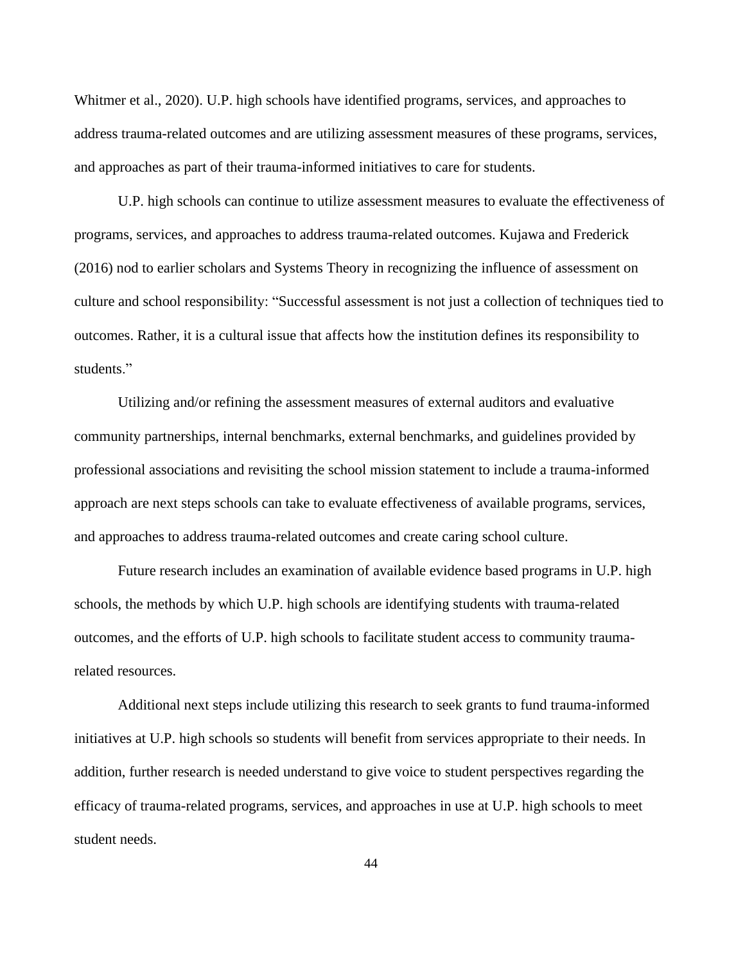Whitmer et al., 2020). U.P. high schools have identified programs, services, and approaches to address trauma-related outcomes and are utilizing assessment measures of these programs, services, and approaches as part of their trauma-informed initiatives to care for students.

U.P. high schools can continue to utilize assessment measures to evaluate the effectiveness of programs, services, and approaches to address trauma-related outcomes. Kujawa and Frederick (2016) nod to earlier scholars and Systems Theory in recognizing the influence of assessment on culture and school responsibility: "Successful assessment is not just a collection of techniques tied to outcomes. Rather, it is a cultural issue that affects how the institution defines its responsibility to students."

Utilizing and/or refining the assessment measures of external auditors and evaluative community partnerships, internal benchmarks, external benchmarks, and guidelines provided by professional associations and revisiting the school mission statement to include a trauma-informed approach are next steps schools can take to evaluate effectiveness of available programs, services, and approaches to address trauma-related outcomes and create caring school culture.

Future research includes an examination of available evidence based programs in U.P. high schools, the methods by which U.P. high schools are identifying students with trauma-related outcomes, and the efforts of U.P. high schools to facilitate student access to community traumarelated resources.

Additional next steps include utilizing this research to seek grants to fund trauma-informed initiatives at U.P. high schools so students will benefit from services appropriate to their needs. In addition, further research is needed understand to give voice to student perspectives regarding the efficacy of trauma-related programs, services, and approaches in use at U.P. high schools to meet student needs.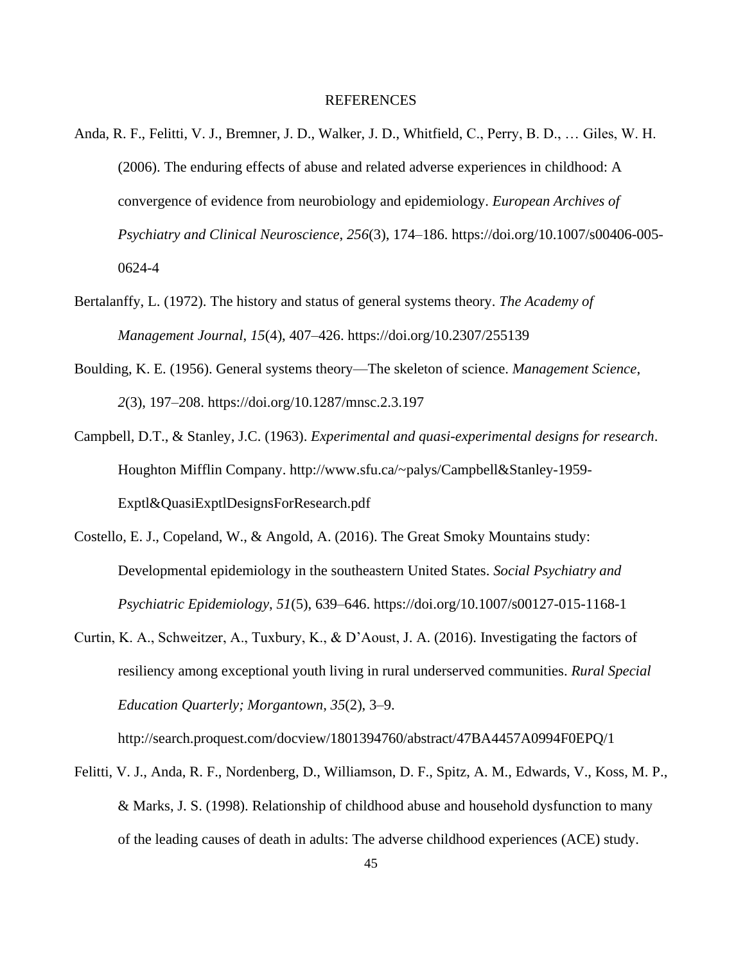### REFERENCES

- Anda, R. F., Felitti, V. J., Bremner, J. D., Walker, J. D., Whitfield, C., Perry, B. D., … Giles, W. H. (2006). The enduring effects of abuse and related adverse experiences in childhood: A convergence of evidence from neurobiology and epidemiology. *European Archives of Psychiatry and Clinical Neuroscience*, *256*(3), 174–186. https://doi.org/10.1007/s00406-005- 0624-4
- Bertalanffy, L. (1972). The history and status of general systems theory. *The Academy of Management Journal*, *15*(4), 407–426. https://doi.org/10.2307/255139
- Boulding, K. E. (1956). General systems theory—The skeleton of science. *Management Science*, *2*(3), 197–208. https://doi.org/10.1287/mnsc.2.3.197
- Campbell, D.T., & Stanley, J.C. (1963). *Experimental and quasi-experimental designs for research*. Houghton Mifflin Company. http://www.sfu.ca/~palys/Campbell&Stanley-1959- Exptl&QuasiExptlDesignsForResearch.pdf
- Costello, E. J., Copeland, W., & Angold, A. (2016). The Great Smoky Mountains study: Developmental epidemiology in the southeastern United States. *Social Psychiatry and Psychiatric Epidemiology*, *51*(5), 639–646. https://doi.org/10.1007/s00127-015-1168-1
- Curtin, K. A., Schweitzer, A., Tuxbury, K., & D'Aoust, J. A. (2016). Investigating the factors of resiliency among exceptional youth living in rural underserved communities. *Rural Special Education Quarterly; Morgantown*, *35*(2), 3–9.

http://search.proquest.com/docview/1801394760/abstract/47BA4457A0994F0EPQ/1

Felitti, V. J., Anda, R. F., Nordenberg, D., Williamson, D. F., Spitz, A. M., Edwards, V., Koss, M. P., & Marks, J. S. (1998). Relationship of childhood abuse and household dysfunction to many of the leading causes of death in adults: The adverse childhood experiences (ACE) study.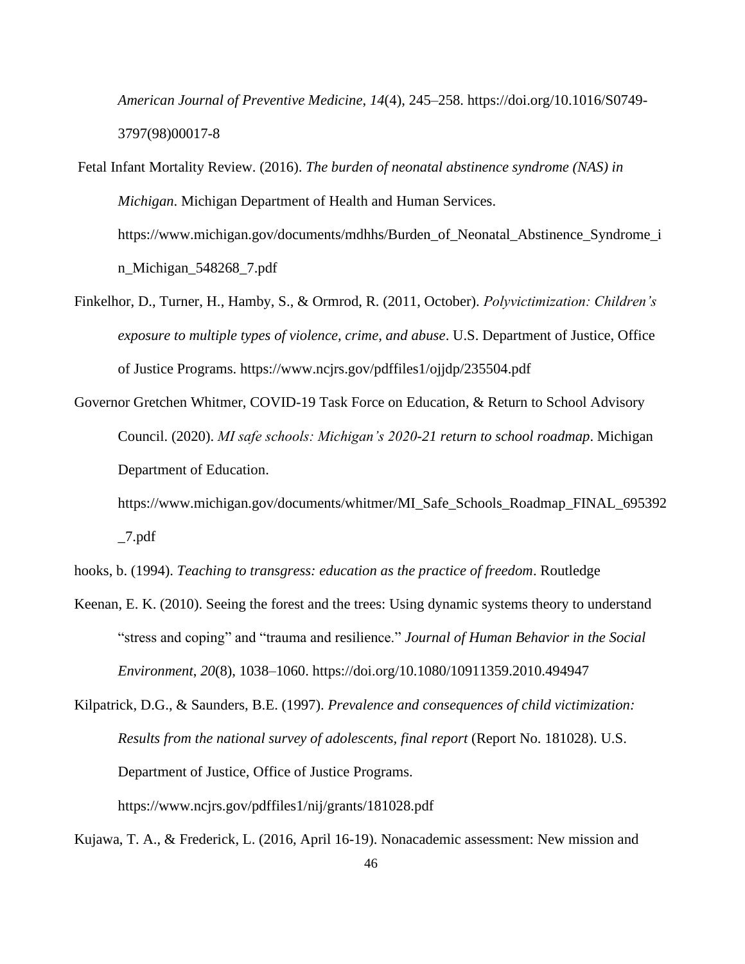*American Journal of Preventive Medicine*, *14*(4), 245–258. https://doi.org/10.1016/S0749- 3797(98)00017-8

Fetal Infant Mortality Review. (2016). *The burden of neonatal abstinence syndrome (NAS) in Michigan*. Michigan Department of Health and Human Services. https://www.michigan.gov/documents/mdhhs/Burden\_of\_Neonatal\_Abstinence\_Syndrome\_i n\_Michigan\_548268\_7.pdf

- Finkelhor, D., Turner, H., Hamby, S., & Ormrod, R. (2011, October). *Polyvictimization: Children's exposure to multiple types of violence, crime, and abuse*. U.S. Department of Justice, Office of Justice Programs. https://www.ncjrs.gov/pdffiles1/ojjdp/235504.pdf
- Governor Gretchen Whitmer, COVID-19 Task Force on Education, & Return to School Advisory Council. (2020). *MI safe schools: Michigan's 2020-21 return to school roadmap*. Michigan Department of Education.

https://www.michigan.gov/documents/whitmer/MI\_Safe\_Schools\_Roadmap\_FINAL\_695392 \_7.pdf

hooks, b. (1994). *Teaching to transgress: education as the practice of freedom*. Routledge

Keenan, E. K. (2010). Seeing the forest and the trees: Using dynamic systems theory to understand "stress and coping" and "trauma and resilience." *Journal of Human Behavior in the Social Environment*, *20*(8), 1038–1060. https://doi.org/10.1080/10911359.2010.494947

Kujawa, T. A., & Frederick, L. (2016, April 16-19). Nonacademic assessment: New mission and

Kilpatrick, D.G., & Saunders, B.E. (1997). *Prevalence and consequences of child victimization: Results from the national survey of adolescents, final report* (Report No. 181028). U.S. Department of Justice, Office of Justice Programs. https://www.ncjrs.gov/pdffiles1/nij/grants/181028.pdf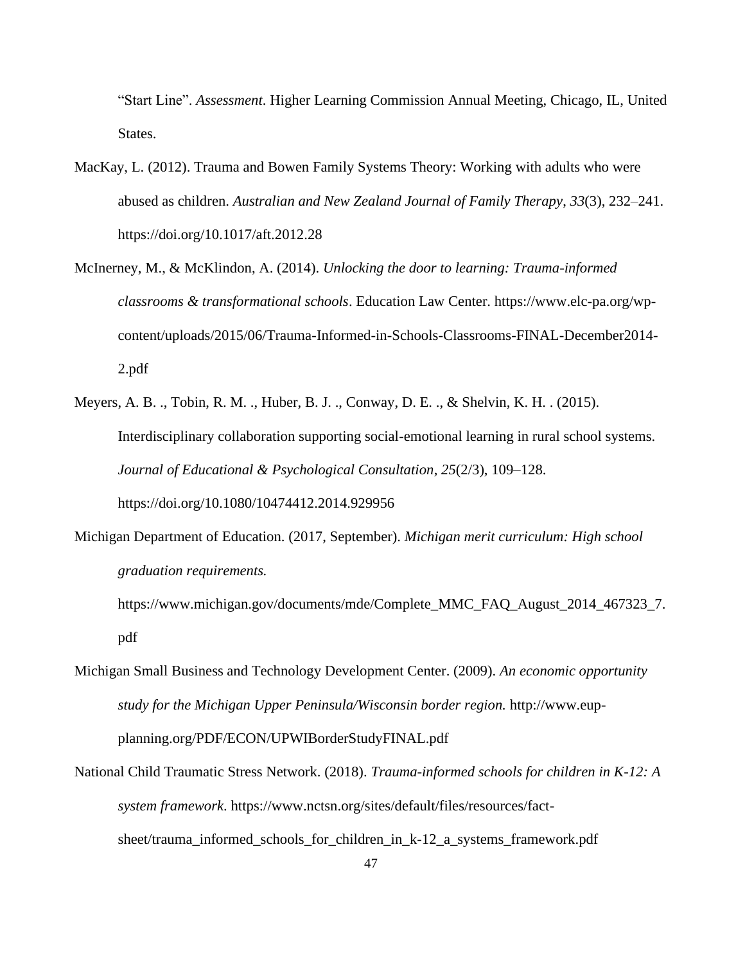"Start Line". *Assessment*. Higher Learning Commission Annual Meeting, Chicago, IL, United States.

- MacKay, L. (2012). Trauma and Bowen Family Systems Theory: Working with adults who were abused as children. *Australian and New Zealand Journal of Family Therapy*, *33*(3), 232–241. https://doi.org/10.1017/aft.2012.28
- McInerney, M., & McKlindon, A. (2014). *Unlocking the door to learning: Trauma-informed classrooms & transformational schools*. Education Law Center. https://www.elc-pa.org/wpcontent/uploads/2015/06/Trauma-Informed-in-Schools-Classrooms-FINAL-December2014- 2.pdf
- Meyers, A. B. ., Tobin, R. M. ., Huber, B. J. ., Conway, D. E. ., & Shelvin, K. H. . (2015). Interdisciplinary collaboration supporting social-emotional learning in rural school systems. *Journal of Educational & Psychological Consultation*, *25*(2/3), 109–128. https://doi.org/10.1080/10474412.2014.929956
- Michigan Department of Education. (2017, September). *Michigan merit curriculum: High school graduation requirements.*

https://www.michigan.gov/documents/mde/Complete\_MMC\_FAQ\_August\_2014\_467323\_7. pdf

- Michigan Small Business and Technology Development Center. (2009). *An economic opportunity study for the Michigan Upper Peninsula/Wisconsin border region.* http://www.eupplanning.org/PDF/ECON/UPWIBorderStudyFINAL.pdf
- National Child Traumatic Stress Network. (2018). *Trauma-informed schools for children in K-12: A system framework*. https://www.nctsn.org/sites/default/files/resources/factsheet/trauma\_informed\_schools\_for\_children\_in\_k-12\_a\_systems\_framework.pdf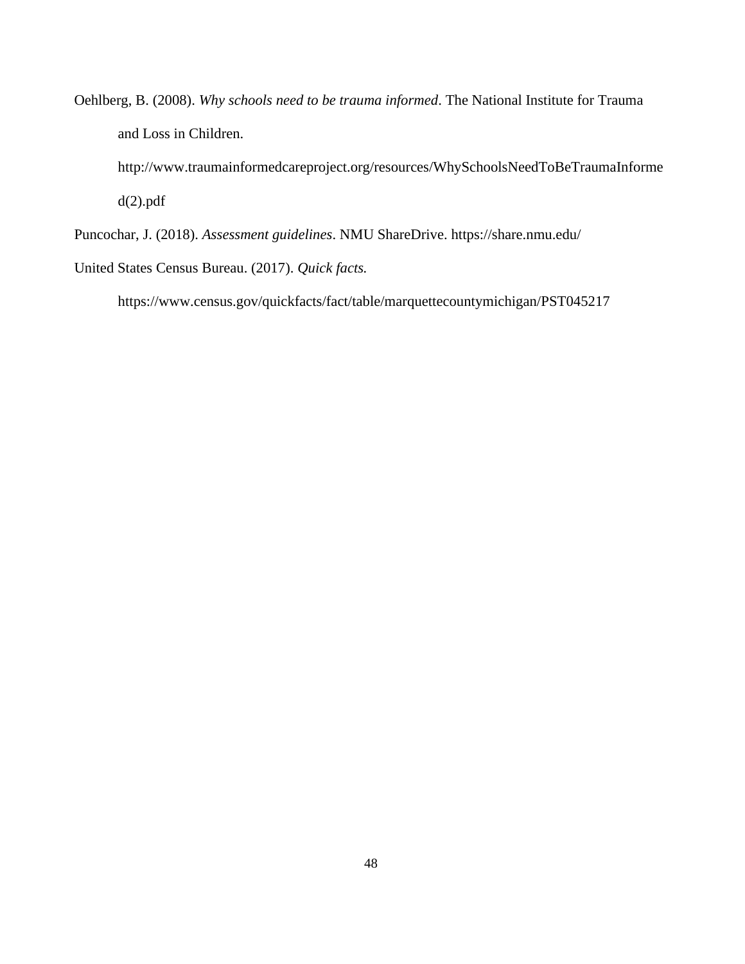Oehlberg, B. (2008). *Why schools need to be trauma informed*. The National Institute for Trauma and Loss in Children.

http://www.traumainformedcareproject.org/resources/WhySchoolsNeedToBeTraumaInforme  $d(2)$ .pdf

Puncochar, J. (2018). *Assessment guidelines*. NMU ShareDrive. https://share.nmu.edu/

United States Census Bureau. (2017). *Quick facts.*

https://www.census.gov/quickfacts/fact/table/marquettecountymichigan/PST045217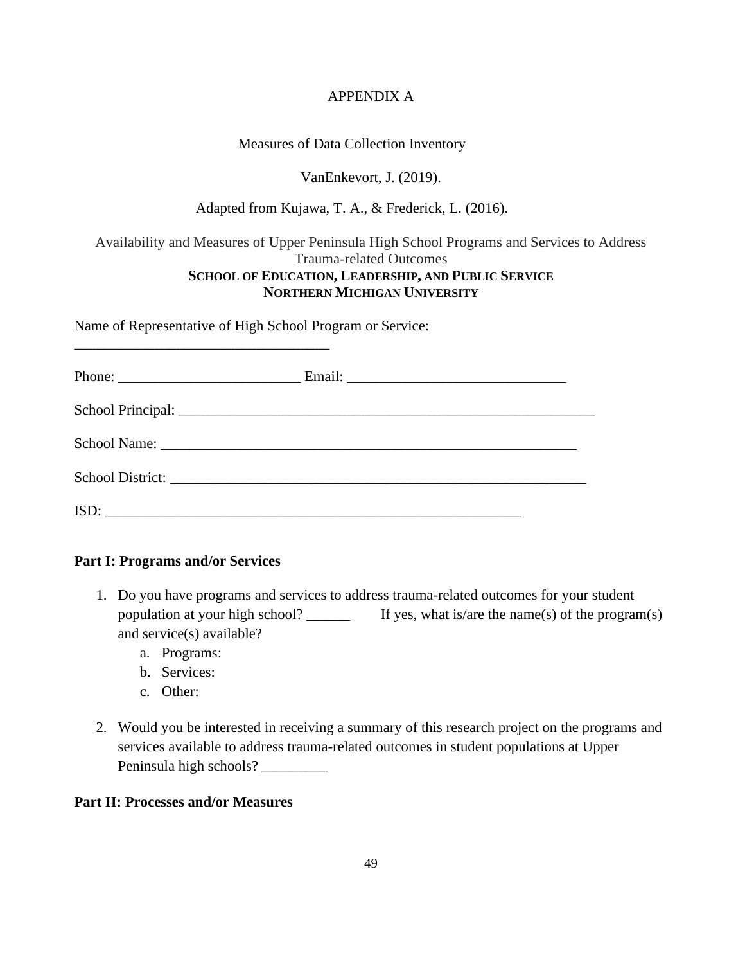# APPENDIX A

# Measures of Data Collection Inventory

# VanEnkevort, J. (2019).

# Adapted from Kujawa, T. A., & Frederick, L. (2016).

Availability and Measures of Upper Peninsula High School Programs and Services to Address Trauma-related Outcomes **SCHOOL OF EDUCATION, LEADERSHIP, AND PUBLIC SERVICE NORTHERN MICHIGAN UNIVERSITY**

Name of Representative of High School Program or Service:

\_\_\_\_\_\_\_\_\_\_\_\_\_\_\_\_\_\_\_\_\_\_\_\_\_\_\_\_\_\_\_\_\_\_\_

| Phone: $\frac{1}{\sqrt{1-\frac{1}{2}}\sqrt{1-\frac{1}{2}}\sqrt{1-\frac{1}{2}}\sqrt{1-\frac{1}{2}}\sqrt{1-\frac{1}{2}}\sqrt{1-\frac{1}{2}}\sqrt{1-\frac{1}{2}}\sqrt{1-\frac{1}{2}}\sqrt{1-\frac{1}{2}}\sqrt{1-\frac{1}{2}}\sqrt{1-\frac{1}{2}}\sqrt{1-\frac{1}{2}}\sqrt{1-\frac{1}{2}}\sqrt{1-\frac{1}{2}}\sqrt{1-\frac{1}{2}}\sqrt{1-\frac{1}{2}}\sqrt{1-\frac{1}{2}}\sqrt{1-\frac{1}{2}}\sqrt{1-\frac{1}{2$ |  |
|--------------------------------------------------------------------------------------------------------------------------------------------------------------------------------------------------------------------------------------------------------------------------------------------------------------------------------------------------------------------------------------------------------------|--|
|                                                                                                                                                                                                                                                                                                                                                                                                              |  |
|                                                                                                                                                                                                                                                                                                                                                                                                              |  |
|                                                                                                                                                                                                                                                                                                                                                                                                              |  |
| ISD:<br><u> 2000 - Jan James James Barnett (f. 1982)</u>                                                                                                                                                                                                                                                                                                                                                     |  |

### **Part I: Programs and/or Services**

- 1. Do you have programs and services to address trauma-related outcomes for your student population at your high school? \_\_\_\_\_\_ If yes, what is/are the name(s) of the program(s) and service(s) available?
	- a. Programs:
	- b. Services:
	- c. Other:
- 2. Would you be interested in receiving a summary of this research project on the programs and services available to address trauma-related outcomes in student populations at Upper Peninsula high schools? \_\_\_\_\_\_\_\_\_

### **Part II: Processes and/or Measures**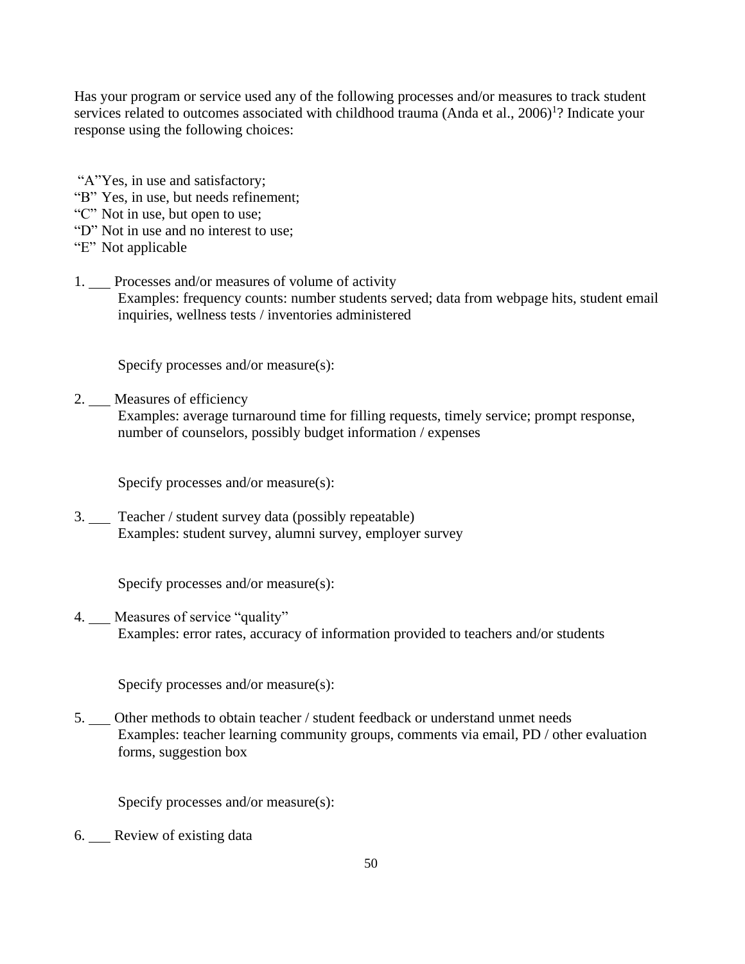Has your program or service used any of the following processes and/or measures to track student services related to outcomes associated with childhood trauma (Anda et al.,  $2006)^{1}$ ? Indicate your response using the following choices:

- "A"Yes, in use and satisfactory;
- "B" Yes, in use, but needs refinement;
- "C" Not in use, but open to use;
- "D" Not in use and no interest to use;
- "E" Not applicable
- 1. Processes and/or measures of volume of activity Examples: frequency counts: number students served; data from webpage hits, student email inquiries, wellness tests / inventories administered

Specify processes and/or measure(s):

2. Measures of efficiency

Examples: average turnaround time for filling requests, timely service; prompt response, number of counselors, possibly budget information / expenses

Specify processes and/or measure(s):

3. Teacher / student survey data (possibly repeatable) Examples: student survey, alumni survey, employer survey

Specify processes and/or measure(s):

4. Measures of service "quality" Examples: error rates, accuracy of information provided to teachers and/or students

Specify processes and/or measure(s):

5. Other methods to obtain teacher / student feedback or understand unmet needs Examples: teacher learning community groups, comments via email, PD / other evaluation forms, suggestion box

Specify processes and/or measure(s):

6. Review of existing data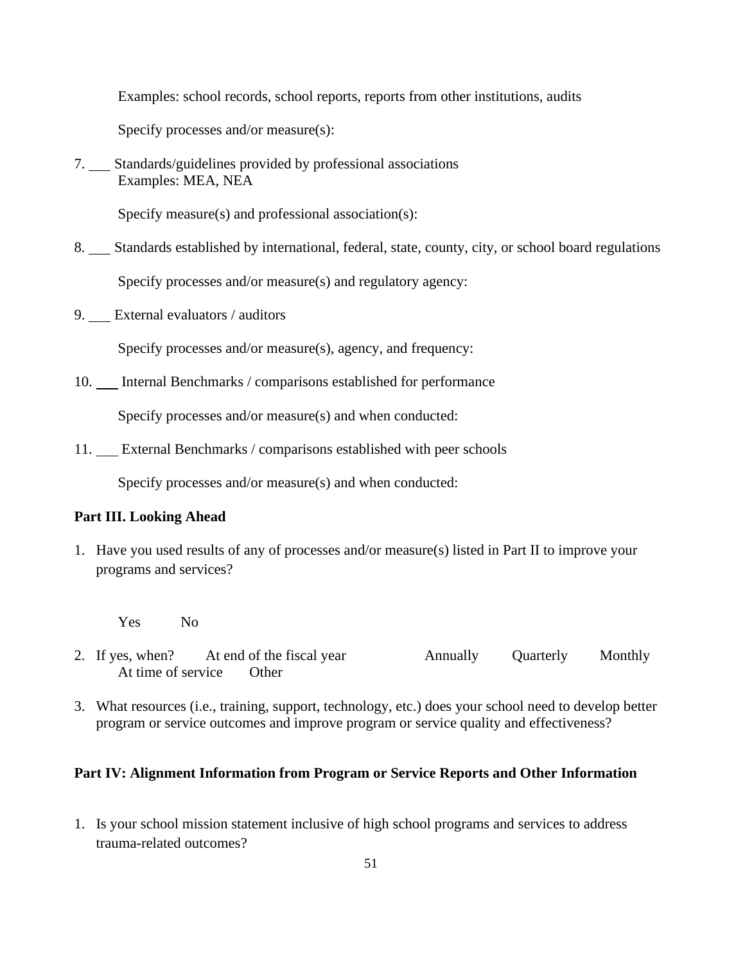Examples: school records, school reports, reports from other institutions, audits

Specify processes and/or measure(s):

7. Standards/guidelines provided by professional associations Examples: MEA, NEA

Specify measure(s) and professional association(s):

8. Standards established by international, federal, state, county, city, or school board regulations

Specify processes and/or measure(s) and regulatory agency:

9. External evaluators / auditors

Specify processes and/or measure(s), agency, and frequency:

10. Internal Benchmarks / comparisons established for performance

Specify processes and/or measure(s) and when conducted:

11. External Benchmarks / comparisons established with peer schools

Specify processes and/or measure(s) and when conducted:

### **Part III. Looking Ahead**

- 1. Have you used results of any of processes and/or measure(s) listed in Part II to improve your programs and services?
	- Yes No
- 2. If yes, when? At end of the fiscal year Annually Quarterly Monthly At time of service Other
- 3. What resources (i.e., training, support, technology, etc.) does your school need to develop better program or service outcomes and improve program or service quality and effectiveness?

### **Part IV: Alignment Information from Program or Service Reports and Other Information**

1. Is your school mission statement inclusive of high school programs and services to address trauma-related outcomes?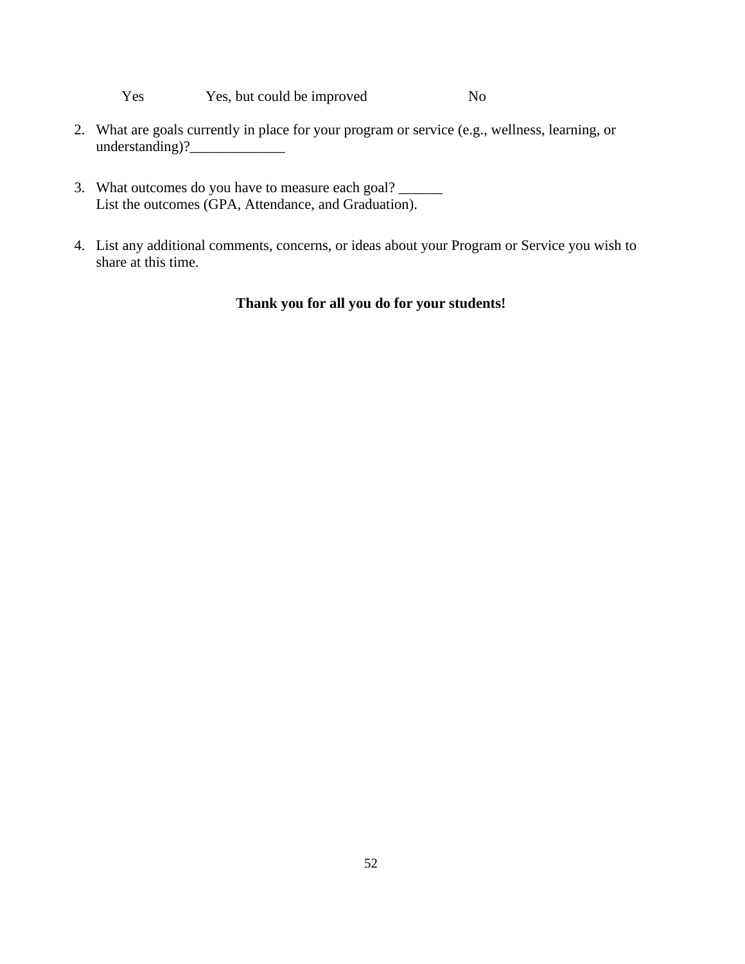Yes Yes, but could be improved No

- 2. What are goals currently in place for your program or service (e.g., wellness, learning, or  $understanding)?$
- 3. What outcomes do you have to measure each goal? List the outcomes (GPA, Attendance, and Graduation).
- 4. List any additional comments, concerns, or ideas about your Program or Service you wish to share at this time.

# **Thank you for all you do for your students!**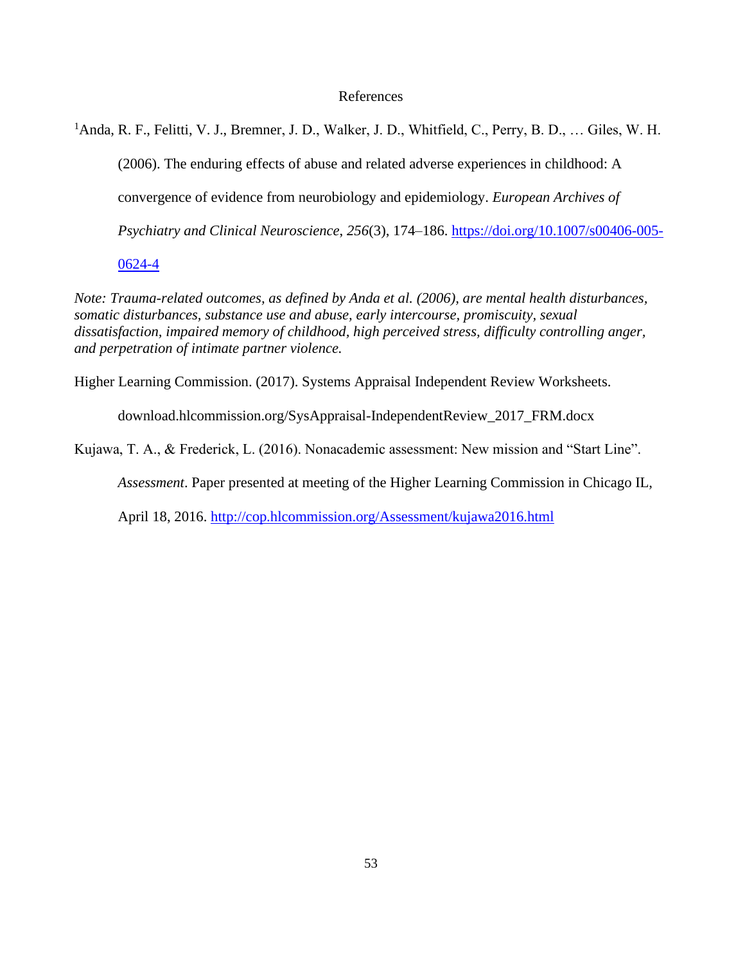### References

<sup>1</sup>Anda, R. F., Felitti, V. J., Bremner, J. D., Walker, J. D., Whitfield, C., Perry, B. D., ... Giles, W. H. (2006). The enduring effects of abuse and related adverse experiences in childhood: A convergence of evidence from neurobiology and epidemiology. *European Archives of Psychiatry and Clinical Neuroscience*, *256*(3), 174–186. https://doi.org/10.1007/s00406-005-

0624-4

*Note: Trauma-related outcomes, as defined by Anda et al. (2006), are mental health disturbances, somatic disturbances, substance use and abuse, early intercourse, promiscuity, sexual dissatisfaction, impaired memory of childhood, high perceived stress, difficulty controlling anger, and perpetration of intimate partner violence.*

Higher Learning Commission. (2017). Systems Appraisal Independent Review Worksheets.

download.hlcommission.org/SysAppraisal-IndependentReview\_2017\_FRM.docx

Kujawa, T. A., & Frederick, L. (2016). Nonacademic assessment: New mission and "Start Line".

*Assessment*. Paper presented at meeting of the Higher Learning Commission in Chicago IL,

April 18, 2016.<http://cop.hlcommission.org/Assessment/kujawa2016.html>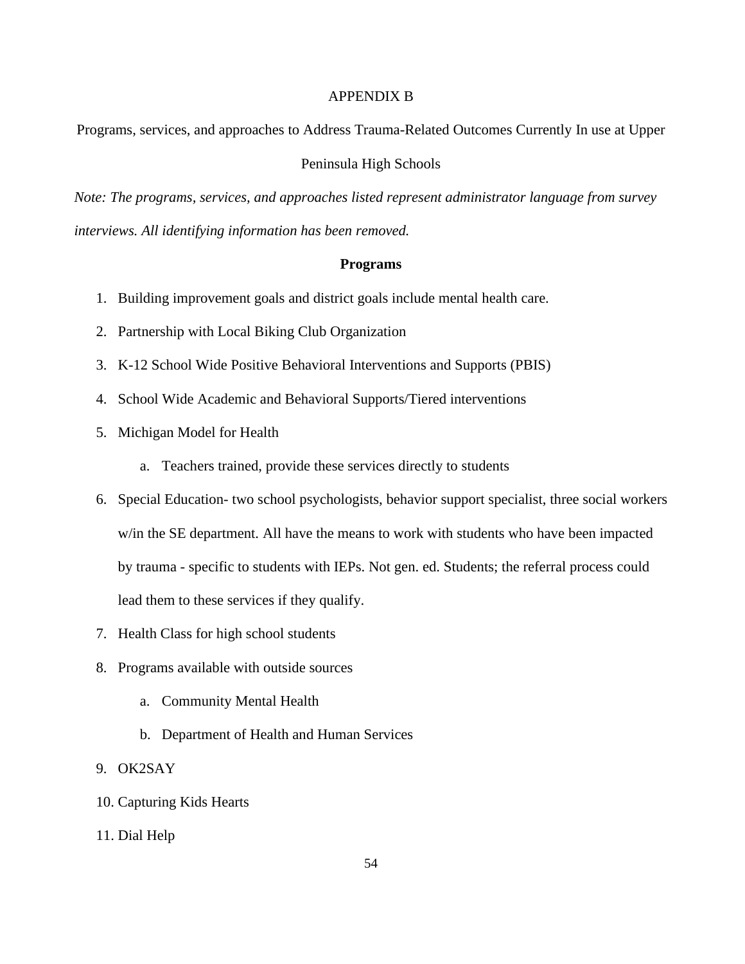### APPENDIX B

Programs, services, and approaches to Address Trauma-Related Outcomes Currently In use at Upper

### Peninsula High Schools

*Note: The programs, services, and approaches listed represent administrator language from survey interviews. All identifying information has been removed.* 

### **Programs**

- 1. Building improvement goals and district goals include mental health care.
- 2. Partnership with Local Biking Club Organization
- 3. K-12 School Wide Positive Behavioral Interventions and Supports (PBIS)
- 4. School Wide Academic and Behavioral Supports/Tiered interventions
- 5. Michigan Model for Health
	- a. Teachers trained, provide these services directly to students
- 6. Special Education- two school psychologists, behavior support specialist, three social workers w/in the SE department. All have the means to work with students who have been impacted by trauma - specific to students with IEPs. Not gen. ed. Students; the referral process could lead them to these services if they qualify.
- 7. Health Class for high school students
- 8. Programs available with outside sources
	- a. Community Mental Health
	- b. Department of Health and Human Services
- 9. OK2SAY
- 10. Capturing Kids Hearts
- 11. Dial Help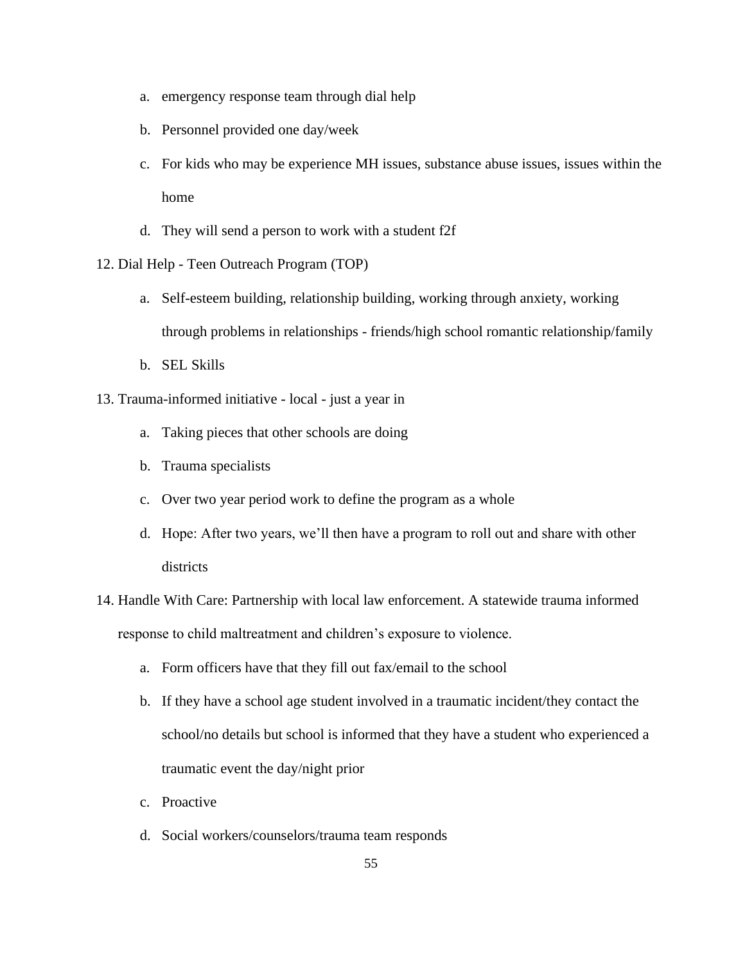- a. emergency response team through dial help
- b. Personnel provided one day/week
- c. For kids who may be experience MH issues, substance abuse issues, issues within the home
- d. They will send a person to work with a student f2f
- 12. Dial Help Teen Outreach Program (TOP)
	- a. Self-esteem building, relationship building, working through anxiety, working through problems in relationships - friends/high school romantic relationship/family
	- b. SEL Skills
- 13. Trauma-informed initiative local just a year in
	- a. Taking pieces that other schools are doing
	- b. Trauma specialists
	- c. Over two year period work to define the program as a whole
	- d. Hope: After two years, we'll then have a program to roll out and share with other districts
- 14. Handle With Care: Partnership with local law enforcement. A statewide trauma informed response to child maltreatment and children's exposure to violence.
	- a. Form officers have that they fill out fax/email to the school
	- b. If they have a school age student involved in a traumatic incident/they contact the school/no details but school is informed that they have a student who experienced a traumatic event the day/night prior
	- c. Proactive
	- d. Social workers/counselors/trauma team responds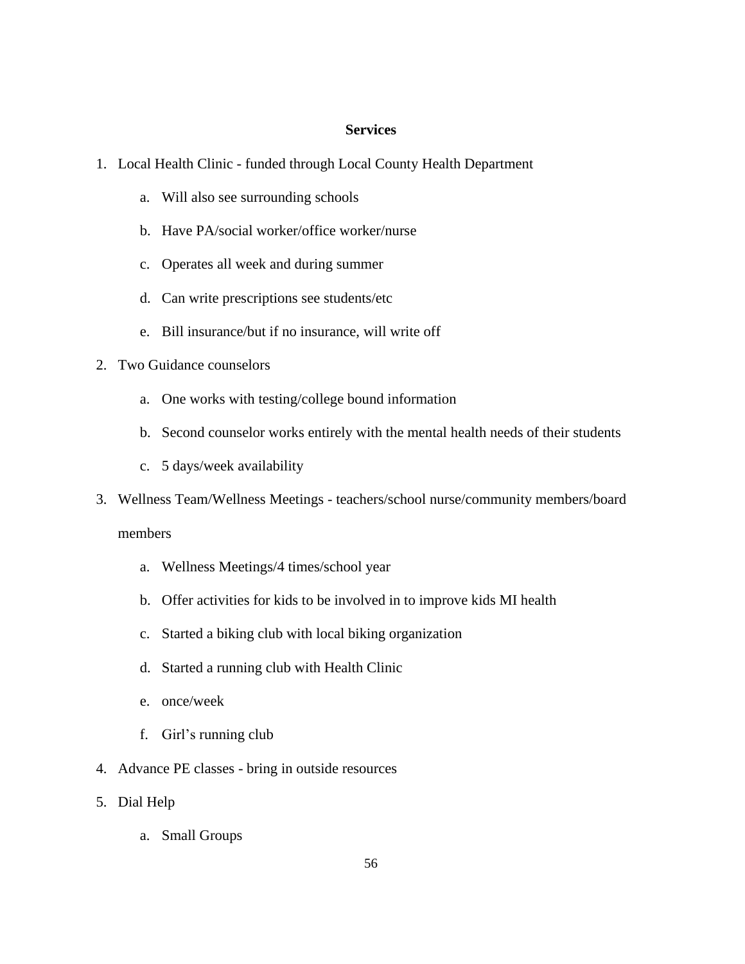# **Services**

- 1. Local Health Clinic funded through Local County Health Department
	- a. Will also see surrounding schools
	- b. Have PA/social worker/office worker/nurse
	- c. Operates all week and during summer
	- d. Can write prescriptions see students/etc
	- e. Bill insurance/but if no insurance, will write off
- 2. Two Guidance counselors
	- a. One works with testing/college bound information
	- b. Second counselor works entirely with the mental health needs of their students
	- c. 5 days/week availability
- 3. Wellness Team/Wellness Meetings teachers/school nurse/community members/board members
	- a. Wellness Meetings/4 times/school year
	- b. Offer activities for kids to be involved in to improve kids MI health
	- c. Started a biking club with local biking organization
	- d. Started a running club with Health Clinic
	- e. once/week
	- f. Girl's running club
- 4. Advance PE classes bring in outside resources
- 5. Dial Help
	- a. Small Groups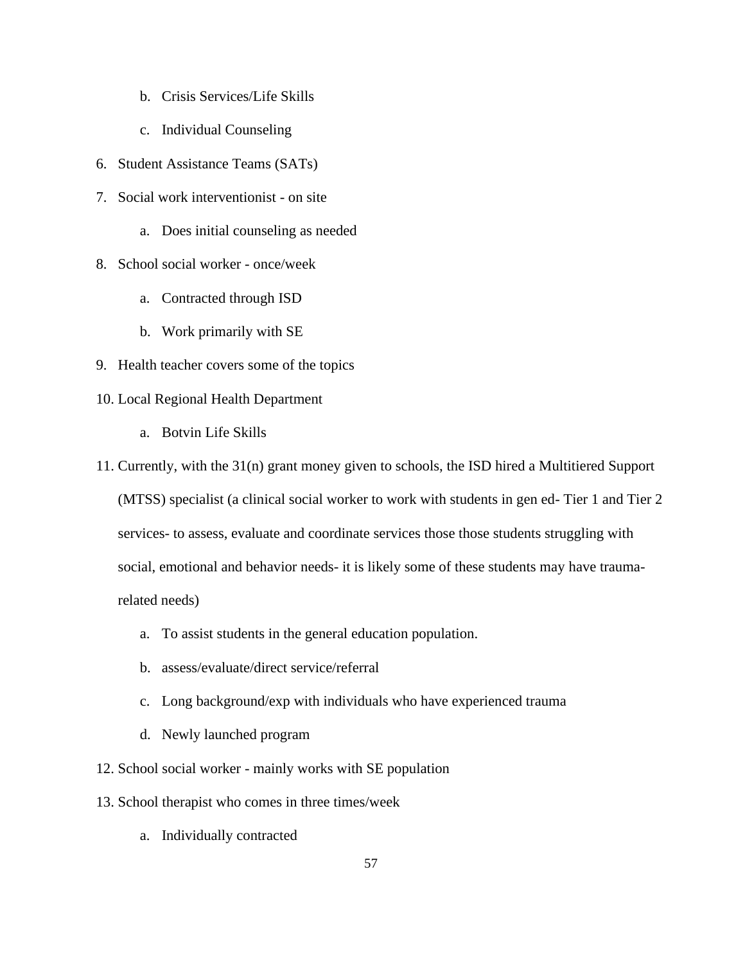- b. Crisis Services/Life Skills
- c. Individual Counseling
- 6. Student Assistance Teams (SATs)
- 7. Social work interventionist on site
	- a. Does initial counseling as needed
- 8. School social worker once/week
	- a. Contracted through ISD
	- b. Work primarily with SE
- 9. Health teacher covers some of the topics
- 10. Local Regional Health Department
	- a. Botvin Life Skills
- 11. Currently, with the 31(n) grant money given to schools, the ISD hired a Multitiered Support
	- (MTSS) specialist (a clinical social worker to work with students in gen ed- Tier 1 and Tier 2 services- to assess, evaluate and coordinate services those those students struggling with social, emotional and behavior needs- it is likely some of these students may have traumarelated needs)
		- a. To assist students in the general education population.
		- b. assess/evaluate/direct service/referral
		- c. Long background/exp with individuals who have experienced trauma
		- d. Newly launched program
- 12. School social worker mainly works with SE population
- 13. School therapist who comes in three times/week
	- a. Individually contracted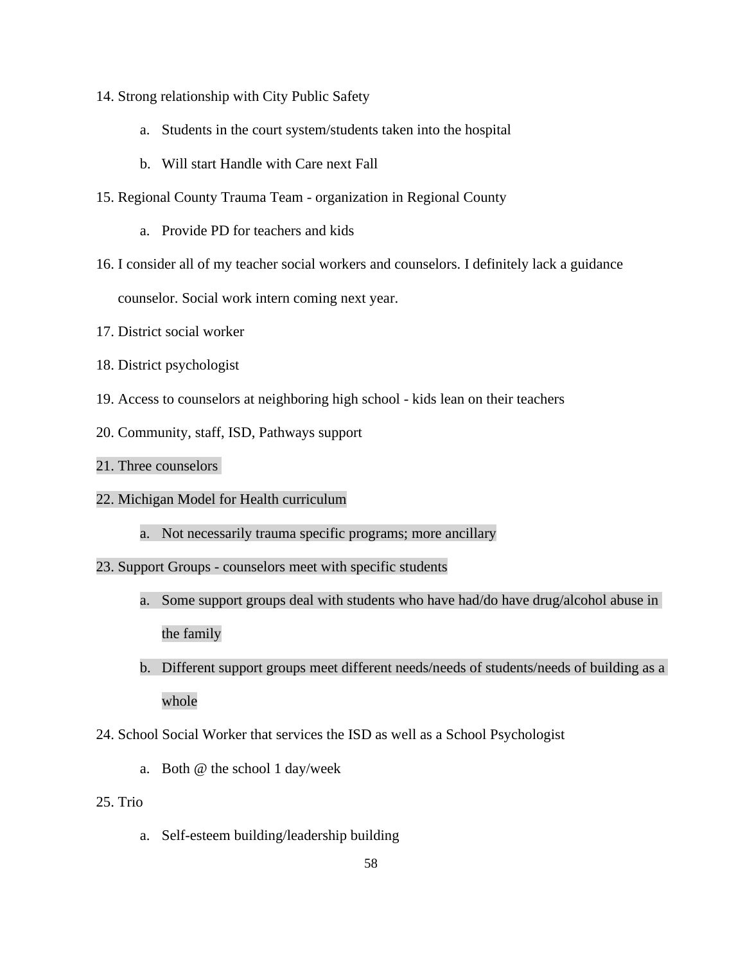- 14. Strong relationship with City Public Safety
	- a. Students in the court system/students taken into the hospital
	- b. Will start Handle with Care next Fall
- 15. Regional County Trauma Team organization in Regional County
	- a. Provide PD for teachers and kids
- 16. I consider all of my teacher social workers and counselors. I definitely lack a guidance counselor. Social work intern coming next year.
- 17. District social worker
- 18. District psychologist
- 19. Access to counselors at neighboring high school kids lean on their teachers
- 20. Community, staff, ISD, Pathways support

### 21. Three counselors

- 22. Michigan Model for Health curriculum
	- a. Not necessarily trauma specific programs; more ancillary
- 23. Support Groups counselors meet with specific students
	- a. Some support groups deal with students who have had/do have drug/alcohol abuse in the family
	- b. Different support groups meet different needs/needs of students/needs of building as a whole
- 24. School Social Worker that services the ISD as well as a School Psychologist
	- a. Both @ the school 1 day/week
- 25. Trio
	- a. Self-esteem building/leadership building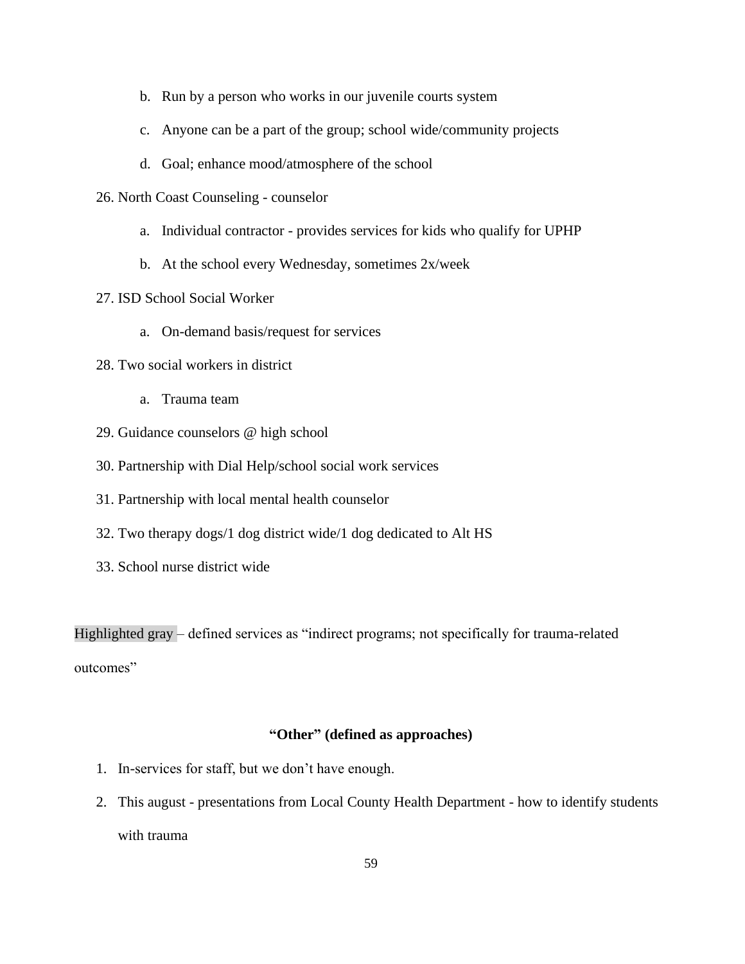- b. Run by a person who works in our juvenile courts system
- c. Anyone can be a part of the group; school wide/community projects
- d. Goal; enhance mood/atmosphere of the school
- 26. North Coast Counseling counselor
	- a. Individual contractor provides services for kids who qualify for UPHP
	- b. At the school every Wednesday, sometimes 2x/week
- 27. ISD School Social Worker
	- a. On-demand basis/request for services
- 28. Two social workers in district
	- a. Trauma team
- 29. Guidance counselors @ high school
- 30. Partnership with Dial Help/school social work services
- 31. Partnership with local mental health counselor
- 32. Two therapy dogs/1 dog district wide/1 dog dedicated to Alt HS
- 33. School nurse district wide

Highlighted gray – defined services as "indirect programs; not specifically for trauma-related outcomes"

#### **"Other" (defined as approaches)**

- 1. In-services for staff, but we don't have enough.
- 2. This august presentations from Local County Health Department how to identify students with trauma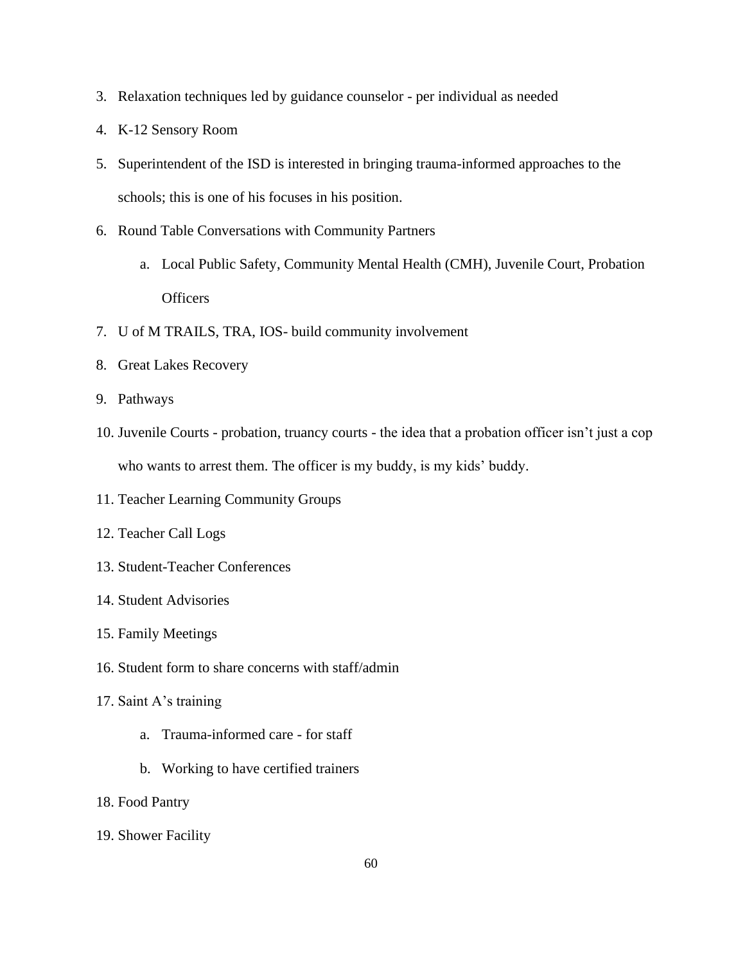- 3. Relaxation techniques led by guidance counselor per individual as needed
- 4. K-12 Sensory Room
- 5. Superintendent of the ISD is interested in bringing trauma-informed approaches to the schools; this is one of his focuses in his position.
- 6. Round Table Conversations with Community Partners
	- a. Local Public Safety, Community Mental Health (CMH), Juvenile Court, Probation **Officers**
- 7. U of M TRAILS, TRA, IOS- build community involvement
- 8. Great Lakes Recovery
- 9. Pathways
- 10. Juvenile Courts probation, truancy courts the idea that a probation officer isn't just a cop who wants to arrest them. The officer is my buddy, is my kids' buddy.
- 11. Teacher Learning Community Groups
- 12. Teacher Call Logs
- 13. Student-Teacher Conferences
- 14. Student Advisories
- 15. Family Meetings
- 16. Student form to share concerns with staff/admin
- 17. Saint A's training
	- a. Trauma-informed care for staff
	- b. Working to have certified trainers
- 18. Food Pantry
- 19. Shower Facility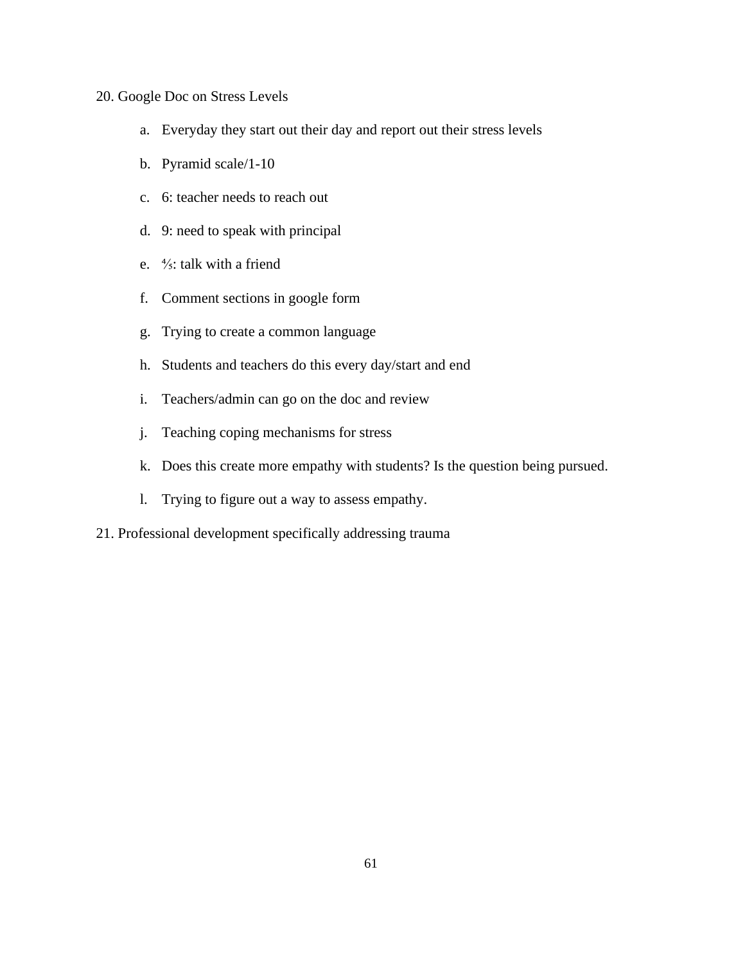# 20. Google Doc on Stress Levels

- a. Everyday they start out their day and report out their stress levels
- b. Pyramid scale/1-10
- c. 6: teacher needs to reach out
- d. 9: need to speak with principal
- e. ⅘: talk with a friend
- f. Comment sections in google form
- g. Trying to create a common language
- h. Students and teachers do this every day/start and end
- i. Teachers/admin can go on the doc and review
- j. Teaching coping mechanisms for stress
- k. Does this create more empathy with students? Is the question being pursued.
- l. Trying to figure out a way to assess empathy.
- 21. Professional development specifically addressing trauma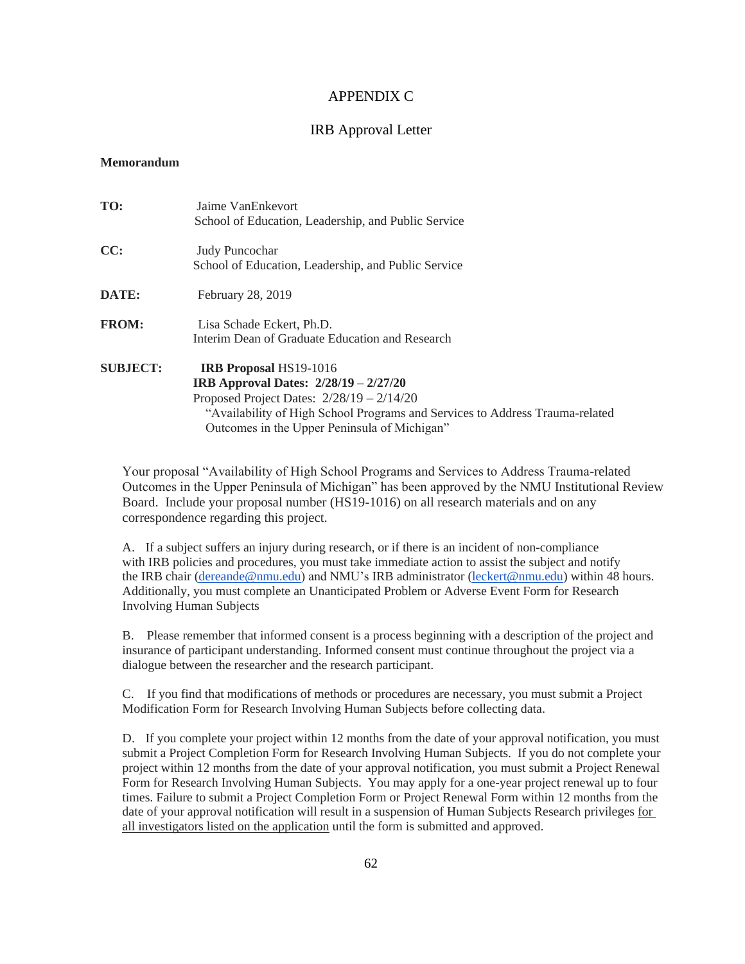## APPENDIX C

## IRB Approval Letter

## **Memorandum**

| TO:             | Jaime VanEnkevort<br>School of Education, Leadership, and Public Service                                                                                                                                                                                       |
|-----------------|----------------------------------------------------------------------------------------------------------------------------------------------------------------------------------------------------------------------------------------------------------------|
| CC:             | <b>Judy Puncochar</b><br>School of Education, Leadership, and Public Service                                                                                                                                                                                   |
| DATE:           | February 28, 2019                                                                                                                                                                                                                                              |
| <b>FROM:</b>    | Lisa Schade Eckert, Ph.D.<br>Interim Dean of Graduate Education and Research                                                                                                                                                                                   |
| <b>SUBJECT:</b> | <b>IRB Proposal HS19-1016</b><br><b>IRB</b> Approval Dates: $2/28/19 - 2/27/20$<br>Proposed Project Dates: $2/28/19 - 2/14/20$<br>"Availability of High School Programs and Services to Address Trauma-related<br>Outcomes in the Upper Peninsula of Michigan" |

Your proposal "Availability of High School Programs and Services to Address Trauma-related Outcomes in the Upper Peninsula of Michigan" has been approved by the NMU Institutional Review Board. Include your proposal number (HS19-1016) on all research materials and on any correspondence regarding this project.

A. If a subject suffers an injury during research, or if there is an incident of non-compliance with IRB policies and procedures, you must take immediate action to assist the subject and notify the IRB chair [\(dereande@nmu.edu\)](mailto:dereande@nmu.edu) and NMU's IRB administrator [\(leckert@nmu.edu\)](mailto:leckert@nmu.edu) within 48 hours. Additionally, you must complete an Unanticipated Problem or Adverse Event Form for Research Involving Human Subjects

B. Please remember that informed consent is a process beginning with a description of the project and insurance of participant understanding. Informed consent must continue throughout the project via a dialogue between the researcher and the research participant.

C. If you find that modifications of methods or procedures are necessary, you must submit a Project Modification Form for Research Involving Human Subjects before collecting data.

D. If you complete your project within 12 months from the date of your approval notification, you must submit a Project Completion Form for Research Involving Human Subjects. If you do not complete your project within 12 months from the date of your approval notification, you must submit a Project Renewal Form for Research Involving Human Subjects. You may apply for a one-year project renewal up to four times. Failure to submit a Project Completion Form or Project Renewal Form within 12 months from the date of your approval notification will result in a suspension of Human Subjects Research privileges for all investigators listed on the application until the form is submitted and approved.